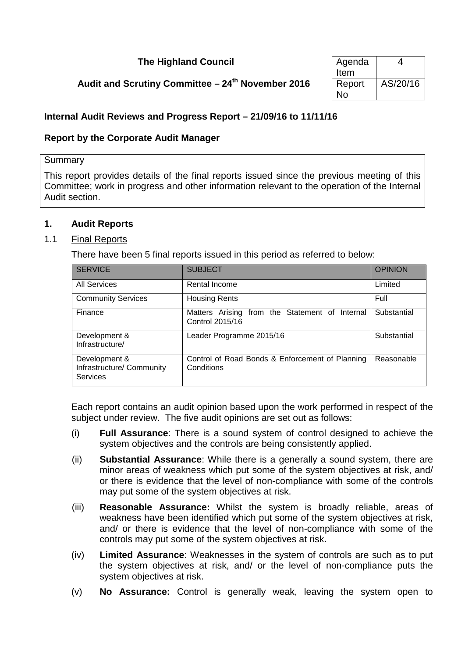# **The Highland Council**

# **Audit and Scrutiny Committee – 24<sup>th</sup> November 2016**

| Agenda | 4        |
|--------|----------|
| Item   |          |
| Report | AS/20/16 |
| N٥     |          |

# **Internal Audit Reviews and Progress Report – 21/09/16 to 11/11/16**

# **Report by the Corporate Audit Manager**

### Summary

This report provides details of the final reports issued since the previous meeting of this Committee; work in progress and other information relevant to the operation of the Internal Audit section.

# **1. Audit Reports**

# 1.1 Final Reports

There have been 5 final reports issued in this period as referred to below:

| <b>SERVICE</b>                                                | <b>SUBJECT</b>                                                    | <b>OPINION</b> |
|---------------------------------------------------------------|-------------------------------------------------------------------|----------------|
| <b>All Services</b>                                           | Rental Income                                                     | Limited        |
| <b>Community Services</b>                                     | <b>Housing Rents</b>                                              | Full           |
| Finance                                                       | Matters Arising from the Statement of Internal<br>Control 2015/16 | Substantial    |
| Development &<br>Infrastructure/                              | Leader Programme 2015/16                                          | Substantial    |
| Development &<br>Infrastructure/ Community<br><b>Services</b> | Control of Road Bonds & Enforcement of Planning<br>Conditions     | Reasonable     |

Each report contains an audit opinion based upon the work performed in respect of the subject under review. The five audit opinions are set out as follows:

- (i) **Full Assurance**: There is a sound system of control designed to achieve the system objectives and the controls are being consistently applied.
- (ii) **Substantial Assurance**: While there is a generally a sound system, there are minor areas of weakness which put some of the system objectives at risk, and/ or there is evidence that the level of non-compliance with some of the controls may put some of the system objectives at risk.
- (iii) **Reasonable Assurance:** Whilst the system is broadly reliable, areas of weakness have been identified which put some of the system objectives at risk, and/ or there is evidence that the level of non-compliance with some of the controls may put some of the system objectives at risk**.**
- (iv) **Limited Assurance**: Weaknesses in the system of controls are such as to put the system objectives at risk, and/ or the level of non-compliance puts the system objectives at risk.
- (v) **No Assurance:** Control is generally weak, leaving the system open to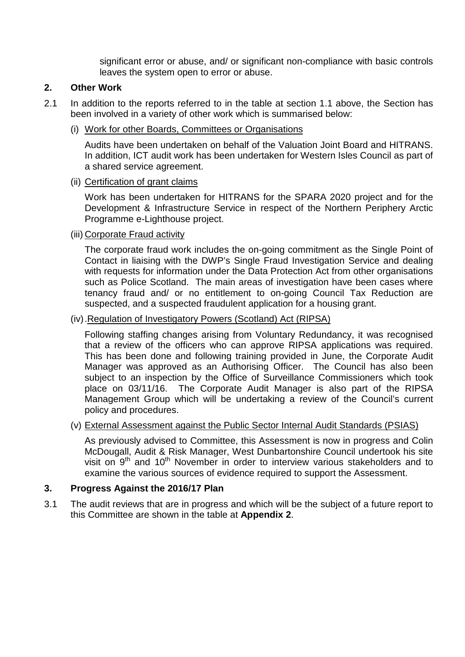significant error or abuse, and/ or significant non-compliance with basic controls leaves the system open to error or abuse.

# **2. Other Work**

- 2.1 In addition to the reports referred to in the table at section 1.1 above, the Section has been involved in a variety of other work which is summarised below:
	- (i) Work for other Boards, Committees or Organisations

Audits have been undertaken on behalf of the Valuation Joint Board and HITRANS. In addition, ICT audit work has been undertaken for Western Isles Council as part of a shared service agreement.

### (ii) Certification of grant claims

Work has been undertaken for HITRANS for the SPARA 2020 project and for the Development & Infrastructure Service in respect of the Northern Periphery Arctic Programme e-Lighthouse project.

(iii) Corporate Fraud activity

The corporate fraud work includes the on-going commitment as the Single Point of Contact in liaising with the DWP's Single Fraud Investigation Service and dealing with requests for information under the Data Protection Act from other organisations such as Police Scotland. The main areas of investigation have been cases where tenancy fraud and/ or no entitlement to on-going Council Tax Reduction are suspected, and a suspected fraudulent application for a housing grant.

# (iv) .Regulation of Investigatory Powers (Scotland) Act (RIPSA)

Following staffing changes arising from Voluntary Redundancy, it was recognised that a review of the officers who can approve RIPSA applications was required. This has been done and following training provided in June, the Corporate Audit Manager was approved as an Authorising Officer. The Council has also been subject to an inspection by the Office of Surveillance Commissioners which took place on 03/11/16. The Corporate Audit Manager is also part of the RIPSA Management Group which will be undertaking a review of the Council's current policy and procedures.

# (v) External Assessment against the Public Sector Internal Audit Standards (PSIAS)

As previously advised to Committee, this Assessment is now in progress and Colin McDougall, Audit & Risk Manager, West Dunbartonshire Council undertook his site visit on 9<sup>th</sup> and 10<sup>th</sup> November in order to interview various stakeholders and to examine the various sources of evidence required to support the Assessment.

# **3. Progress Against the 2016/17 Plan**

3.1 The audit reviews that are in progress and which will be the subject of a future report to this Committee are shown in the table at **Appendix 2**.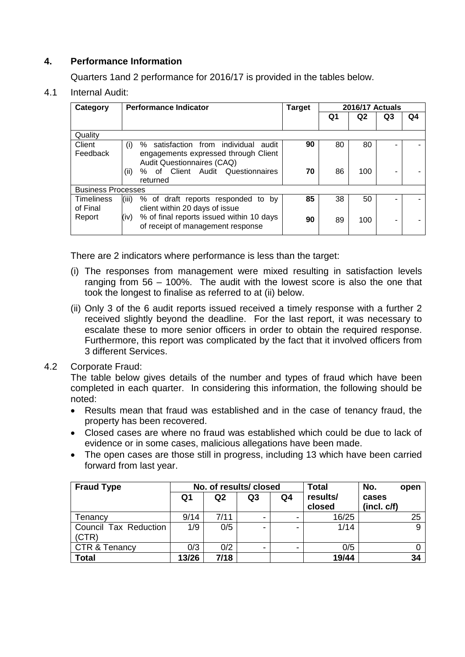# **4. Performance Information**

Quarters 1and 2 performance for 2016/17 is provided in the tables below.

# 4.1 Internal Audit:

| Category                      | <b>Performance Indicator</b>                                                                                         | <b>Target</b> |    | <b>2016/17 Actuals</b> |                          |    |
|-------------------------------|----------------------------------------------------------------------------------------------------------------------|---------------|----|------------------------|--------------------------|----|
|                               |                                                                                                                      |               | Q1 | Q <sub>2</sub>         | Q3                       | Q4 |
| Quality                       |                                                                                                                      |               |    |                        |                          |    |
| Client<br>Feedback            | % satisfaction from individual<br>(i)<br>audit<br>engagements expressed through Client<br>Audit Questionnaires (CAQ) | 90            | 80 | 80                     |                          |    |
|                               | % of Client Audit Questionnaires<br>(ii)<br>returned                                                                 | 70            | 86 | 100                    |                          |    |
| <b>Business Processes</b>     |                                                                                                                      |               |    |                        |                          |    |
| <b>Timeliness</b><br>of Final | % of draft reports responded to by<br>(iii)<br>client within 20 days of issue                                        | 85            | 38 | 50                     |                          |    |
| Report                        | % of final reports issued within 10 days<br>(iv)<br>of receipt of management response                                | 90            | 89 | 100                    | $\overline{\phantom{a}}$ |    |

There are 2 indicators where performance is less than the target:

- (i) The responses from management were mixed resulting in satisfaction levels ranging from 56 – 100%. The audit with the lowest score is also the one that took the longest to finalise as referred to at (ii) below.
- (ii) Only 3 of the 6 audit reports issued received a timely response with a further 2 received slightly beyond the deadline. For the last report, it was necessary to escalate these to more senior officers in order to obtain the required response. Furthermore, this report was complicated by the fact that it involved officers from 3 different Services.

# 4.2 Corporate Fraud:

The table below gives details of the number and types of fraud which have been completed in each quarter. In considering this information, the following should be noted:

- Results mean that fraud was established and in the case of tenancy fraud, the property has been recovered.
- Closed cases are where no fraud was established which could be due to lack of evidence or in some cases, malicious allegations have been made.
- The open cases are those still in progress, including 13 which have been carried forward from last year.

| <b>Fraud Type</b>              | No. of results/closed |      |    | <b>Total</b> | No.<br>open        |                     |
|--------------------------------|-----------------------|------|----|--------------|--------------------|---------------------|
|                                | Q1                    | Q2   | Q3 | Q4           | results/<br>closed | cases<br>(incl. cf) |
| Tenancy                        | 9/14                  | 7/11 |    |              | 16/25              | 25                  |
| Council Tax Reduction<br>(CTR) | 1/9                   | 0/5  |    |              | 1/14               | 9                   |
| <b>CTR &amp; Tenancy</b>       | 0/3                   | 0/2  |    |              | 0/5                |                     |
| <b>Total</b>                   | 13/26                 | 7/18 |    |              | 19/44              | 34                  |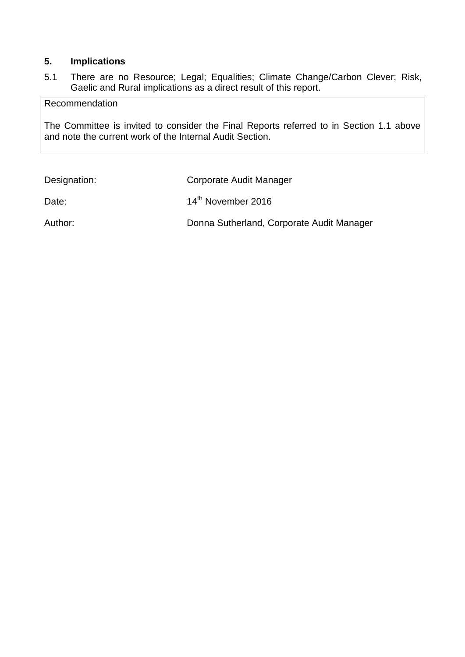# **5. Implications**

5.1 There are no Resource; Legal; Equalities; Climate Change/Carbon Clever; Risk, Gaelic and Rural implications as a direct result of this report.

Recommendation

The Committee is invited to consider the Final Reports referred to in Section 1.1 above and note the current work of the Internal Audit Section.

| Designation: | Corporate Audit Manager                   |
|--------------|-------------------------------------------|
| Date:        | 14 <sup>th</sup> November 2016            |
| Author:      | Donna Sutherland, Corporate Audit Manager |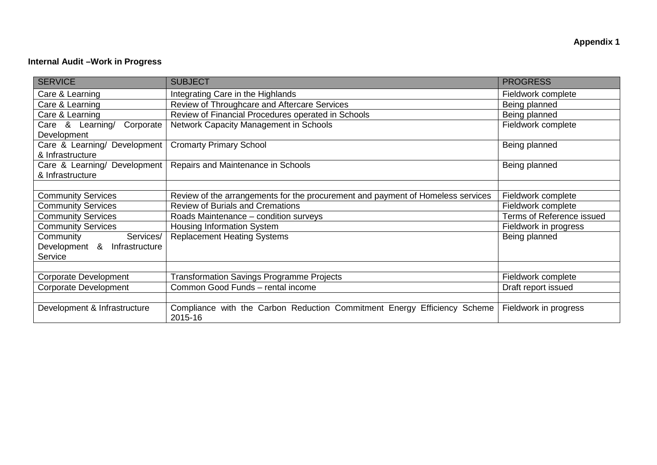# **Internal Audit –Work in Progress**

| <b>SERVICE</b>                                   | <b>SUBJECT</b>                                                                      | <b>PROGRESS</b>                  |
|--------------------------------------------------|-------------------------------------------------------------------------------------|----------------------------------|
| Care & Learning                                  | Integrating Care in the Highlands                                                   | Fieldwork complete               |
| Care & Learning                                  | Review of Throughcare and Aftercare Services                                        | Being planned                    |
| Care & Learning                                  | Review of Financial Procedures operated in Schools                                  | Being planned                    |
| Corporate<br>Care & Learning/<br>Development     | Network Capacity Management in Schools                                              | Fieldwork complete               |
| Care & Learning/ Development<br>& Infrastructure | <b>Cromarty Primary School</b>                                                      | Being planned                    |
| Care & Learning/ Development<br>& Infrastructure | Repairs and Maintenance in Schools                                                  | Being planned                    |
|                                                  |                                                                                     |                                  |
| <b>Community Services</b>                        | Review of the arrangements for the procurement and payment of Homeless services     | Fieldwork complete               |
| <b>Community Services</b>                        | <b>Review of Burials and Cremations</b>                                             | Fieldwork complete               |
| <b>Community Services</b>                        | Roads Maintenance - condition surveys                                               | <b>Terms of Reference issued</b> |
| <b>Community Services</b>                        | Housing Information System                                                          | Fieldwork in progress            |
| Community<br>Services/                           | <b>Replacement Heating Systems</b>                                                  | Being planned                    |
| Development & Infrastructure                     |                                                                                     |                                  |
| Service                                          |                                                                                     |                                  |
|                                                  |                                                                                     |                                  |
| <b>Corporate Development</b>                     | <b>Transformation Savings Programme Projects</b>                                    | Fieldwork complete               |
| <b>Corporate Development</b>                     | Common Good Funds - rental income                                                   | Draft report issued              |
|                                                  |                                                                                     |                                  |
| Development & Infrastructure                     | Compliance with the Carbon Reduction Commitment Energy Efficiency Scheme<br>2015-16 | Fieldwork in progress            |

**Appendix 1**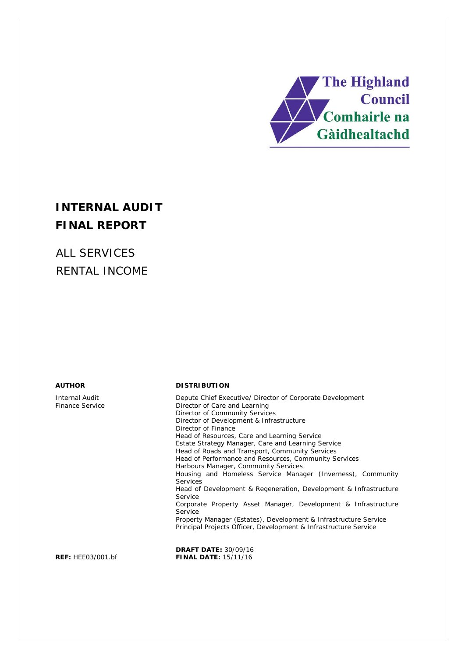

# **INTERNAL AUDIT FINAL REPORT**

ALL SERVICES RENTAL INCOME

Internal Audit Finance Service

#### **AUTHOR DISTRIBUTION**

Depute Chief Executive/ Director of Corporate Development Director of Care and Learning Director of Community Services Director of Development & Infrastructure Director of Finance Head of Resources, Care and Learning Service Estate Strategy Manager, Care and Learning Service Head of Roads and Transport, Community Services Head of Performance and Resources, Community Services Harbours Manager, Community Services Housing and Homeless Service Manager (Inverness), Community **Services** Head of Development & Regeneration, Development & Infrastructure Service Corporate Property Asset Manager, Development & Infrastructure Service Property Manager (Estates), Development & Infrastructure Service Principal Projects Officer, Development & Infrastructure Service

**DRAFT DATE:** 30/09/16 **REF:** HEE03/001.bf **FINAL DATE:** 15/11/16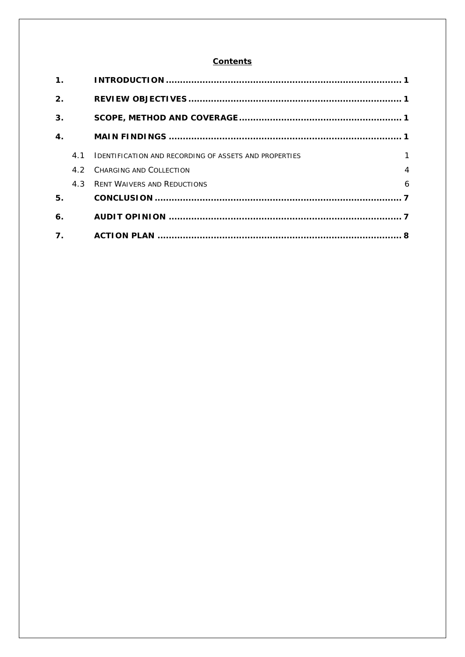#### **Contents**

| $\mathbf 1$ .    |     |                                                              |                |
|------------------|-----|--------------------------------------------------------------|----------------|
| 2.               |     |                                                              |                |
| 3.               |     |                                                              |                |
| $\mathbf{4}$ .   |     |                                                              |                |
|                  | 4.1 | <b>IDENTIFICATION AND RECORDING OF ASSETS AND PROPERTIES</b> | $\mathbf{1}$   |
|                  | 42  | CHARGING AND COLLECTION                                      | $\overline{4}$ |
|                  | 4.3 | <b>RENT WAIVERS AND REDUCTIONS</b>                           | 6              |
| 5.               |     |                                                              |                |
| 6.               |     |                                                              |                |
| $\overline{7}$ . |     |                                                              |                |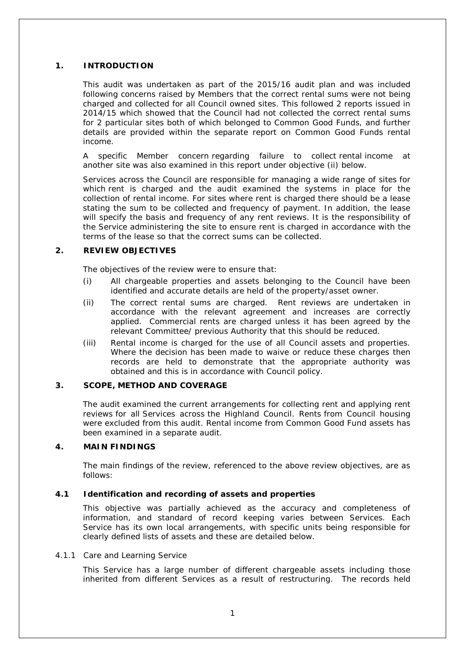#### **1. INTRODUCTION**

This audit was undertaken as part of the 2015/16 audit plan and was included following concerns raised by Members that the correct rental sums were not being charged and collected for all Council owned sites. This followed 2 reports issued in 2014/15 which showed that the Council had not collected the correct rental sums for 2 particular sites both of which belonged to Common Good Funds, and further details are provided within the separate report on Common Good Funds rental income.

A specific Member concern regarding failure to collect rental income at another site was also examined in this report under objective (ii) below.

Services across the Council are responsible for managing a wide range of sites for which rent is charged and the audit examined the systems in place for the collection of rental income. For sites where rent is charged there should be a lease stating the sum to be collected and frequency of payment. In addition, the lease will specify the basis and frequency of any rent reviews. It is the responsibility of the Service administering the site to ensure rent is charged in accordance with the terms of the lease so that the correct sums can be collected.

#### **2. REVIEW OBJECTIVES**

The objectives of the review were to ensure that:

- (i) All chargeable properties and assets belonging to the Council have been identified and accurate details are held of the property/asset owner.
- (ii) The correct rental sums are charged. Rent reviews are undertaken in accordance with the relevant agreement and increases are correctly applied. Commercial rents are charged unless it has been agreed by the relevant Committee/ previous Authority that this should be reduced.
- (iii) Rental income is charged for the use of all Council assets and properties. Where the decision has been made to waive or reduce these charges then records are held to demonstrate that the appropriate authority was obtained and this is in accordance with Council policy.

#### **3. SCOPE, METHOD AND COVERAGE**

The audit examined the current arrangements for collecting rent and applying rent reviews for all Services across the Highland Council. Rents from Council housing were excluded from this audit. Rental income from Common Good Fund assets has been examined in a separate audit.

#### **4. MAIN FINDINGS**

The main findings of the review, referenced to the above review objectives, are as follows:

#### **4.1 Identification and recording of assets and properties**

This objective was partially achieved as the accuracy and completeness of information, and standard of record keeping varies between Services. Each Service has its own local arrangements, with specific units being responsible for clearly defined lists of assets and these are detailed below.

#### 4.1.1 Care and Learning Service

This Service has a large number of different chargeable assets including those inherited from different Services as a result of restructuring. The records held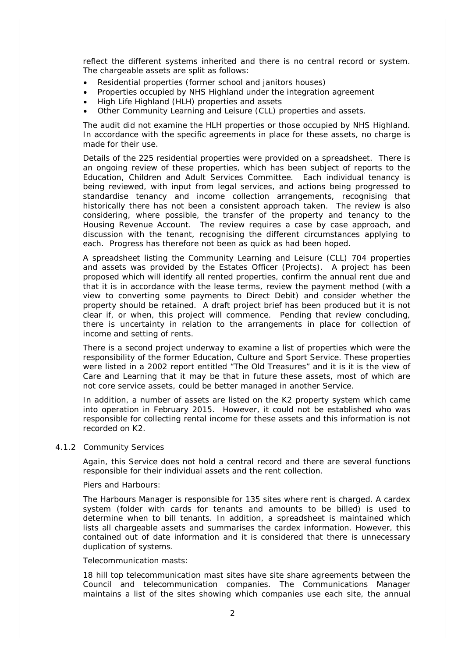reflect the different systems inherited and there is no central record or system. The chargeable assets are split as follows:

- Residential properties (former school and janitors houses)
- Properties occupied by NHS Highland under the integration agreement
- High Life Highland (HLH) properties and assets
- Other Community Learning and Leisure (CLL) properties and assets.

The audit did not examine the HLH properties or those occupied by NHS Highland. In accordance with the specific agreements in place for these assets, no charge is made for their use.

Details of the 225 residential properties were provided on a spreadsheet. There is an ongoing review of these properties, which has been subject of reports to the Education, Children and Adult Services Committee. Each individual tenancy is being reviewed, with input from legal services, and actions being progressed to standardise tenancy and income collection arrangements, recognising that historically there has not been a consistent approach taken. The review is also considering, where possible, the transfer of the property and tenancy to the Housing Revenue Account. The review requires a case by case approach, and discussion with the tenant, recognising the different circumstances applying to each. Progress has therefore not been as quick as had been hoped.

A spreadsheet listing the Community Learning and Leisure (CLL) 704 properties and assets was provided by the Estates Officer (Projects). A project has been proposed which will identify all rented properties, confirm the annual rent due and that it is in accordance with the lease terms, review the payment method (with a view to converting some payments to Direct Debit) and consider whether the property should be retained. A draft project brief has been produced but it is not clear if, or when, this project will commence. Pending that review concluding, there is uncertainty in relation to the arrangements in place for collection of income and setting of rents.

There is a second project underway to examine a list of properties which were the responsibility of the former Education, Culture and Sport Service. These properties were listed in a 2002 report entitled "The Old Treasures" and it is it is the view of Care and Learning that it may be that in future these assets, most of which are not core service assets, could be better managed in another Service.

In addition, a number of assets are listed on the K2 property system which came into operation in February 2015. However, it could not be established who was responsible for collecting rental income for these assets and this information is not recorded on K2.

#### 4.1.2 Community Services

Again, this Service does not hold a central record and there are several functions responsible for their individual assets and the rent collection.

#### Piers and Harbours:

The Harbours Manager is responsible for 135 sites where rent is charged. A cardex system (folder with cards for tenants and amounts to be billed) is used to determine when to bill tenants. In addition, a spreadsheet is maintained which lists all chargeable assets and summarises the cardex information. However, this contained out of date information and it is considered that there is unnecessary duplication of systems.

#### Telecommunication masts:

18 hill top telecommunication mast sites have site share agreements between the Council and telecommunication companies. The Communications Manager maintains a list of the sites showing which companies use each site, the annual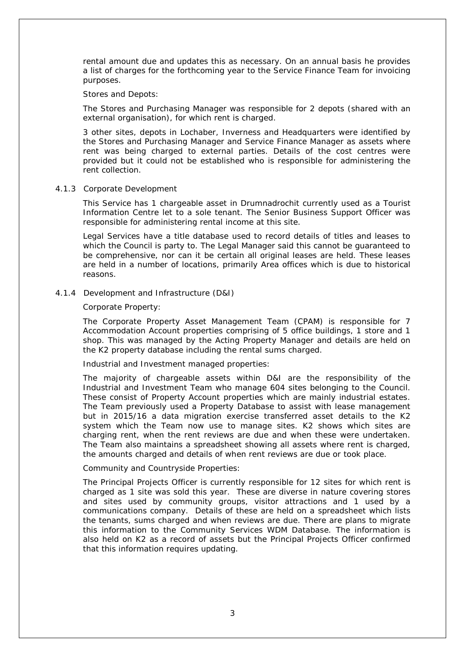rental amount due and updates this as necessary. On an annual basis he provides a list of charges for the forthcoming year to the Service Finance Team for invoicing purposes.

#### Stores and Depots:

The Stores and Purchasing Manager was responsible for 2 depots (shared with an external organisation), for which rent is charged.

3 other sites, depots in Lochaber, Inverness and Headquarters were identified by the Stores and Purchasing Manager and Service Finance Manager as assets where rent was being charged to external parties. Details of the cost centres were provided but it could not be established who is responsible for administering the rent collection.

#### 4.1.3 Corporate Development

This Service has 1 chargeable asset in Drumnadrochit currently used as a Tourist Information Centre let to a sole tenant. The Senior Business Support Officer was responsible for administering rental income at this site.

Legal Services have a title database used to record details of titles and leases to which the Council is party to. The Legal Manager said this cannot be guaranteed to be comprehensive, nor can it be certain all original leases are held. These leases are held in a number of locations, primarily Area offices which is due to historical reasons.

#### 4.1.4 Development and Infrastructure (D&I)

#### Corporate Property:

The Corporate Property Asset Management Team (CPAM) is responsible for 7 Accommodation Account properties comprising of 5 office buildings, 1 store and 1 shop. This was managed by the Acting Property Manager and details are held on the K2 property database including the rental sums charged.

Industrial and Investment managed properties:

The majority of chargeable assets within D&I are the responsibility of the Industrial and Investment Team who manage 604 sites belonging to the Council. These consist of Property Account properties which are mainly industrial estates. The Team previously used a Property Database to assist with lease management but in 2015/16 a data migration exercise transferred asset details to the K2 system which the Team now use to manage sites. K2 shows which sites are charging rent, when the rent reviews are due and when these were undertaken. The Team also maintains a spreadsheet showing all assets where rent is charged, the amounts charged and details of when rent reviews are due or took place.

#### Community and Countryside Properties:

The Principal Projects Officer is currently responsible for 12 sites for which rent is charged as 1 site was sold this year. These are diverse in nature covering stores and sites used by community groups, visitor attractions and 1 used by a communications company. Details of these are held on a spreadsheet which lists the tenants, sums charged and when reviews are due. There are plans to migrate this information to the Community Services WDM Database. The information is also held on K2 as a record of assets but the Principal Projects Officer confirmed that this information requires updating.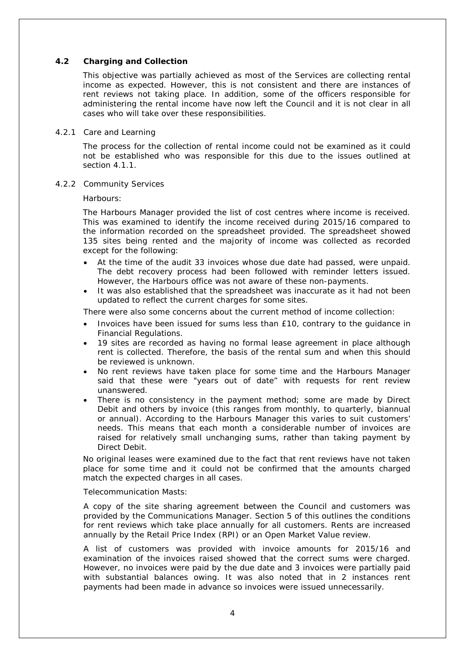#### **4.2 Charging and Collection**

This objective was partially achieved as most of the Services are collecting rental income as expected. However, this is not consistent and there are instances of rent reviews not taking place. In addition, some of the officers responsible for administering the rental income have now left the Council and it is not clear in all cases who will take over these responsibilities.

#### 4.2.1 Care and Learning

The process for the collection of rental income could not be examined as it could not be established who was responsible for this due to the issues outlined at section 4.1.1.

4.2.2 Community Services

Harbours:

The Harbours Manager provided the list of cost centres where income is received. This was examined to identify the income received during 2015/16 compared to the information recorded on the spreadsheet provided. The spreadsheet showed 135 sites being rented and the majority of income was collected as recorded except for the following:

- At the time of the audit 33 invoices whose due date had passed, were unpaid. The debt recovery process had been followed with reminder letters issued. However, the Harbours office was not aware of these non-payments.
- It was also established that the spreadsheet was inaccurate as it had not been updated to reflect the current charges for some sites.

There were also some concerns about the current method of income collection:

- Invoices have been issued for sums less than £10, contrary to the guidance in Financial Regulations.
- 19 sites are recorded as having no formal lease agreement in place although rent is collected. Therefore, the basis of the rental sum and when this should be reviewed is unknown.
- No rent reviews have taken place for some time and the Harbours Manager said that these were "years out of date" with requests for rent review unanswered.
- There is no consistency in the payment method; some are made by Direct Debit and others by invoice (this ranges from monthly, to quarterly, biannual or annual). According to the Harbours Manager this varies to suit customers' needs. This means that each month a considerable number of invoices are raised for relatively small unchanging sums, rather than taking payment by Direct Debit.

No original leases were examined due to the fact that rent reviews have not taken place for some time and it could not be confirmed that the amounts charged match the expected charges in all cases.

Telecommunication Masts:

A copy of the site sharing agreement between the Council and customers was provided by the Communications Manager. Section 5 of this outlines the conditions for rent reviews which take place annually for all customers. Rents are increased annually by the Retail Price Index (RPI) or an Open Market Value review.

A list of customers was provided with invoice amounts for 2015/16 and examination of the invoices raised showed that the correct sums were charged. However, no invoices were paid by the due date and 3 invoices were partially paid with substantial balances owing. It was also noted that in 2 instances rent payments had been made in advance so invoices were issued unnecessarily.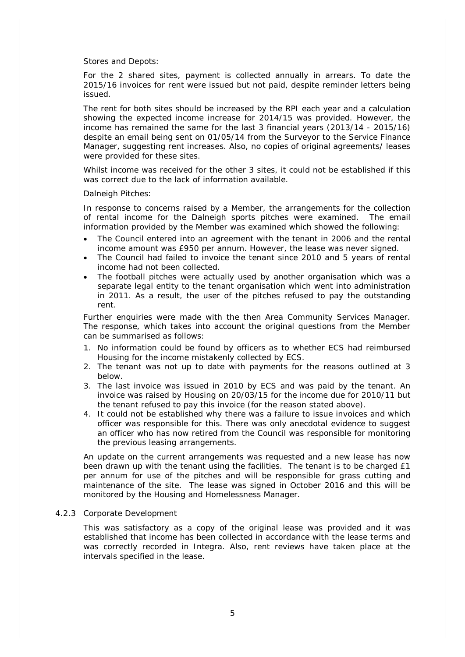Stores and Depots:

For the 2 shared sites, payment is collected annually in arrears. To date the 2015/16 invoices for rent were issued but not paid, despite reminder letters being issued.

The rent for both sites should be increased by the RPI each year and a calculation showing the expected income increase for 2014/15 was provided. However, the income has remained the same for the last 3 financial years (2013/14 - 2015/16) despite an email being sent on 01/05/14 from the Surveyor to the Service Finance Manager, suggesting rent increases. Also, no copies of original agreements/ leases were provided for these sites.

Whilst income was received for the other 3 sites, it could not be established if this was correct due to the lack of information available.

Dalneigh Pitches:

In response to concerns raised by a Member, the arrangements for the collection of rental income for the Dalneigh sports pitches were examined. The email information provided by the Member was examined which showed the following:

- The Council entered into an agreement with the tenant in 2006 and the rental income amount was £950 per annum. However, the lease was never signed.
- The Council had failed to invoice the tenant since 2010 and 5 years of rental income had not been collected.
- The football pitches were actually used by another organisation which was a separate legal entity to the tenant organisation which went into administration in 2011. As a result, the user of the pitches refused to pay the outstanding rent.

Further enquiries were made with the then Area Community Services Manager. The response, which takes into account the original questions from the Member can be summarised as follows:

- 1. No information could be found by officers as to whether ECS had reimbursed Housing for the income mistakenly collected by ECS.
- 2. The tenant was not up to date with payments for the reasons outlined at 3 below.
- 3. The last invoice was issued in 2010 by ECS and was paid by the tenant. An invoice was raised by Housing on 20/03/15 for the income due for 2010/11 but the tenant refused to pay this invoice (for the reason stated above).
- 4. It could not be established why there was a failure to issue invoices and which officer was responsible for this. There was only anecdotal evidence to suggest an officer who has now retired from the Council was responsible for monitoring the previous leasing arrangements.

An update on the current arrangements was requested and a new lease has now been drawn up with the tenant using the facilities. The tenant is to be charged £1 per annum for use of the pitches and will be responsible for grass cutting and maintenance of the site. The lease was signed in October 2016 and this will be monitored by the Housing and Homelessness Manager.

#### 4.2.3 Corporate Development

This was satisfactory as a copy of the original lease was provided and it was established that income has been collected in accordance with the lease terms and was correctly recorded in Integra. Also, rent reviews have taken place at the intervals specified in the lease.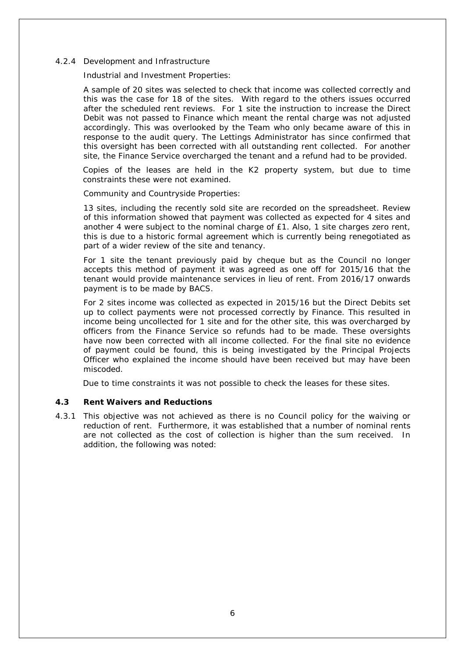#### 4.2.4 Development and Infrastructure

Industrial and Investment Properties:

A sample of 20 sites was selected to check that income was collected correctly and this was the case for 18 of the sites. With regard to the others issues occurred after the scheduled rent reviews. For 1 site the instruction to increase the Direct Debit was not passed to Finance which meant the rental charge was not adjusted accordingly. This was overlooked by the Team who only became aware of this in response to the audit query. The Lettings Administrator has since confirmed that this oversight has been corrected with all outstanding rent collected. For another site, the Finance Service overcharged the tenant and a refund had to be provided.

Copies of the leases are held in the K2 property system, but due to time constraints these were not examined.

Community and Countryside Properties:

13 sites, including the recently sold site are recorded on the spreadsheet. Review of this information showed that payment was collected as expected for 4 sites and another 4 were subject to the nominal charge of £1. Also, 1 site charges zero rent, this is due to a historic formal agreement which is currently being renegotiated as part of a wider review of the site and tenancy.

For 1 site the tenant previously paid by cheque but as the Council no longer accepts this method of payment it was agreed as one off for 2015/16 that the tenant would provide maintenance services in lieu of rent. From 2016/17 onwards payment is to be made by BACS.

For 2 sites income was collected as expected in 2015/16 but the Direct Debits set up to collect payments were not processed correctly by Finance. This resulted in income being uncollected for 1 site and for the other site, this was overcharged by officers from the Finance Service so refunds had to be made. These oversights have now been corrected with all income collected. For the final site no evidence of payment could be found, this is being investigated by the Principal Projects Officer who explained the income should have been received but may have been miscoded.

Due to time constraints it was not possible to check the leases for these sites.

#### **4.3 Rent Waivers and Reductions**

4.3.1 This objective was not achieved as there is no Council policy for the waiving or reduction of rent. Furthermore, it was established that a number of nominal rents are not collected as the cost of collection is higher than the sum received. In addition, the following was noted: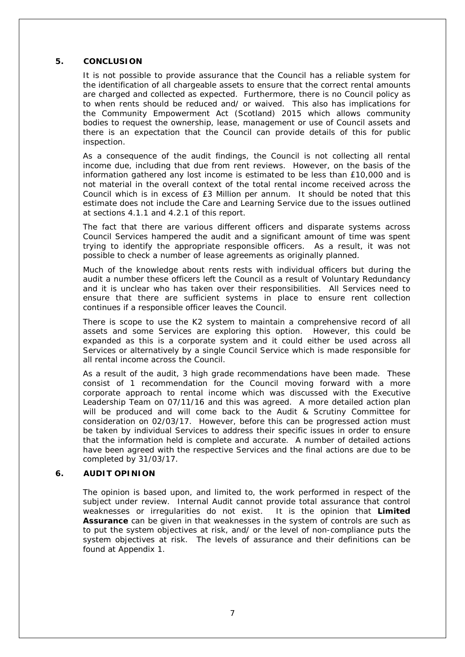#### **5. CONCLUSION**

It is not possible to provide assurance that the Council has a reliable system for the identification of all chargeable assets to ensure that the correct rental amounts are charged and collected as expected. Furthermore, there is no Council policy as to when rents should be reduced and/ or waived. This also has implications for the Community Empowerment Act (Scotland) 2015 which allows community bodies to request the ownership, lease, management or use of Council assets and there is an expectation that the Council can provide details of this for public inspection.

As a consequence of the audit findings, the Council is not collecting all rental income due, including that due from rent reviews. However, on the basis of the information gathered any lost income is estimated to be less than £10,000 and is not material in the overall context of the total rental income received across the Council which is in excess of £3 Million per annum. It should be noted that this estimate does not include the Care and Learning Service due to the issues outlined at sections 4.1.1 and 4.2.1 of this report.

The fact that there are various different officers and disparate systems across Council Services hampered the audit and a significant amount of time was spent trying to identify the appropriate responsible officers. As a result, it was not possible to check a number of lease agreements as originally planned.

Much of the knowledge about rents rests with individual officers but during the audit a number these officers left the Council as a result of Voluntary Redundancy and it is unclear who has taken over their responsibilities. All Services need to ensure that there are sufficient systems in place to ensure rent collection continues if a responsible officer leaves the Council.

There is scope to use the K2 system to maintain a comprehensive record of all assets and some Services are exploring this option. However, this could be expanded as this is a corporate system and it could either be used across all Services or alternatively by a single Council Service which is made responsible for all rental income across the Council.

As a result of the audit, 3 high grade recommendations have been made. These consist of 1 recommendation for the Council moving forward with a more corporate approach to rental income which was discussed with the Executive Leadership Team on 07/11/16 and this was agreed. A more detailed action plan will be produced and will come back to the Audit & Scrutiny Committee for consideration on 02/03/17. However, before this can be progressed action must be taken by individual Services to address their specific issues in order to ensure that the information held is complete and accurate. A number of detailed actions have been agreed with the respective Services and the final actions are due to be completed by 31/03/17.

#### **6. AUDIT OPINION**

The opinion is based upon, and limited to, the work performed in respect of the subject under review. Internal Audit cannot provide total assurance that control weaknesses or irregularities do not exist. It is the opinion that **Limited Assurance** can be given in that weaknesses in the system of controls are such as to put the system objectives at risk, and/ or the level of non-compliance puts the system objectives at risk. The levels of assurance and their definitions can be found at Appendix 1.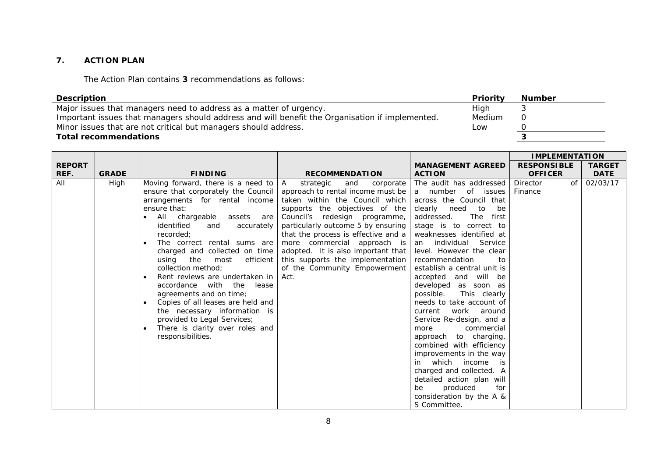#### **7. ACTION PLAN**

The Action Plan contains **3** recommendations as follows:

| <b>Description</b>                                                                              | Priority | <b>Number</b> |
|-------------------------------------------------------------------------------------------------|----------|---------------|
| Major issues that managers need to address as a matter of urgency.                              | High     |               |
| Important issues that managers should address and will benefit the Organisation if implemented. | Medium   |               |
| Minor issues that are not critical but managers should address.                                 | Low      |               |
| <b>Total recommendations</b>                                                                    |          |               |

|               |              |                                             |                                     |                                                | <b>IMPLEMENTATION</b> |               |
|---------------|--------------|---------------------------------------------|-------------------------------------|------------------------------------------------|-----------------------|---------------|
| <b>REPORT</b> |              |                                             |                                     | <b>MANAGEMENT AGREED</b>                       | <b>RESPONSIBLE</b>    | <b>TARGET</b> |
| REF.          | <b>GRADE</b> | <b>FINDING</b>                              | <b>RECOMMENDATION</b>               | <b>ACTION</b>                                  | <b>OFFICER</b>        | <b>DATE</b>   |
| All           | High         | Moving forward, there is a need to $ A $    | strategic<br>and<br>corporate       | The audit has addressed                        | <b>Director</b><br>of | 02/03/17      |
|               |              | ensure that corporately the Council         | approach to rental income must be   | a number of issues                             | Finance               |               |
|               |              | arrangements for rental income              | taken within the Council which      | across the Council that                        |                       |               |
|               |              | ensure that:                                | supports the objectives of the      | clearly need<br>to<br>be                       |                       |               |
|               |              | All chargeable assets are                   | Council's redesign programme,       | The first<br>addressed.                        |                       |               |
|               |              | identified<br>accurately<br>and             | particularly outcome 5 by ensuring  | stage is to correct to                         |                       |               |
|               |              | recorded:                                   | that the process is effective and a | weaknesses identified at                       |                       |               |
|               |              | The correct rental sums are<br>$\bullet$    | more commercial approach is         | Service<br>an individual                       |                       |               |
|               |              | charged and collected on time               | adopted. It is also important that  | level. However the clear                       |                       |               |
|               |              | efficient<br>using<br>the<br>most           | this supports the implementation    | recommendation<br>to                           |                       |               |
|               |              | collection method:                          | of the Community Empowerment        | establish a central unit is                    |                       |               |
|               |              | Rent reviews are undertaken in<br>$\bullet$ | Act.                                | accepted and will be                           |                       |               |
|               |              | accordance with the lease                   |                                     | developed as soon as                           |                       |               |
|               |              | agreements and on time;                     |                                     | possible.<br>This clearly                      |                       |               |
|               |              | Copies of all leases are held and           |                                     | needs to take account of                       |                       |               |
|               |              | the necessary information is                |                                     | work around<br>current                         |                       |               |
|               |              | provided to Legal Services;                 |                                     | Service Re-design, and a                       |                       |               |
|               |              | There is clarity over roles and             |                                     | commercial<br>more                             |                       |               |
|               |              | responsibilities.                           |                                     | approach to charging,                          |                       |               |
|               |              |                                             |                                     | combined with efficiency                       |                       |               |
|               |              |                                             |                                     | improvements in the way                        |                       |               |
|               |              |                                             |                                     | in which income is<br>charged and collected. A |                       |               |
|               |              |                                             |                                     | detailed action plan will                      |                       |               |
|               |              |                                             |                                     | produced<br>be<br>for                          |                       |               |
|               |              |                                             |                                     | consideration by the A &                       |                       |               |
|               |              |                                             |                                     | S Committee.                                   |                       |               |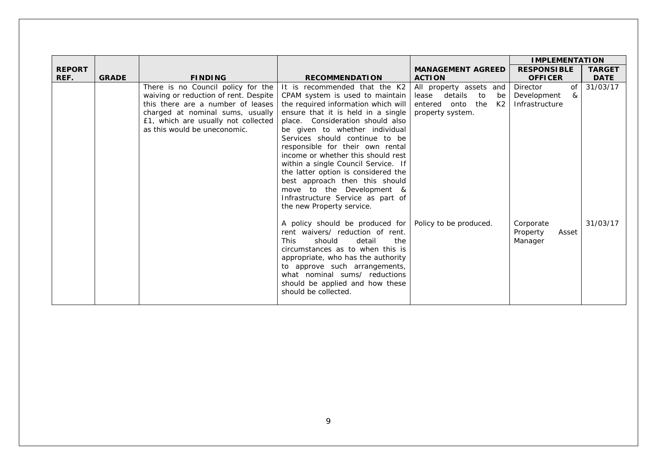|               |              |                                       |                                                                                                                                                                                                                                                                                                                                                   |                              | <b>IMPLEMENTATION</b>                     |               |
|---------------|--------------|---------------------------------------|---------------------------------------------------------------------------------------------------------------------------------------------------------------------------------------------------------------------------------------------------------------------------------------------------------------------------------------------------|------------------------------|-------------------------------------------|---------------|
| <b>REPORT</b> |              |                                       |                                                                                                                                                                                                                                                                                                                                                   | <b>MANAGEMENT AGREED</b>     | <b>RESPONSIBLE</b>                        | <b>TARGET</b> |
| REF.          | <b>GRADE</b> | <b>FINDING</b>                        | <b>RECOMMENDATION</b>                                                                                                                                                                                                                                                                                                                             | <b>ACTION</b>                | <b>OFFICER</b>                            | <b>DATE</b>   |
|               |              | There is no Council policy for the    | It is recommended that the K2                                                                                                                                                                                                                                                                                                                     | All property assets and      | Director<br>of                            | 31/03/17      |
|               |              | waiving or reduction of rent. Despite | CPAM system is used to maintain                                                                                                                                                                                                                                                                                                                   | details<br>to<br>lease<br>be | Development<br>&                          |               |
|               |              | this there are a number of leases     | the required information which will                                                                                                                                                                                                                                                                                                               | entered onto the<br>K2       | Infrastructure                            |               |
|               |              | charged at nominal sums, usually      | ensure that it is held in a single                                                                                                                                                                                                                                                                                                                | property system.             |                                           |               |
|               |              | £1, which are usually not collected   | place. Consideration should also                                                                                                                                                                                                                                                                                                                  |                              |                                           |               |
|               |              | as this would be uneconomic.          | be given to whether individual                                                                                                                                                                                                                                                                                                                    |                              |                                           |               |
|               |              |                                       | Services should continue to be                                                                                                                                                                                                                                                                                                                    |                              |                                           |               |
|               |              |                                       | responsible for their own rental                                                                                                                                                                                                                                                                                                                  |                              |                                           |               |
|               |              |                                       | income or whether this should rest                                                                                                                                                                                                                                                                                                                |                              |                                           |               |
|               |              |                                       | within a single Council Service. If                                                                                                                                                                                                                                                                                                               |                              |                                           |               |
|               |              |                                       | the latter option is considered the                                                                                                                                                                                                                                                                                                               |                              |                                           |               |
|               |              |                                       | best approach then this should                                                                                                                                                                                                                                                                                                                    |                              |                                           |               |
|               |              |                                       | move to the Development &                                                                                                                                                                                                                                                                                                                         |                              |                                           |               |
|               |              |                                       | Infrastructure Service as part of                                                                                                                                                                                                                                                                                                                 |                              |                                           |               |
|               |              |                                       |                                                                                                                                                                                                                                                                                                                                                   |                              |                                           |               |
|               |              |                                       |                                                                                                                                                                                                                                                                                                                                                   |                              |                                           |               |
|               |              |                                       |                                                                                                                                                                                                                                                                                                                                                   |                              |                                           |               |
|               |              |                                       |                                                                                                                                                                                                                                                                                                                                                   |                              |                                           |               |
|               |              |                                       |                                                                                                                                                                                                                                                                                                                                                   |                              |                                           |               |
|               |              |                                       |                                                                                                                                                                                                                                                                                                                                                   |                              |                                           |               |
|               |              |                                       |                                                                                                                                                                                                                                                                                                                                                   |                              |                                           |               |
|               |              |                                       |                                                                                                                                                                                                                                                                                                                                                   |                              |                                           |               |
|               |              |                                       |                                                                                                                                                                                                                                                                                                                                                   |                              |                                           |               |
|               |              |                                       |                                                                                                                                                                                                                                                                                                                                                   |                              |                                           |               |
|               |              |                                       |                                                                                                                                                                                                                                                                                                                                                   |                              |                                           |               |
|               |              |                                       | the new Property service.<br>A policy should be produced for<br>rent waivers/ reduction of rent.<br>should<br>detail<br><b>This</b><br>the<br>circumstances as to when this is<br>appropriate, who has the authority<br>to approve such arrangements,<br>what nominal sums/ reductions<br>should be applied and how these<br>should be collected. | Policy to be produced.       | Corporate<br>Property<br>Asset<br>Manager | 31/03/17      |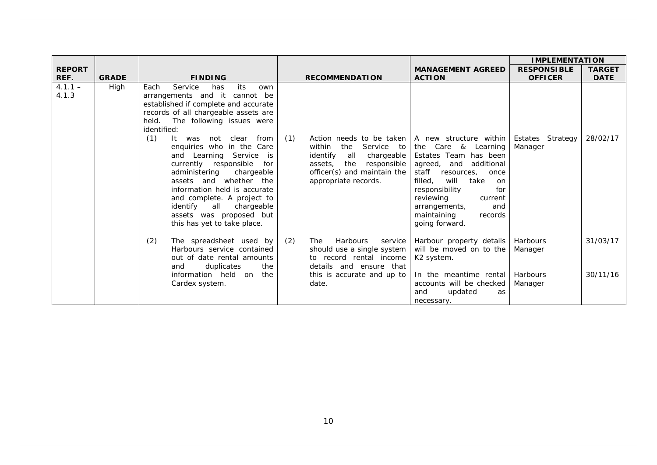|                    |              |                                                                                                                                                                                                                                                                                                                                                                                                                                                                                                                                                          |                                                                                                                                                                                      |                                                                                                                                                                                                                                                                                                            | <b>IMPLEMENTATION</b>          |                      |
|--------------------|--------------|----------------------------------------------------------------------------------------------------------------------------------------------------------------------------------------------------------------------------------------------------------------------------------------------------------------------------------------------------------------------------------------------------------------------------------------------------------------------------------------------------------------------------------------------------------|--------------------------------------------------------------------------------------------------------------------------------------------------------------------------------------|------------------------------------------------------------------------------------------------------------------------------------------------------------------------------------------------------------------------------------------------------------------------------------------------------------|--------------------------------|----------------------|
| <b>REPORT</b>      |              |                                                                                                                                                                                                                                                                                                                                                                                                                                                                                                                                                          |                                                                                                                                                                                      | <b>MANAGEMENT AGREED</b>                                                                                                                                                                                                                                                                                   | <b>RESPONSIBLE</b>             | <b>TARGET</b>        |
| REF.               | <b>GRADE</b> | <b>FINDING</b>                                                                                                                                                                                                                                                                                                                                                                                                                                                                                                                                           | <b>RECOMMENDATION</b>                                                                                                                                                                | <b>ACTION</b>                                                                                                                                                                                                                                                                                              | <b>OFFICER</b>                 | <b>DATE</b>          |
| $4.1.1 -$<br>4.1.3 | High         | Service<br>its<br>Each<br>has<br>own<br>arrangements and it cannot be<br>established if complete and accurate<br>records of all chargeable assets are<br>held. The following issues were<br>identified:<br>(1)<br>It was not clear<br>from<br>enquiries who in the Care<br>and Learning Service<br>is.<br>currently responsible<br>for<br>administering<br>chargeable<br>assets and whether the<br>information held is accurate<br>and complete. A project to<br>identify<br>all<br>chargeable<br>assets was proposed but<br>this has yet to take place. | (1)<br>Action needs to be taken<br>within<br>the<br>Service to<br>chargeable<br>identify<br>all<br>responsible<br>assets, the<br>officer(s) and maintain the<br>appropriate records. | A new structure within Estates Strategy<br>the Care & Learning<br>Estates Team has been<br>agreed,<br>and additional<br>staff<br>resources,<br>once<br>filled.<br>will<br>take<br>on.<br>responsibility<br>for<br>reviewing<br>current<br>arrangements,<br>and<br>maintaining<br>records<br>going forward. | Manager                        | 28/02/17             |
|                    |              | (2)<br>The spreadsheet used by<br>Harbours service contained<br>out of date rental amounts<br>duplicates<br>the<br>and<br>information held on<br>the<br>Cardex system.                                                                                                                                                                                                                                                                                                                                                                                   | (2)<br>Harbours<br><b>The</b><br>service<br>should use a single system<br>to record rental income<br>details and ensure that<br>this is accurate and up to<br>date.                  | Harbour property details<br>will be moved on to the<br>K <sub>2</sub> system.<br>In the meantime rental   Harbours<br>accounts will be checked                                                                                                                                                             | Harbours<br>Manager<br>Manager | 31/03/17<br>30/11/16 |
|                    |              |                                                                                                                                                                                                                                                                                                                                                                                                                                                                                                                                                          |                                                                                                                                                                                      | updated<br>and<br>as<br>necessary.                                                                                                                                                                                                                                                                         |                                |                      |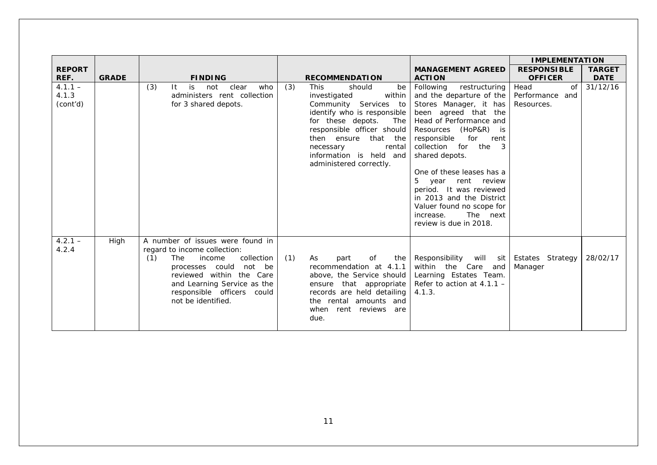|                                        |              |                                                                                                                                                                                                                                                    |                                                                                                                                                                                                                                                                                                              |                                                                                                                                                                                                                                                                                                                                                                                                                                                                 | <b>IMPLEMENTATION</b>                                         |                         |
|----------------------------------------|--------------|----------------------------------------------------------------------------------------------------------------------------------------------------------------------------------------------------------------------------------------------------|--------------------------------------------------------------------------------------------------------------------------------------------------------------------------------------------------------------------------------------------------------------------------------------------------------------|-----------------------------------------------------------------------------------------------------------------------------------------------------------------------------------------------------------------------------------------------------------------------------------------------------------------------------------------------------------------------------------------------------------------------------------------------------------------|---------------------------------------------------------------|-------------------------|
| <b>REPORT</b>                          |              |                                                                                                                                                                                                                                                    |                                                                                                                                                                                                                                                                                                              | <b>MANAGEMENT AGREED</b>                                                                                                                                                                                                                                                                                                                                                                                                                                        | <b>RESPONSIBLE</b>                                            | <b>TARGET</b>           |
| REF.<br>$4.1.1 -$<br>4.1.3<br>(cont'd) | <b>GRADE</b> | <b>FINDING</b><br>(3)<br>is<br>not<br>clear<br>who<br>-lt<br>administers rent collection<br>for 3 shared depots.                                                                                                                                   | <b>RECOMMENDATION</b><br>(3)<br><b>This</b><br>should<br>be<br>investigated<br>within<br>Community Services to<br>identify who is responsible<br>for these depots.<br>The<br>responsible officer should<br>then ensure that the<br>rental<br>necessary<br>information is held and<br>administered correctly. | <b>ACTION</b><br>Following<br>restructuring<br>and the departure of the<br>Stores Manager, it has<br>been agreed that the<br>Head of Performance and<br>Resources (HoP&R) is<br>responsible<br>for rent<br>collection for the<br>$\mathbf{R}$<br>shared depots.<br>One of these leases has a<br>5<br>year<br>rent review<br>period. It was reviewed<br>in 2013 and the District<br>Valuer found no scope for<br>The next<br>increase.<br>review is due in 2018. | <b>OFFICER</b><br>Head<br>of<br>Performance and<br>Resources. | <b>DATE</b><br>31/12/16 |
| $4.2.1 -$<br>4.2.4                     | High         | A number of issues were found in<br>regard to income collection:<br>(1)<br>collection<br>The<br>income<br>processes could<br>not be<br>reviewed within the Care<br>and Learning Service as the<br>responsible officers could<br>not be identified. | (1)<br>of<br>As<br>part<br>the<br>recommendation at 4.1.1<br>above, the Service should<br>ensure that appropriate Refer to action at $4.1.1 -$<br>records are held detailing<br>the rental amounts and<br>when rent reviews are<br>due.                                                                      | Responsibility will sit Estates Strategy<br>within the Care<br>and<br>Learning Estates Team.<br>4.1.3.                                                                                                                                                                                                                                                                                                                                                          | Manager                                                       | 28/02/17                |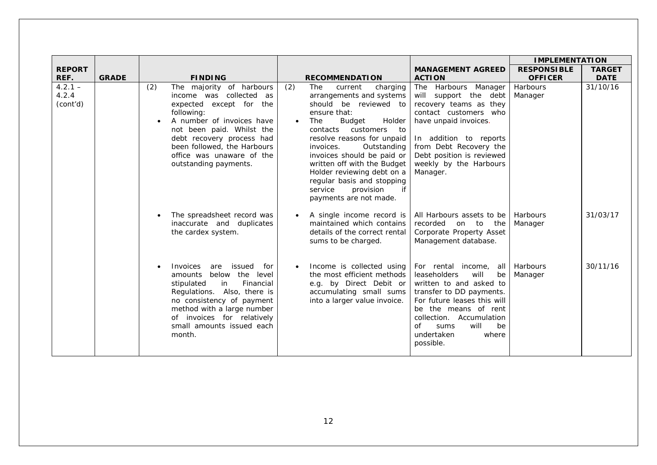|                                |              |                                                                                                                                                                                                                                                                                 |                                                                                                                                                                                                                                                                                                                                                                                                              |                                                                                                                                                                                                                                                                       | <b>IMPLEMENTATION</b> |               |
|--------------------------------|--------------|---------------------------------------------------------------------------------------------------------------------------------------------------------------------------------------------------------------------------------------------------------------------------------|--------------------------------------------------------------------------------------------------------------------------------------------------------------------------------------------------------------------------------------------------------------------------------------------------------------------------------------------------------------------------------------------------------------|-----------------------------------------------------------------------------------------------------------------------------------------------------------------------------------------------------------------------------------------------------------------------|-----------------------|---------------|
| <b>REPORT</b>                  |              |                                                                                                                                                                                                                                                                                 |                                                                                                                                                                                                                                                                                                                                                                                                              | <b>MANAGEMENT AGREED</b>                                                                                                                                                                                                                                              | <b>RESPONSIBLE</b>    | <b>TARGET</b> |
| REF.                           | <b>GRADE</b> | <b>FINDING</b>                                                                                                                                                                                                                                                                  | <b>RECOMMENDATION</b>                                                                                                                                                                                                                                                                                                                                                                                        | <b>ACTION</b>                                                                                                                                                                                                                                                         | <b>OFFICER</b>        | <b>DATE</b>   |
| $4.2.1 -$<br>4.2.4<br>(cont'd) |              | (2)<br>The majority of harbours<br>income was collected as<br>expected except for the<br>following:<br>A number of invoices have<br>not been paid. Whilst the<br>debt recovery process had<br>been followed, the Harbours<br>office was unaware of the<br>outstanding payments. | (2)<br><b>The</b><br>current<br>charging<br>arrangements and systems<br>should be reviewed to<br>ensure that:<br>Holder<br>Budget<br>The<br>contacts customers to<br>resolve reasons for unpaid<br>invoices.<br>Outstanding<br>invoices should be paid or<br>written off with the Budget<br>Holder reviewing debt on a<br>regular basis and stopping<br>provision<br>if<br>service<br>payments are not made. | The Harbours Manager<br>will support the debt<br>recovery teams as they<br>contact customers who<br>have unpaid invoices.<br>In addition to reports<br>from Debt Recovery the<br>Debt position is reviewed<br>weekly by the Harbours<br>Manager.                      | Harbours<br>Manager   | 31/10/16      |
|                                |              | The spreadsheet record was<br>inaccurate and duplicates<br>the cardex system.                                                                                                                                                                                                   | A single income record is<br>maintained which contains<br>details of the correct rental<br>sums to be charged.                                                                                                                                                                                                                                                                                               | All Harbours assets to be<br>recorded<br>on to<br>the<br>Corporate Property Asset<br>Management database.                                                                                                                                                             | Harbours<br>Manager   | 31/03/17      |
|                                |              | Invoices<br>are<br>issued<br>for<br>amounts below the level<br>Financial<br>stipulated<br>in<br>Regulations. Also, there is<br>no consistency of payment<br>method with a large number<br>of invoices for relatively<br>small amounts issued each<br>month.                     | Income is collected using<br>the most efficient methods<br>e.g. by Direct Debit or<br>accumulating small sums<br>into a larger value invoice.                                                                                                                                                                                                                                                                | For rental income, all<br><b>leaseholders</b><br>will<br>be<br>written to and asked to<br>transfer to DD payments.<br>For future leases this will<br>be the means of rent<br>collection. Accumulation<br>will<br>be<br>of<br>sums<br>undertaken<br>where<br>possible. | Harbours<br>Manager   | 30/11/16      |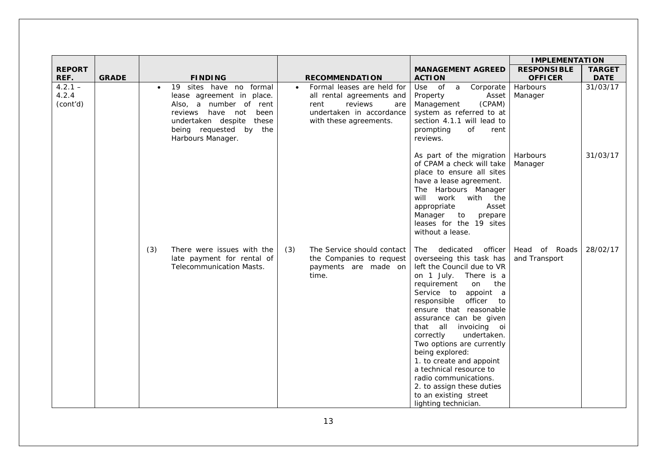|                                |              |                                                                                                                                                                                                          |                                                                                                                                                      |                                                                                                                                                                                                                                                                                                                                                                                                                                                                                                                                 | <b>IMPLEMENTATION</b>                |                              |
|--------------------------------|--------------|----------------------------------------------------------------------------------------------------------------------------------------------------------------------------------------------------------|------------------------------------------------------------------------------------------------------------------------------------------------------|---------------------------------------------------------------------------------------------------------------------------------------------------------------------------------------------------------------------------------------------------------------------------------------------------------------------------------------------------------------------------------------------------------------------------------------------------------------------------------------------------------------------------------|--------------------------------------|------------------------------|
| <b>REPORT</b><br>REF.          | <b>GRADE</b> | <b>FINDING</b>                                                                                                                                                                                           | <b>RECOMMENDATION</b>                                                                                                                                | <b>MANAGEMENT AGREED</b><br><b>ACTION</b>                                                                                                                                                                                                                                                                                                                                                                                                                                                                                       | <b>RESPONSIBLE</b><br><b>OFFICER</b> | <b>TARGET</b><br><b>DATE</b> |
| $4.2.1 -$<br>4.2.4<br>(cont'd) |              | 19 sites have no formal<br>$\bullet$<br>lease agreement in place.<br>Also, a number of rent<br>reviews have not<br>been<br>undertaken despite<br>these<br>being requested by<br>the<br>Harbours Manager. | Formal leases are held for<br>$\bullet$<br>all rental agreements and<br>rent<br>reviews<br>are<br>undertaken in accordance<br>with these agreements. | Use of a<br>Corporate<br>Asset<br>Property<br>(CPAM)<br>Management<br>system as referred to at<br>section 4.1.1 will lead to<br>prompting<br>of<br>rent<br>reviews.                                                                                                                                                                                                                                                                                                                                                             | Harbours<br>Manager                  | 31/03/17                     |
|                                |              |                                                                                                                                                                                                          |                                                                                                                                                      | As part of the migration<br>of CPAM a check will take<br>place to ensure all sites<br>have a lease agreement.<br>The Harbours Manager<br>will<br>work<br>with<br>the<br>appropriate<br>Asset<br>Manager<br>$\mathsf{to}$<br>prepare<br>leases for the 19 sites<br>without a lease.                                                                                                                                                                                                                                              | Harbours<br>Manager                  | 31/03/17                     |
|                                |              | There were issues with the<br>(3)<br>late payment for rental of<br>Telecommunication Masts.                                                                                                              | The Service should contact<br>(3)<br>the Companies to request<br>payments are made on<br>time.                                                       | dedicated<br>officer<br>The<br>overseeing this task has<br>left the Council due to VR<br>on 1 July. There is a<br>the<br>requirement<br>on<br>Service to<br>appoint a<br>officer<br>responsible<br>to<br>ensure that reasonable<br>assurance can be given<br>that all<br>invoicing oi<br>undertaken.<br>correctly<br>Two options are currently<br>being explored:<br>1. to create and appoint<br>a technical resource to<br>radio communications.<br>2. to assign these duties<br>to an existing street<br>lighting technician. | Head of Roads<br>and Transport       | 28/02/17                     |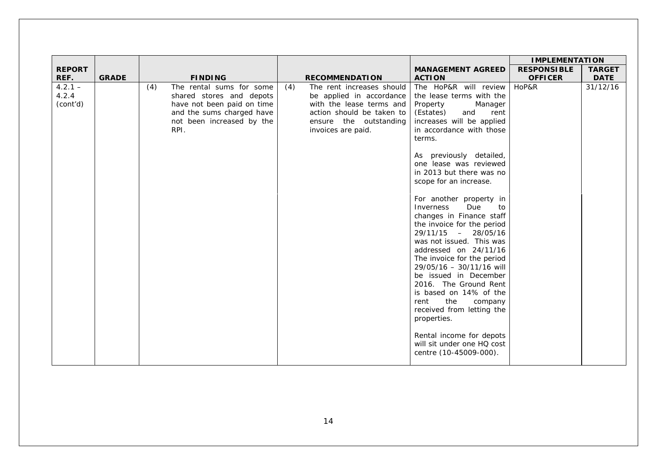|                                |              |                                                                                                                                                             |                                                                                                                                                                       |                                                                                                                                                                                                                                                                                                                                                                                                                                                                                                                                                                                                                                                                                                                                                                               | <b>IMPLEMENTATION</b> |               |
|--------------------------------|--------------|-------------------------------------------------------------------------------------------------------------------------------------------------------------|-----------------------------------------------------------------------------------------------------------------------------------------------------------------------|-------------------------------------------------------------------------------------------------------------------------------------------------------------------------------------------------------------------------------------------------------------------------------------------------------------------------------------------------------------------------------------------------------------------------------------------------------------------------------------------------------------------------------------------------------------------------------------------------------------------------------------------------------------------------------------------------------------------------------------------------------------------------------|-----------------------|---------------|
| <b>REPORT</b>                  |              |                                                                                                                                                             |                                                                                                                                                                       | <b>MANAGEMENT AGREED</b>                                                                                                                                                                                                                                                                                                                                                                                                                                                                                                                                                                                                                                                                                                                                                      | <b>RESPONSIBLE</b>    | <b>TARGET</b> |
| REF.                           | <b>GRADE</b> | <b>FINDING</b>                                                                                                                                              | <b>RECOMMENDATION</b>                                                                                                                                                 | <b>ACTION</b>                                                                                                                                                                                                                                                                                                                                                                                                                                                                                                                                                                                                                                                                                                                                                                 | <b>OFFICER</b>        | <b>DATE</b>   |
| $4.2.1 -$<br>4.2.4<br>(cont'd) |              | The rental sums for some<br>(4)<br>shared stores and depots<br>have not been paid on time<br>and the sums charged have<br>not been increased by the<br>RPI. | (4)<br>The rent increases should<br>be applied in accordance<br>with the lease terms and<br>action should be taken to<br>ensure the outstanding<br>invoices are paid. | The HoP&R will review<br>the lease terms with the<br>Manager<br>Property<br>(Estates)<br>and<br>rent<br>increases will be applied<br>in accordance with those<br>terms.<br>As previously detailed,<br>one lease was reviewed<br>in 2013 but there was no<br>scope for an increase.<br>For another property in<br>Inverness<br>Due<br>to<br>changes in Finance staff<br>the invoice for the period<br>29/11/15 - 28/05/16<br>was not issued. This was<br>addressed on 24/11/16<br>The invoice for the period<br>29/05/16 - 30/11/16 will<br>be issued in December<br>2016. The Ground Rent<br>is based on 14% of the<br>the<br>rent<br>company<br>received from letting the<br>properties.<br>Rental income for depots<br>will sit under one HQ cost<br>centre (10-45009-000). | HoP&R                 | 31/12/16      |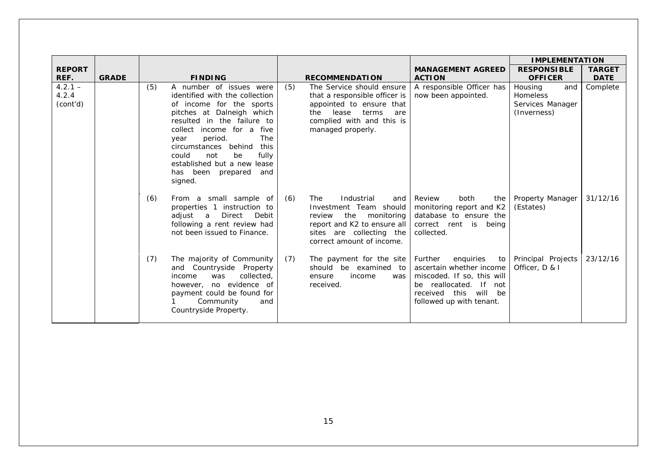|                                |              |                                                                                                                                                                                                                                                                                                                                                              |                                                                                                                                                                                         |                                                                                                                                                                                     | <b>IMPLEMENTATION</b>                                                |                              |
|--------------------------------|--------------|--------------------------------------------------------------------------------------------------------------------------------------------------------------------------------------------------------------------------------------------------------------------------------------------------------------------------------------------------------------|-----------------------------------------------------------------------------------------------------------------------------------------------------------------------------------------|-------------------------------------------------------------------------------------------------------------------------------------------------------------------------------------|----------------------------------------------------------------------|------------------------------|
| <b>REPORT</b><br>REF.          | <b>GRADE</b> | <b>FINDING</b>                                                                                                                                                                                                                                                                                                                                               | <b>RECOMMENDATION</b>                                                                                                                                                                   | <b>MANAGEMENT AGREED</b><br><b>ACTION</b>                                                                                                                                           | <b>RESPONSIBLE</b><br><b>OFFICER</b>                                 | <b>TARGET</b><br><b>DATE</b> |
| $4.2.1 -$<br>4.2.4<br>(cont'd) |              | (5)<br>A number of issues were<br>identified with the collection<br>of income for the sports<br>pitches at Dalneigh which<br>resulted in the failure to<br>income for a five<br>collect<br>period.<br>The<br>year<br>behind<br>circumstances<br>this<br>fully<br>could<br>not<br>be<br>established but a new lease<br>has been<br>prepared<br>and<br>signed. | (5)<br>The Service should ensure<br>that a responsible officer is<br>appointed to ensure that<br>lease<br>the<br>terms<br>are<br>complied with and this is<br>managed properly.         | A responsible Officer has<br>now been appointed.                                                                                                                                    | Housing<br>and<br><b>Homeless</b><br>Services Manager<br>(Inverness) | Complete                     |
|                                |              | (6)<br>From a small sample of<br>properties 1 instruction to<br>adjust a<br>Direct<br>Debit<br>following a rent review had<br>not been issued to Finance.                                                                                                                                                                                                    | (6)<br><b>The</b><br>Industrial<br>and<br>Investment Team should<br>the<br>monitoring<br>review<br>report and K2 to ensure all<br>sites are collecting the<br>correct amount of income. | Review<br>both<br>the<br>monitoring report and K2<br>database to ensure the<br>correct rent is being<br>collected.                                                                  | Property Manager<br>(Estates)                                        | 31/12/16                     |
|                                |              | (7)<br>The majority of Community<br>and Countryside Property<br>collected,<br>income<br>was<br>no evidence of<br>however,<br>payment could be found for<br>Community<br>and<br>Countryside Property.                                                                                                                                                         | The payment for the site<br>(7)<br>should be examined to<br>income<br>ensure<br>was<br>received.                                                                                        | Further<br>enquiries<br>to<br>ascertain whether income<br>miscoded. If so, this will<br>be reallocated.<br> f <br>not<br>this<br>received<br>will<br>be<br>followed up with tenant. | Principal Projects<br>Officer, D & I                                 | 23/12/16                     |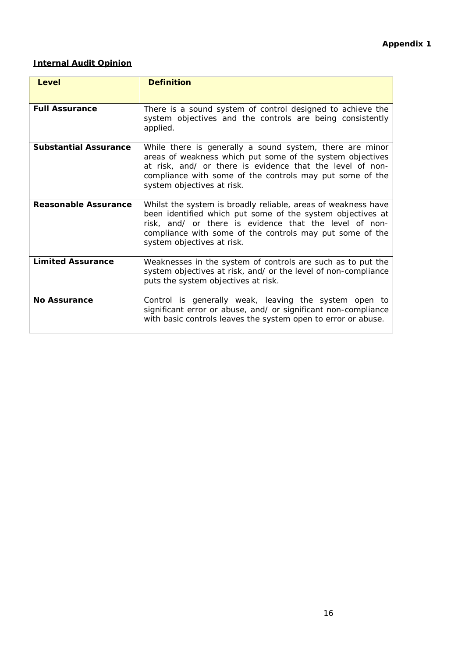# **Internal Audit Opinion**

| <b>Level</b>                 | <b>Definition</b>                                                                                                                                                                                                                                                               |
|------------------------------|---------------------------------------------------------------------------------------------------------------------------------------------------------------------------------------------------------------------------------------------------------------------------------|
| <b>Full Assurance</b>        | There is a sound system of control designed to achieve the<br>system objectives and the controls are being consistently<br>applied.                                                                                                                                             |
| <b>Substantial Assurance</b> | While there is generally a sound system, there are minor<br>areas of weakness which put some of the system objectives<br>at risk, and/ or there is evidence that the level of non-<br>compliance with some of the controls may put some of the<br>system objectives at risk.    |
| Reasonable Assurance         | Whilst the system is broadly reliable, areas of weakness have<br>been identified which put some of the system objectives at<br>risk, and/ or there is evidence that the level of non-<br>compliance with some of the controls may put some of the<br>system objectives at risk. |
| <b>Limited Assurance</b>     | Weaknesses in the system of controls are such as to put the<br>system objectives at risk, and/ or the level of non-compliance<br>puts the system objectives at risk.                                                                                                            |
| <b>No Assurance</b>          | Control is generally weak, leaving the system open to<br>significant error or abuse, and/ or significant non-compliance<br>with basic controls leaves the system open to error or abuse.                                                                                        |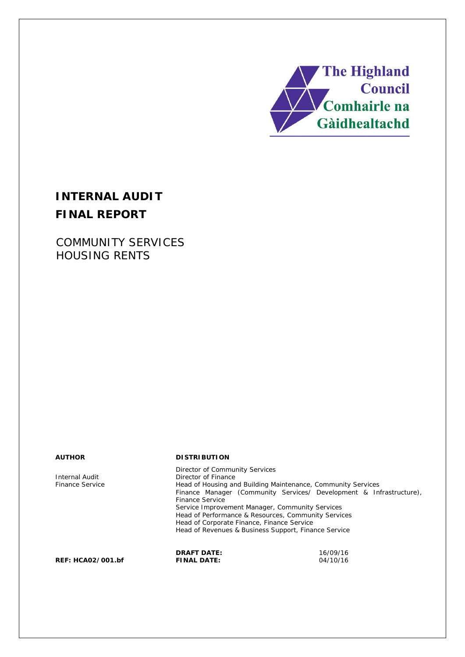

# **INTERNAL AUDIT FINAL REPORT**

COMMUNITY SERVICES HOUSING RENTS

#### **AUTHOR DISTRIBUTION**

Director of Community Services Internal Audit<br>
Finance Service<br>
Head of Housing and Theory Finance Service Head of Housing and Building Maintenance, Community Services Finance Manager (Community Services/ Development & Infrastructure), Finance Service Service Improvement Manager, Community Services Head of Performance & Resources, Community Services Head of Corporate Finance, Finance Service Head of Revenues & Business Support, Finance Service

**DRAFT DATE:** 16/09/16

**REF: HCA02/001.bf**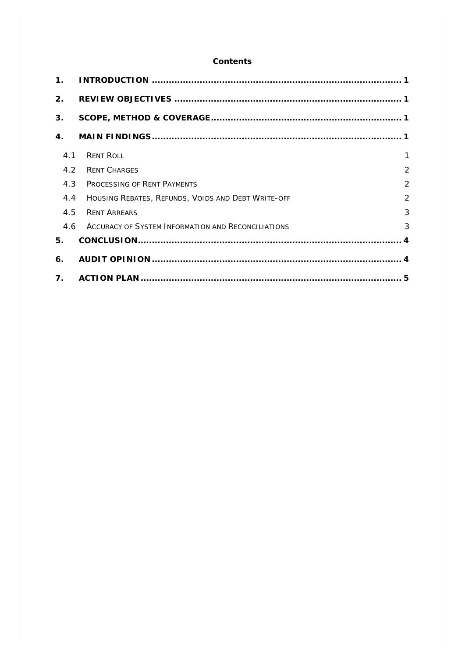#### **Contents**

| $\mathbf 1$ .  |                                                    |                |
|----------------|----------------------------------------------------|----------------|
| 2 <sub>1</sub> |                                                    |                |
| 3 <sub>1</sub> |                                                    |                |
| 4.             |                                                    |                |
| 4.1            | <b>RENT ROLL</b>                                   | 1              |
| 4.2            | <b>RENT CHARGES</b>                                | $\overline{2}$ |
| 4.3            | PROCESSING OF RENT PAYMENTS                        | $\overline{2}$ |
| 4.4            | HOUSING REBATES, REFUNDS, VOIDS AND DEBT WRITE-OFF | $\overline{2}$ |
| 4.5            | <b>RENT ARREARS</b>                                | 3              |
| 4.6            | ACCURACY OF SYSTEM INFORMATION AND RECONCILIATIONS | 3              |
| 5.             |                                                    |                |
| 6.             |                                                    |                |
| 7 <sub>1</sub> |                                                    |                |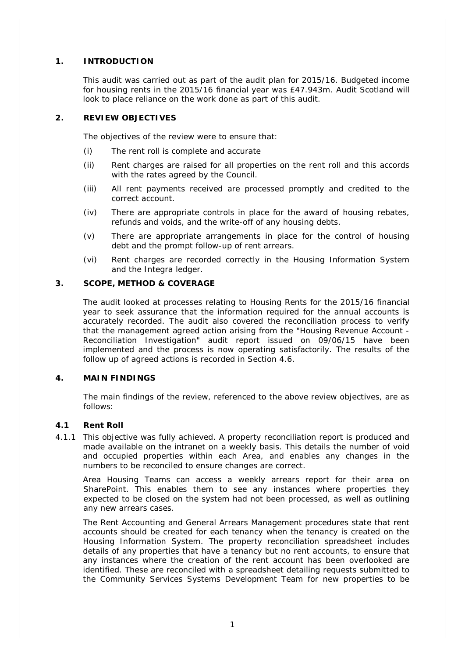### **1. INTRODUCTION**

This audit was carried out as part of the audit plan for 2015/16. Budgeted income for housing rents in the 2015/16 financial year was £47.943m. Audit Scotland will look to place reliance on the work done as part of this audit.

#### **2. REVIEW OBJECTIVES**

The objectives of the review were to ensure that:

- (i) The rent roll is complete and accurate
- (ii) Rent charges are raised for all properties on the rent roll and this accords with the rates agreed by the Council.
- (iii) All rent payments received are processed promptly and credited to the correct account.
- (iv) There are appropriate controls in place for the award of housing rebates, refunds and voids, and the write-off of any housing debts.
- (v) There are appropriate arrangements in place for the control of housing debt and the prompt follow-up of rent arrears.
- (vi) Rent charges are recorded correctly in the Housing Information System and the Integra ledger.

#### **3. SCOPE, METHOD & COVERAGE**

The audit looked at processes relating to Housing Rents for the 2015/16 financial year to seek assurance that the information required for the annual accounts is accurately recorded. The audit also covered the reconciliation process to verify that the management agreed action arising from the "Housing Revenue Account - Reconciliation Investigation" audit report issued on 09/06/15 have been implemented and the process is now operating satisfactorily. The results of the follow up of agreed actions is recorded in Section 4.6.

#### **4. MAIN FINDINGS**

The main findings of the review, referenced to the above review objectives, are as follows:

#### **4.1 Rent Roll**

4.1.1 This objective was fully achieved. A property reconciliation report is produced and made available on the intranet on a weekly basis. This details the number of void and occupied properties within each Area, and enables any changes in the numbers to be reconciled to ensure changes are correct.

Area Housing Teams can access a weekly arrears report for their area on SharePoint. This enables them to see any instances where properties they expected to be closed on the system had not been processed, as well as outlining any new arrears cases.

The Rent Accounting and General Arrears Management procedures state that rent accounts should be created for each tenancy when the tenancy is created on the Housing Information System. The property reconciliation spreadsheet includes details of any properties that have a tenancy but no rent accounts, to ensure that any instances where the creation of the rent account has been overlooked are identified. These are reconciled with a spreadsheet detailing requests submitted to the Community Services Systems Development Team for new properties to be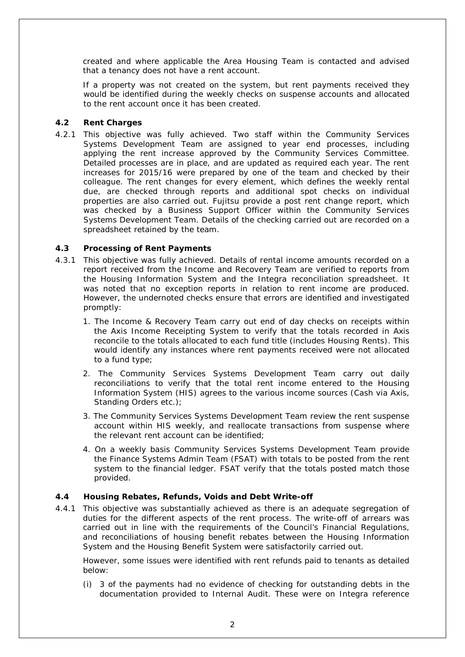created and where applicable the Area Housing Team is contacted and advised that a tenancy does not have a rent account.

If a property was not created on the system, but rent payments received they would be identified during the weekly checks on suspense accounts and allocated to the rent account once it has been created.

#### **4.2 Rent Charges**

4.2.1 This objective was fully achieved. Two staff within the Community Services Systems Development Team are assigned to year end processes, including applying the rent increase approved by the Community Services Committee. Detailed processes are in place, and are updated as required each year. The rent increases for 2015/16 were prepared by one of the team and checked by their colleague. The rent changes for every element, which defines the weekly rental due, are checked through reports and additional spot checks on individual properties are also carried out. Fujitsu provide a post rent change report, which was checked by a Business Support Officer within the Community Services Systems Development Team. Details of the checking carried out are recorded on a spreadsheet retained by the team.

#### **4.3 Processing of Rent Payments**

- 4.3.1 This objective was fully achieved. Details of rental income amounts recorded on a report received from the Income and Recovery Team are verified to reports from the Housing Information System and the Integra reconciliation spreadsheet. It was noted that no exception reports in relation to rent income are produced. However, the undernoted checks ensure that errors are identified and investigated promptly:
	- 1. The Income & Recovery Team carry out end of day checks on receipts within the Axis Income Receipting System to verify that the totals recorded in Axis reconcile to the totals allocated to each fund title (includes Housing Rents). This would identify any instances where rent payments received were not allocated to a fund type;
	- 2. The Community Services Systems Development Team carry out daily reconciliations to verify that the total rent income entered to the Housing Information System (HIS) agrees to the various income sources (Cash via Axis, Standing Orders etc.);
	- 3. The Community Services Systems Development Team review the rent suspense account within HIS weekly, and reallocate transactions from suspense where the relevant rent account can be identified;
	- 4. On a weekly basis Community Services Systems Development Team provide the Finance Systems Admin Team (FSAT) with totals to be posted from the rent system to the financial ledger. FSAT verify that the totals posted match those provided.

### **4.4 Housing Rebates, Refunds, Voids and Debt Write-off**

4.4.1 This objective was substantially achieved as there is an adequate segregation of duties for the different aspects of the rent process. The write-off of arrears was carried out in line with the requirements of the Council's Financial Regulations, and reconciliations of housing benefit rebates between the Housing Information System and the Housing Benefit System were satisfactorily carried out.

However, some issues were identified with rent refunds paid to tenants as detailed below:

(i) 3 of the payments had no evidence of checking for outstanding debts in the documentation provided to Internal Audit. These were on Integra reference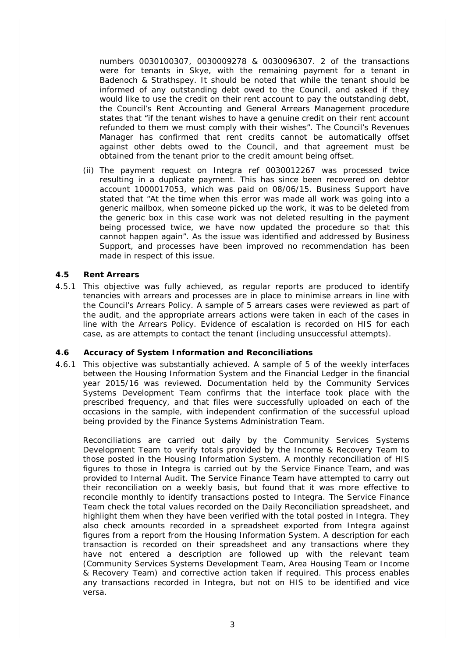numbers 0030100307, 0030009278 & 0030096307. 2 of the transactions were for tenants in Skye, with the remaining payment for a tenant in Badenoch & Strathspey. It should be noted that while the tenant should be informed of any outstanding debt owed to the Council, and asked if they would like to use the credit on their rent account to pay the outstanding debt, the Council's Rent Accounting and General Arrears Management procedure states that "if the tenant wishes to have a genuine credit on their rent account refunded to them we must comply with their wishes". The Council's Revenues Manager has confirmed that rent credits cannot be automatically offset against other debts owed to the Council, and that agreement must be obtained from the tenant prior to the credit amount being offset.

(ii) The payment request on Integra ref 0030012267 was processed twice resulting in a duplicate payment. This has since been recovered on debtor account 1000017053, which was paid on 08/06/15. Business Support have stated that "At the time when this error was made all work was going into a generic mailbox, when someone picked up the work, it was to be deleted from the generic box in this case work was not deleted resulting in the payment being processed twice, we have now updated the procedure so that this cannot happen again". As the issue was identified and addressed by Business Support, and processes have been improved no recommendation has been made in respect of this issue.

#### **4.5 Rent Arrears**

4.5.1 This objective was fully achieved, as regular reports are produced to identify tenancies with arrears and processes are in place to minimise arrears in line with the Council's Arrears Policy. A sample of 5 arrears cases were reviewed as part of the audit, and the appropriate arrears actions were taken in each of the cases in line with the Arrears Policy. Evidence of escalation is recorded on HIS for each case, as are attempts to contact the tenant (including unsuccessful attempts).

#### **4.6 Accuracy of System Information and Reconciliations**

4.6.1 This objective was substantially achieved. A sample of 5 of the weekly interfaces between the Housing Information System and the Financial Ledger in the financial year 2015/16 was reviewed. Documentation held by the Community Services Systems Development Team confirms that the interface took place with the prescribed frequency, and that files were successfully uploaded on each of the occasions in the sample, with independent confirmation of the successful upload being provided by the Finance Systems Administration Team.

Reconciliations are carried out daily by the Community Services Systems Development Team to verify totals provided by the Income & Recovery Team to those posted in the Housing Information System. A monthly reconciliation of HIS figures to those in Integra is carried out by the Service Finance Team, and was provided to Internal Audit. The Service Finance Team have attempted to carry out their reconciliation on a weekly basis, but found that it was more effective to reconcile monthly to identify transactions posted to Integra. The Service Finance Team check the total values recorded on the Daily Reconciliation spreadsheet, and highlight them when they have been verified with the total posted in Integra. They also check amounts recorded in a spreadsheet exported from Integra against figures from a report from the Housing Information System. A description for each transaction is recorded on their spreadsheet and any transactions where they have not entered a description are followed up with the relevant team (Community Services Systems Development Team, Area Housing Team or Income & Recovery Team) and corrective action taken if required. This process enables any transactions recorded in Integra, but not on HIS to be identified and vice versa.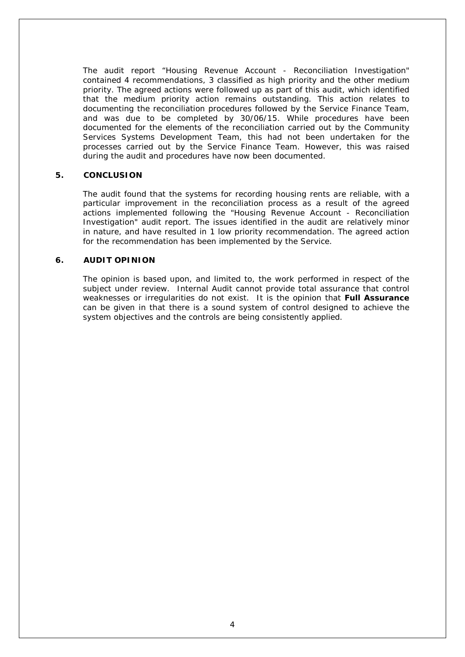The audit report "Housing Revenue Account - Reconciliation Investigation" contained 4 recommendations, 3 classified as high priority and the other medium priority. The agreed actions were followed up as part of this audit, which identified that the medium priority action remains outstanding. This action relates to documenting the reconciliation procedures followed by the Service Finance Team, and was due to be completed by 30/06/15. While procedures have been documented for the elements of the reconciliation carried out by the Community Services Systems Development Team, this had not been undertaken for the processes carried out by the Service Finance Team. However, this was raised during the audit and procedures have now been documented.

#### **5. CONCLUSION**

The audit found that the systems for recording housing rents are reliable, with a particular improvement in the reconciliation process as a result of the agreed actions implemented following the "Housing Revenue Account - Reconciliation Investigation" audit report. The issues identified in the audit are relatively minor in nature, and have resulted in 1 low priority recommendation. The agreed action for the recommendation has been implemented by the Service.

#### **6. AUDIT OPINION**

The opinion is based upon, and limited to, the work performed in respect of the subject under review. Internal Audit cannot provide total assurance that control weaknesses or irregularities do not exist. It is the opinion that **Full Assurance** can be given in that there is a sound system of control designed to achieve the system objectives and the controls are being consistently applied.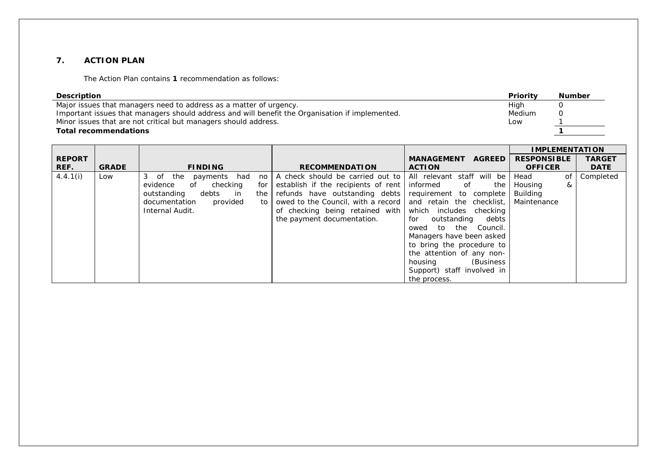#### **7. ACTION PLAN**

The Action Plan contains **1** recommendation as follows:

| <b>Description</b>                                                                              | Priority | <b>Number</b> |
|-------------------------------------------------------------------------------------------------|----------|---------------|
| Major issues that managers need to address as a matter of urgency.                              | High     |               |
| Important issues that managers should address and will benefit the Organisation if implemented. | Medium   |               |
| Minor issues that are not critical but managers should address.                                 | Low      |               |
| <b>Total recommendations</b>                                                                    |          |               |

|               |              |                                      |                                     |                                    | <b>IMPLEMENTATION</b> |               |
|---------------|--------------|--------------------------------------|-------------------------------------|------------------------------------|-----------------------|---------------|
| <b>REPORT</b> |              |                                      |                                     | <b>AGREED</b><br><b>MANAGEMENT</b> | <b>RESPONSIBLE</b>    | <b>TARGET</b> |
| REF.          | <b>GRADE</b> | <b>FINDING</b>                       | <b>RECOMMENDATION</b>               | <b>ACTION</b>                      | <b>OFFICER</b>        | <b>DATE</b>   |
| 4.4.1(i)      | Low          | 3 of the<br>payments had<br>no       | A check should be carried out to    | All relevant staff will be         | Head<br>of            | Completed     |
|               |              | checking<br>evidence<br>of<br>for    | establish if the recipients of rent | informed<br>of<br>the              | Housing<br>&          |               |
|               |              | outstanding<br>debts<br>the<br>in in | refunds have outstanding debts      | requirement to complete            | <b>Building</b>       |               |
|               |              | provided<br>documentation<br>to      | owed to the Council, with a record  | and retain the checklist,          | Maintenance           |               |
|               |              | Internal Audit.                      | of checking being retained with     | which includes checking            |                       |               |
|               |              |                                      | the payment documentation.          | for outstanding<br>debts           |                       |               |
|               |              |                                      |                                     | Council.<br>owed to the            |                       |               |
|               |              |                                      |                                     | Managers have been asked           |                       |               |
|               |              |                                      |                                     | to bring the procedure to          |                       |               |
|               |              |                                      |                                     | the attention of any non-          |                       |               |
|               |              |                                      |                                     | (Business)<br>housing              |                       |               |
|               |              |                                      |                                     | Support) staff involved in         |                       |               |
|               |              |                                      |                                     | the process.                       |                       |               |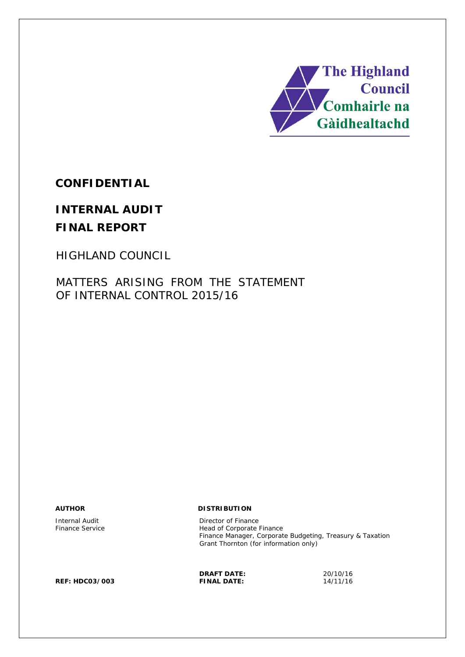

**CONFIDENTIAL**

# **INTERNAL AUDIT FINAL REPORT**

HIGHLAND COUNCIL

MATTERS ARISING FROM THE STATEMENT OF INTERNAL CONTROL 2015/16

#### **AUTHOR DISTRIBUTION**

Internal Audit **Director of Finance Service**<br>
Finance Service **Director of Finance Service** Head of Corporate Finance Finance Manager, Corporate Budgeting, Treasury & Taxation Grant Thornton (for information only)

**REF: HDC03/003 FINAL DATE:** 14/11/16

**DRAFT DATE:** 20/10/16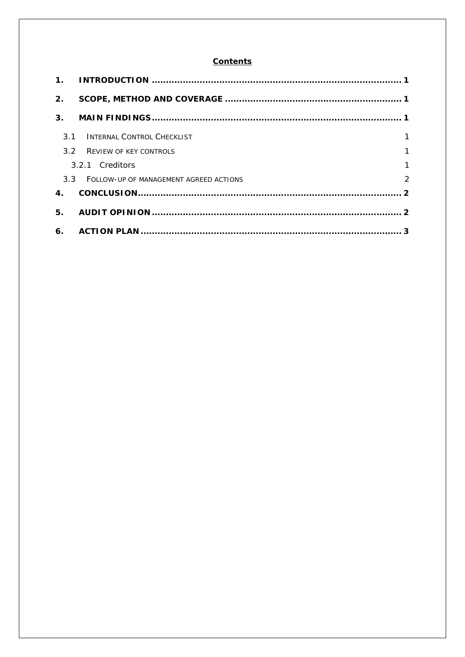#### **Contents**

| 2.               |                                            |                |
|------------------|--------------------------------------------|----------------|
| 3.               |                                            |                |
| 31               | INTERNAL CONTROL CHECKLIST                 | 1              |
| 3.2 <sub>2</sub> | <b>REVIEW OF KEY CONTROLS</b>              | 1              |
|                  | 3.2.1 Creditors                            | $\mathbf{1}$   |
|                  | 3.3 FOLLOW-UP OF MANAGEMENT AGREED ACTIONS | $\overline{2}$ |
| 4.               |                                            |                |
| 5.               |                                            |                |
| 6.               |                                            |                |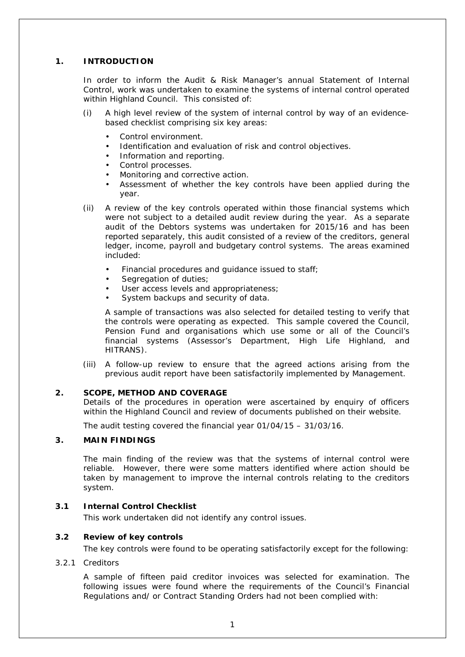#### **1. INTRODUCTION**

In order to inform the Audit & Risk Manager's annual Statement of Internal Control, work was undertaken to examine the systems of internal control operated within Highland Council. This consisted of:

- (i) A high level review of the system of internal control by way of an evidencebased checklist comprising six key areas:
	- Control environment.
	- Identification and evaluation of risk and control objectives.
	- Information and reporting.
	- Control processes.
	- Monitoring and corrective action.
	- Assessment of whether the key controls have been applied during the year.
- (ii) A review of the key controls operated within those financial systems which were not subject to a detailed audit review during the year. As a separate audit of the Debtors systems was undertaken for 2015/16 and has been reported separately, this audit consisted of a review of the creditors, general ledger, income, payroll and budgetary control systems. The areas examined included:
	- Financial procedures and guidance issued to staff:
	- Segregation of duties;
	- User access levels and appropriateness;
	- System backups and security of data.

A sample of transactions was also selected for detailed testing to verify that the controls were operating as expected. This sample covered the Council, Pension Fund and organisations which use some or all of the Council's financial systems (Assessor's Department, High Life Highland, and HITRANS).

(iii) A follow-up review to ensure that the agreed actions arising from the previous audit report have been satisfactorily implemented by Management.

#### **2. SCOPE, METHOD AND COVERAGE**

Details of the procedures in operation were ascertained by enquiry of officers within the Highland Council and review of documents published on their website.

The audit testing covered the financial year 01/04/15 – 31/03/16.

#### **3. MAIN FINDINGS**

The main finding of the review was that the systems of internal control were reliable. However, there were some matters identified where action should be taken by management to improve the internal controls relating to the creditors system.

#### **3.1 Internal Control Checklist**

This work undertaken did not identify any control issues.

#### **3.2 Review of key controls**

The key controls were found to be operating satisfactorily except for the following:

#### 3.2.1 Creditors

A sample of fifteen paid creditor invoices was selected for examination. The following issues were found where the requirements of the Council's Financial Regulations and/ or Contract Standing Orders had not been complied with: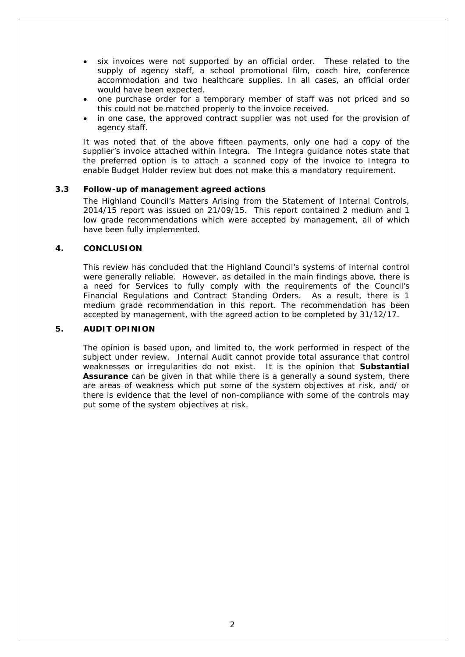- six invoices were not supported by an official order. These related to the supply of agency staff, a school promotional film, coach hire, conference accommodation and two healthcare supplies. In all cases, an official order would have been expected.
- one purchase order for a temporary member of staff was not priced and so this could not be matched properly to the invoice received.
- in one case, the approved contract supplier was not used for the provision of agency staff.

It was noted that of the above fifteen payments, only one had a copy of the supplier's invoice attached within Integra. The Integra guidance notes state that the preferred option is to attach a scanned copy of the invoice to Integra to enable Budget Holder review but does not make this a mandatory requirement.

#### **3.3 Follow-up of management agreed actions**

The Highland Council's Matters Arising from the Statement of Internal Controls, 2014/15 report was issued on 21/09/15. This report contained 2 medium and 1 low grade recommendations which were accepted by management, all of which have been fully implemented.

#### **4. CONCLUSION**

This review has concluded that the Highland Council's systems of internal control were generally reliable. However, as detailed in the main findings above, there is a need for Services to fully comply with the requirements of the Council's Financial Regulations and Contract Standing Orders. As a result, there is 1 medium grade recommendation in this report. The recommendation has been accepted by management, with the agreed action to be completed by 31/12/17.

#### **5. AUDIT OPINION**

The opinion is based upon, and limited to, the work performed in respect of the subject under review. Internal Audit cannot provide total assurance that control weaknesses or irregularities do not exist. It is the opinion that **Substantial Assurance** can be given in that while there is a generally a sound system, there are areas of weakness which put some of the system objectives at risk, and/ or there is evidence that the level of non-compliance with some of the controls may put some of the system objectives at risk.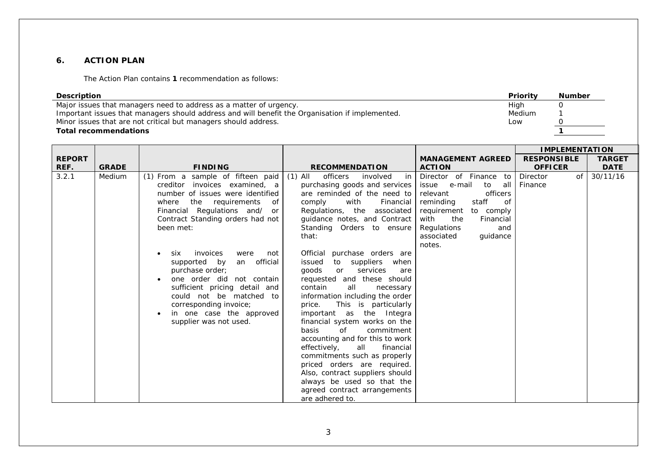#### **6. ACTION PLAN**

The Action Plan contains **1** recommendation as follows:

| <b>Priority</b><br><b>Description</b><br>Major issues that managers need to address as a matter of urgency.<br>High<br>Important issues that managers should address and will benefit the Organisation if implemented.<br><b>Medium</b><br>Minor issues that are not critical but managers should address.<br>Low<br><b>Total recommendations</b> |              |                                                                                                                                                                                                                                                                                                                                                                                                                                                                                                |                                                                                                                                                                                                                                                                                                                                                                                                                                                                                                                                                                                                                                                                                                                                                                                                                                                    |                                                                                                                                                                                                                              | <b>Number</b><br>0<br>0<br>$\mathbf{1}$ |                              |
|---------------------------------------------------------------------------------------------------------------------------------------------------------------------------------------------------------------------------------------------------------------------------------------------------------------------------------------------------|--------------|------------------------------------------------------------------------------------------------------------------------------------------------------------------------------------------------------------------------------------------------------------------------------------------------------------------------------------------------------------------------------------------------------------------------------------------------------------------------------------------------|----------------------------------------------------------------------------------------------------------------------------------------------------------------------------------------------------------------------------------------------------------------------------------------------------------------------------------------------------------------------------------------------------------------------------------------------------------------------------------------------------------------------------------------------------------------------------------------------------------------------------------------------------------------------------------------------------------------------------------------------------------------------------------------------------------------------------------------------------|------------------------------------------------------------------------------------------------------------------------------------------------------------------------------------------------------------------------------|-----------------------------------------|------------------------------|
|                                                                                                                                                                                                                                                                                                                                                   |              |                                                                                                                                                                                                                                                                                                                                                                                                                                                                                                |                                                                                                                                                                                                                                                                                                                                                                                                                                                                                                                                                                                                                                                                                                                                                                                                                                                    |                                                                                                                                                                                                                              | <b>IMPLEMENTATION</b>                   |                              |
| <b>REPORT</b><br>REF.                                                                                                                                                                                                                                                                                                                             | <b>GRADE</b> | <b>FINDING</b>                                                                                                                                                                                                                                                                                                                                                                                                                                                                                 | <b>RECOMMENDATION</b>                                                                                                                                                                                                                                                                                                                                                                                                                                                                                                                                                                                                                                                                                                                                                                                                                              | <b>MANAGEMENT AGREED</b><br><b>ACTION</b>                                                                                                                                                                                    | <b>RESPONSIBLE</b><br><b>OFFICER</b>    | <b>TARGET</b><br><b>DATE</b> |
| 3.2.1                                                                                                                                                                                                                                                                                                                                             | Medium       | (1) From a sample of fifteen paid<br>creditor invoices examined, a<br>number of issues were identified<br>the<br>requirements<br>of<br>where<br>Financial Regulations and/<br>or<br>Contract Standing orders had not<br>been met:<br>six<br>invoices<br>were<br>not<br>an official<br>supported by<br>purchase order;<br>one order did not contain<br>sufficient pricing detail and<br>could not be matched to<br>corresponding invoice;<br>in one case the approved<br>supplier was not used. | $(1)$ All<br>officers<br>in<br>involved<br>purchasing goods and services<br>are reminded of the need to<br>comply<br>with<br>Financial<br>Regulations, the associated<br>guidance notes, and Contract<br>Standing Orders to ensure<br>that:<br>purchase orders are<br>Official<br>to<br>suppliers<br>when<br>issued<br>goods<br>services<br><b>or</b><br>are<br>requested and these should<br>contain<br>all<br>necessary<br>information including the order<br>This is particularly<br>price.<br>important as the Integra<br>financial system works on the<br>of<br>commitment<br>basis<br>accounting and for this to work<br>effectively,<br>all<br>financial<br>commitments such as properly<br>priced orders are required.<br>Also, contract suppliers should<br>always be used so that the<br>agreed contract arrangements<br>are adhered to. | Director of Finance to<br>issue<br>e-mail<br>to<br>all<br>officers<br>relevant<br>staff<br>reminding<br>οf<br>requirement<br>to comply<br>with<br>the<br>Financial<br>Regulations<br>and<br>associated<br>guidance<br>notes. | <b>Director</b><br>of<br>Finance        | 30/11/16                     |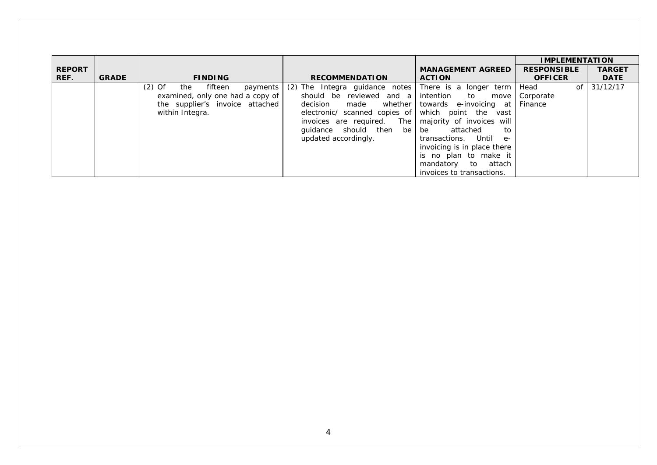|               |              |                                     |                                                               |                             | <b>IMPLEMENTATION</b> |               |
|---------------|--------------|-------------------------------------|---------------------------------------------------------------|-----------------------------|-----------------------|---------------|
| <b>REPORT</b> |              |                                     |                                                               | <b>MANAGEMENT AGREED</b>    | <b>RESPONSIBLE</b>    | <b>TARGET</b> |
| REF.          | <b>GRADE</b> | <b>FINDING</b>                      | <b>RECOMMENDATION</b>                                         | <b>ACTION</b>               | <b>OFFICER</b>        | <b>DATE</b>   |
|               |              | $(2)$ Of<br>the fifteen<br>payments | (2) The Integra guidance notes There is a longer term $\vert$ |                             | Head<br>of            | 31/12/17      |
|               |              | examined, only one had a copy of    | should be reviewed and a intention to move                    |                             | Corporate             |               |
|               |              | the supplier's invoice attached     | decision made whether towards e-invoicing at                  |                             | Finance               |               |
|               |              | within Integra.                     | electronic/ scanned copies of which point the vast            |                             |                       |               |
|               |              |                                     | invoices are required. The   majority of invoices will        |                             |                       |               |
|               |              |                                     | guidance should then be be attached                           | to                          |                       |               |
|               |              |                                     | updated accordingly.                                          | transactions. Until e-      |                       |               |
|               |              |                                     |                                                               | invoicing is in place there |                       |               |
|               |              |                                     |                                                               | is no plan to make it       |                       |               |
|               |              |                                     |                                                               | mandatory to attach         |                       |               |
|               |              |                                     |                                                               | invoices to transactions.   |                       |               |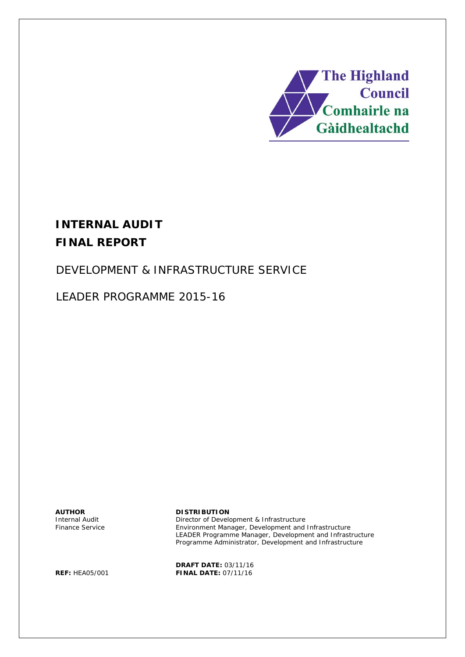

# **INTERNAL AUDIT FINAL REPORT**

# DEVELOPMENT & INFRASTRUCTURE SERVICE

LEADER PROGRAMME 2015-16

Internal Audit Finance Service

#### **AUTHOR DISTRIBUTION**

Director of Development & Infrastructure Environment Manager, Development and Infrastructure LEADER Programme Manager, Development and Infrastructure Programme Administrator, Development and Infrastructure

**DRAFT DATE:** 03/11/16 **REF:** HEA05/001 **FINAL DATE:** 07/11/16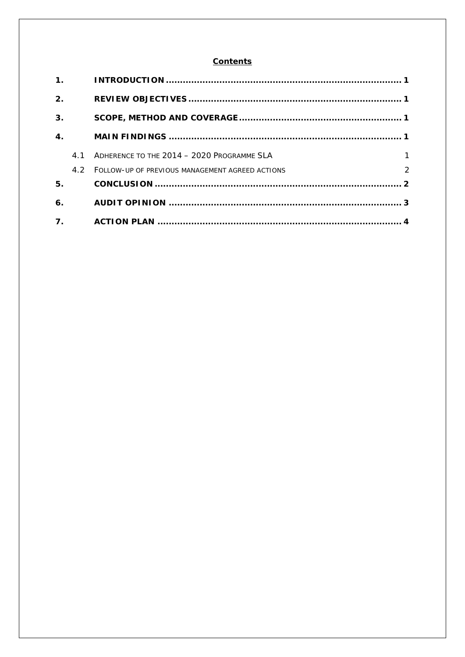#### **Contents**

| 1.                 |     |                                                 |               |
|--------------------|-----|-------------------------------------------------|---------------|
| 2.                 |     |                                                 |               |
| 3.                 |     |                                                 |               |
| $\boldsymbol{4}$ . |     |                                                 |               |
|                    | 4 1 | ADHERENCE TO THE 2014 - 2020 PROGRAMME SI A     | $\mathbf{1}$  |
|                    | 4.2 | FOLLOW-UP OF PREVIOUS MANAGEMENT AGREED ACTIONS | $\mathcal{P}$ |
| 5.                 |     |                                                 |               |
| 6.                 |     |                                                 |               |
| $\overline{7}$ .   |     |                                                 |               |
|                    |     |                                                 |               |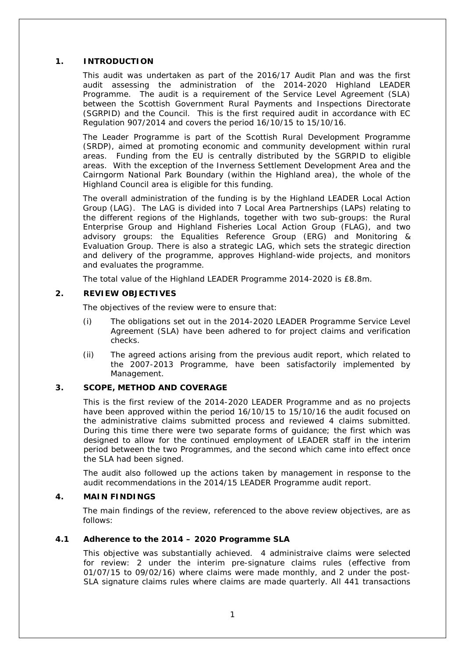#### **1. INTRODUCTION**

This audit was undertaken as part of the 2016/17 Audit Plan and was the first audit assessing the administration of the 2014-2020 Highland LEADER Programme. The audit is a requirement of the Service Level Agreement (SLA) between the Scottish Government Rural Payments and Inspections Directorate (SGRPID) and the Council. This is the first required audit in accordance with EC Regulation 907/2014 and covers the period 16/10/15 to 15/10/16.

The Leader Programme is part of the Scottish Rural Development Programme (SRDP), aimed at promoting economic and community development within rural areas. Funding from the EU is centrally distributed by the SGRPID to eligible areas. With the exception of the Inverness Settlement Development Area and the Cairngorm National Park Boundary (within the Highland area), the whole of the Highland Council area is eligible for this funding.

The overall administration of the funding is by the Highland LEADER Local Action Group (LAG). The LAG is divided into 7 Local Area Partnerships (LAPs) relating to the different regions of the Highlands, together with two sub-groups: the Rural Enterprise Group and Highland Fisheries Local Action Group (FLAG), and two advisory groups: the Equalities Reference Group (ERG) and Monitoring & Evaluation Group. There is also a strategic LAG, which sets the strategic direction and delivery of the programme, approves Highland-wide projects, and monitors and evaluates the programme.

The total value of the Highland LEADER Programme 2014-2020 is £8.8m.

#### **2. REVIEW OBJECTIVES**

The objectives of the review were to ensure that:

- (i) The obligations set out in the 2014-2020 LEADER Programme Service Level Agreement (SLA) have been adhered to for project claims and verification checks.
- (ii) The agreed actions arising from the previous audit report, which related to the 2007-2013 Programme, have been satisfactorily implemented by Management.

#### **3. SCOPE, METHOD AND COVERAGE**

This is the first review of the 2014-2020 LEADER Programme and as no projects have been approved within the period 16/10/15 to 15/10/16 the audit focused on the administrative claims submitted process and reviewed 4 claims submitted. During this time there were two separate forms of guidance; the first which was designed to allow for the continued employment of LEADER staff in the interim period between the two Programmes, and the second which came into effect once the SLA had been signed.

The audit also followed up the actions taken by management in response to the audit recommendations in the 2014/15 LEADER Programme audit report.

#### **4. MAIN FINDINGS**

The main findings of the review, referenced to the above review objectives, are as follows:

#### **4.1 Adherence to the 2014 – 2020 Programme SLA**

This objective was substantially achieved. 4 administraive claims were selected for review: 2 under the interim pre-signature claims rules (effective from 01/07/15 to 09/02/16) where claims were made monthly, and 2 under the post-SLA signature claims rules where claims are made quarterly. All 441 transactions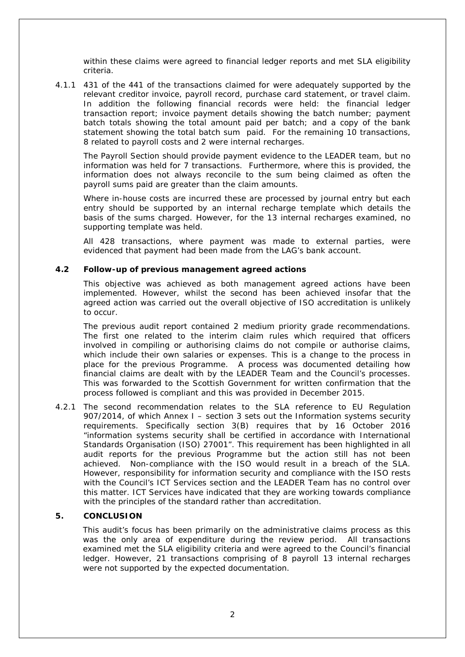within these claims were agreed to financial ledger reports and met SLA eligibility criteria.

4.1.1 431 of the 441 of the transactions claimed for were adequately supported by the relevant creditor invoice, payroll record, purchase card statement, or travel claim. In addition the following financial records were held: the financial ledger transaction report; invoice payment details showing the batch number; payment batch totals showing the total amount paid per batch; and a copy of the bank statement showing the total batch sum paid. For the remaining 10 transactions, 8 related to payroll costs and 2 were internal recharges.

The Payroll Section should provide payment evidence to the LEADER team, but no information was held for 7 transactions. Furthermore, where this is provided, the information does not always reconcile to the sum being claimed as often the payroll sums paid are greater than the claim amounts.

Where in-house costs are incurred these are processed by journal entry but each entry should be supported by an internal recharge template which details the basis of the sums charged. However, for the 13 internal recharges examined, no supporting template was held.

All 428 transactions, where payment was made to external parties, were evidenced that payment had been made from the LAG's bank account.

#### **4.2 Follow-up of previous management agreed actions**

This objective was achieved as both management agreed actions have been implemented. However, whilst the second has been achieved insofar that the agreed action was carried out the overall objective of ISO accreditation is unlikely to occur.

The previous audit report contained 2 medium priority grade recommendations. The first one related to the interim claim rules which required that officers involved in compiling or authorising claims do not compile or authorise claims, which include their own salaries or expenses. This is a change to the process in place for the previous Programme. A process was documented detailing how financial claims are dealt with by the LEADER Team and the Council's processes. This was forwarded to the Scottish Government for written confirmation that the process followed is compliant and this was provided in December 2015.

4.2.1 The second recommendation relates to the SLA reference to EU Regulation 907/2014, of which Annex I – section 3 sets out the Information systems security requirements. Specifically section 3(B) requires that by 16 October 2016 *"information systems security shall be certified in accordance with International Standards Organisation (ISO) 27001"*. This requirement has been highlighted in all audit reports for the previous Programme but the action still has not been achieved. Non-compliance with the ISO would result in a breach of the SLA. However, responsibility for information security and compliance with the ISO rests with the Council's ICT Services section and the LEADER Team has no control over this matter. ICT Services have indicated that they are working towards compliance with the principles of the standard rather than accreditation.

#### **5. CONCLUSION**

This audit's focus has been primarily on the administrative claims process as this was the only area of expenditure during the review period. All transactions examined met the SLA eligibility criteria and were agreed to the Council's financial ledger. However, 21 transactions comprising of 8 payroll 13 internal recharges were not supported by the expected documentation.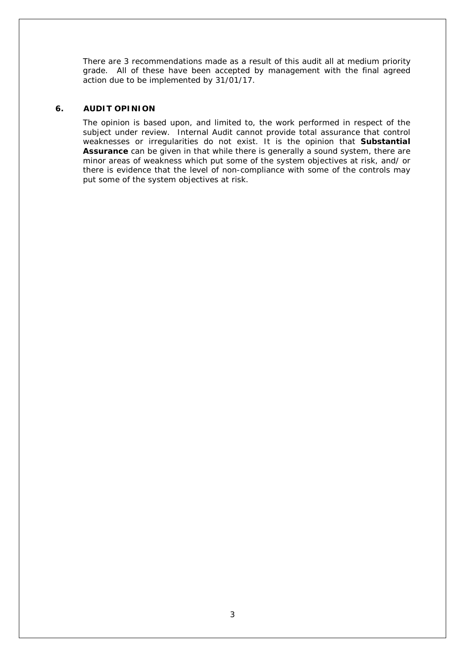There are 3 recommendations made as a result of this audit all at medium priority grade. All of these have been accepted by management with the final agreed action due to be implemented by 31/01/17.

### **6. AUDIT OPINION**

The opinion is based upon, and limited to, the work performed in respect of the subject under review. Internal Audit cannot provide total assurance that control weaknesses or irregularities do not exist. It is the opinion that **Substantial Assurance** can be given in that while there is generally a sound system, there are minor areas of weakness which put some of the system objectives at risk, and/ or there is evidence that the level of non-compliance with some of the controls may put some of the system objectives at risk.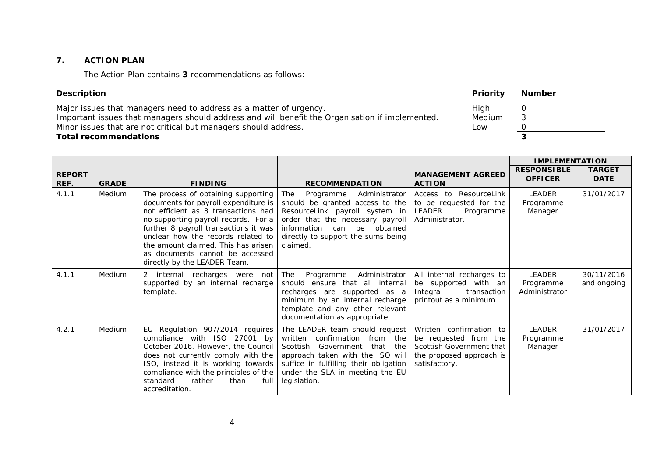### **7. ACTION PLAN**

The Action Plan contains **3** recommendations as follows:

| Description                                                                                                                                                                                                                                                              | <b>Number</b>           |                                                                                                                                                                                                                                                                                                                                                     |                                                                                                                                                                                                                                |                                                                                                       |                                       |                              |  |  |
|--------------------------------------------------------------------------------------------------------------------------------------------------------------------------------------------------------------------------------------------------------------------------|-------------------------|-----------------------------------------------------------------------------------------------------------------------------------------------------------------------------------------------------------------------------------------------------------------------------------------------------------------------------------------------------|--------------------------------------------------------------------------------------------------------------------------------------------------------------------------------------------------------------------------------|-------------------------------------------------------------------------------------------------------|---------------------------------------|------------------------------|--|--|
| Major issues that managers need to address as a matter of urgency.<br>Important issues that managers should address and will benefit the Organisation if implemented.<br>Minor issues that are not critical but managers should address.<br><b>Total recommendations</b> | $\Omega$<br>3<br>0<br>3 |                                                                                                                                                                                                                                                                                                                                                     |                                                                                                                                                                                                                                |                                                                                                       |                                       |                              |  |  |
|                                                                                                                                                                                                                                                                          |                         |                                                                                                                                                                                                                                                                                                                                                     |                                                                                                                                                                                                                                |                                                                                                       | <b>IMPLEMENTATION</b>                 |                              |  |  |
| <b>REPORT</b><br>REF.                                                                                                                                                                                                                                                    | <b>GRADE</b>            | <b>FINDING</b>                                                                                                                                                                                                                                                                                                                                      | <b>RECOMMENDATION</b>                                                                                                                                                                                                          | <b>MANAGEMENT AGREED</b><br><b>ACTION</b>                                                             | <b>RESPONSIBLE</b><br><b>OFFICER</b>  | <b>TARGET</b><br><b>DATE</b> |  |  |
| 4.1.1                                                                                                                                                                                                                                                                    | Medium                  | The process of obtaining supporting<br>documents for payroll expenditure is<br>not efficient as 8 transactions had<br>no supporting payroll records. For a<br>further 8 payroll transactions it was<br>unclear how the records related to<br>the amount claimed. This has arisen<br>as documents cannot be accessed<br>directly by the LEADER Team. | The<br>Programme<br>Administrator<br>should be granted access to the<br>ResourceLink payroll system in<br>order that the necessary payroll<br>information can be<br>obtained<br>directly to support the sums being<br>claimed. | ResourceLink<br>Access to<br>to be requested for the<br>LEADER<br>Programme<br>Administrator.         | <b>LEADER</b><br>Programme<br>Manager | 31/01/2017                   |  |  |
| 4.1.1                                                                                                                                                                                                                                                                    | Medium                  | $\overline{2}$<br>internal recharges were not<br>supported by an internal recharge<br>template.                                                                                                                                                                                                                                                     | The<br>Programme<br>Administrator<br>should ensure that all internal<br>recharges are<br>supported<br>as a<br>minimum by an internal recharge<br>template and any other relevant<br>documentation as appropriate.              | All internal recharges to<br>be supported with an<br>Integra<br>transaction<br>printout as a minimum. | LEADER<br>Programme<br>Administrator  | 30/11/2016<br>and ongoing    |  |  |
|                                                                                                                                                                                                                                                                          | $\sim$ $\sim$ $\sim$    | $-1$ $-1$ $-1$ $-1$                                                                                                                                                                                                                                                                                                                                 |                                                                                                                                                                                                                                | $\cdots$                                                                                              |                                       |                              |  |  |

|       |               |                                                                                                                                                                                                                                                                                                                                                                                                                                                                                                                                                                                                                    | template and any other relevant<br>documentation as appropriate. |                                |            |
|-------|---------------|--------------------------------------------------------------------------------------------------------------------------------------------------------------------------------------------------------------------------------------------------------------------------------------------------------------------------------------------------------------------------------------------------------------------------------------------------------------------------------------------------------------------------------------------------------------------------------------------------------------------|------------------------------------------------------------------|--------------------------------|------------|
| 4.2.1 | <b>Medium</b> | EU Regulation 907/2014 requires   The LEADER team should request   Written confirmation to<br>compliance with ISO 27001 by written confirmation from the be requested from the<br>October 2016. However, the Council   Scottish Government that the   Scottish Government that<br>does not currently comply with the $\vert$ approach taken with the ISO will the proposed approach is<br>ISO, instead it is working towards suffice in fulfilling their obligation satisfactory.<br>compliance with the principles of the $\vert$ under the SLA in meeting the EU<br>standard<br>rather<br>than<br>accreditation. | full legislation.                                                | LEADER<br>Programme<br>Manager | 31/01/2017 |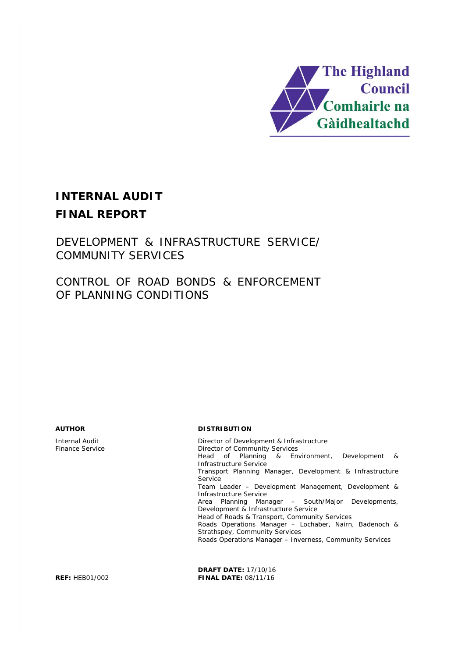

# **INTERNAL AUDIT FINAL REPORT**

DEVELOPMENT & INFRASTRUCTURE SERVICE/ COMMUNITY SERVICES

CONTROL OF ROAD BONDS & ENFORCEMENT OF PLANNING CONDITIONS

Internal Audit Finance Service

#### **AUTHOR DISTRIBUTION**

Director of Development & Infrastructure Director of Community Services Head of Planning & Environment, Development & Infrastructure Service Transport Planning Manager, Development & Infrastructure Service Team Leader – Development Management, Development & Infrastructure Service Area Planning Manager – South/Major Developments, Development & Infrastructure Service Head of Roads & Transport, Community Services Roads Operations Manager – Lochaber, Nairn, Badenoch & Strathspey, Community Services Roads Operations Manager – Inverness, Community Services

**DRAFT DATE:** 17/10/16 **REF:** HEB01/002 **FINAL DATE:** 08/11/16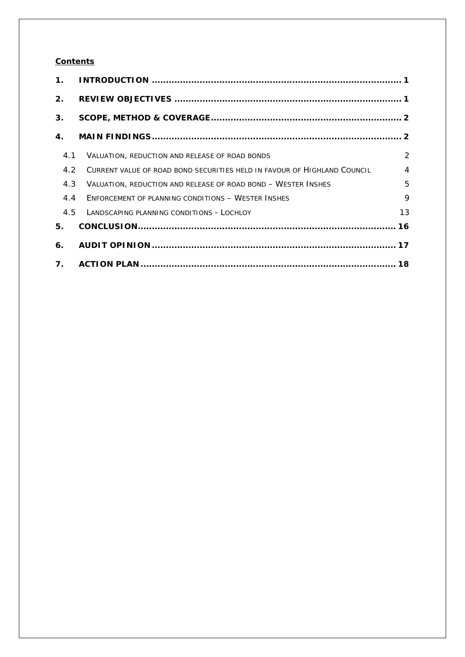### **Contents**

| $\mathbf 1$ .  |                                                                          |                |
|----------------|--------------------------------------------------------------------------|----------------|
| 2.             |                                                                          |                |
| 3.             |                                                                          |                |
| 4.             |                                                                          |                |
| 4.1            | VALUATION, REDUCTION AND RELEASE OF ROAD BONDS                           | $\overline{2}$ |
| 4.2            | CURRENT VALUE OF ROAD BOND SECURITIES HELD IN FAVOUR OF HIGHLAND COUNCIL | $\overline{4}$ |
| 4.3            | VALUATION, REDUCTION AND RELEASE OF ROAD BOND - WESTER INSHES            | 5              |
| 4.4            | ENFORCEMENT OF PLANNING CONDITIONS - WESTER INSHES                       | $\mathsf{Q}$   |
| 4.5            | LANDSCAPING PLANNING CONDITIONS - LOCHLOY                                | 13             |
| 5.             |                                                                          |                |
| 6.             |                                                                          |                |
| $\mathbf{7}$ . |                                                                          |                |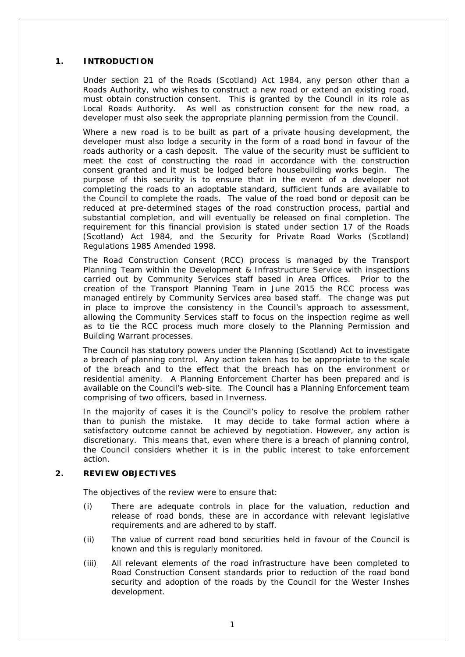#### **1. INTRODUCTION**

Under section 21 of the Roads (Scotland) Act 1984, any person other than a Roads Authority, who wishes to construct a new road or extend an existing road, must obtain construction consent. This is granted by the Council in its role as Local Roads Authority. As well as construction consent for the new road, a developer must also seek the appropriate planning permission from the Council.

Where a new road is to be built as part of a private housing development, the developer must also lodge a security in the form of a road bond in favour of the roads authority or a cash deposit. The value of the security must be sufficient to meet the cost of constructing the road in accordance with the construction consent granted and it must be lodged before housebuilding works begin. The purpose of this security is to ensure that in the event of a developer not completing the roads to an adoptable standard, sufficient funds are available to the Council to complete the roads. The value of the road bond or deposit can be reduced at pre-determined stages of the road construction process, partial and substantial completion, and will eventually be released on final completion. The requirement for this financial provision is stated under section 17 of the Roads (Scotland) Act 1984, and the Security for Private Road Works (Scotland) Regulations 1985 Amended 1998.

The Road Construction Consent (RCC) process is managed by the Transport Planning Team within the Development & Infrastructure Service with inspections carried out by Community Services staff based in Area Offices. Prior to the creation of the Transport Planning Team in June 2015 the RCC process was managed entirely by Community Services area based staff. The change was put in place to improve the consistency in the Council's approach to assessment, allowing the Community Services staff to focus on the inspection regime as well as to tie the RCC process much more closely to the Planning Permission and Building Warrant processes.

The Council has statutory powers under the Planning (Scotland) Act to investigate a breach of planning control. Any action taken has to be appropriate to the scale of the breach and to the effect that the breach has on the environment or residential amenity. A Planning Enforcement Charter has been prepared and is available on the Council's web-site. The Council has a Planning Enforcement team comprising of two officers, based in Inverness.

In the majority of cases it is the Council's policy to resolve the problem rather than to punish the mistake. It may decide to take formal action where a satisfactory outcome cannot be achieved by negotiation. However, any action is discretionary. This means that, even where there is a breach of planning control, the Council considers whether it is in the public interest to take enforcement action.

#### **2. REVIEW OBJECTIVES**

The objectives of the review were to ensure that:

- (i) There are adequate controls in place for the valuation, reduction and release of road bonds, these are in accordance with relevant legislative requirements and are adhered to by staff.
- (ii) The value of current road bond securities held in favour of the Council is known and this is regularly monitored.
- (iii) All relevant elements of the road infrastructure have been completed to Road Construction Consent standards prior to reduction of the road bond security and adoption of the roads by the Council for the Wester Inshes development.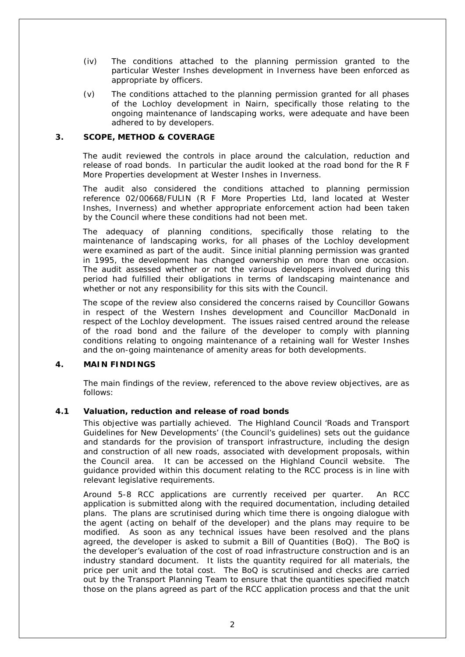- (iv) The conditions attached to the planning permission granted to the particular Wester Inshes development in Inverness have been enforced as appropriate by officers.
- (v) The conditions attached to the planning permission granted for all phases of the Lochloy development in Nairn, specifically those relating to the ongoing maintenance of landscaping works, were adequate and have been adhered to by developers.

#### **3. SCOPE, METHOD & COVERAGE**

The audit reviewed the controls in place around the calculation, reduction and release of road bonds. In particular the audit looked at the road bond for the R F More Properties development at Wester Inshes in Inverness.

The audit also considered the conditions attached to planning permission reference 02/00668/FULIN (R F More Properties Ltd, land located at Wester Inshes, Inverness) and whether appropriate enforcement action had been taken by the Council where these conditions had not been met.

The adequacy of planning conditions, specifically those relating to the maintenance of landscaping works, for all phases of the Lochloy development were examined as part of the audit. Since initial planning permission was granted in 1995, the development has changed ownership on more than one occasion. The audit assessed whether or not the various developers involved during this period had fulfilled their obligations in terms of landscaping maintenance and whether or not any responsibility for this sits with the Council.

The scope of the review also considered the concerns raised by Councillor Gowans in respect of the Western Inshes development and Councillor MacDonald in respect of the Lochloy development. The issues raised centred around the release of the road bond and the failure of the developer to comply with planning conditions relating to ongoing maintenance of a retaining wall for Wester Inshes and the on-going maintenance of amenity areas for both developments.

#### **4. MAIN FINDINGS**

The main findings of the review, referenced to the above review objectives, are as follows:

#### **4.1 Valuation, reduction and release of road bonds**

This objective was partially achieved. The Highland Council 'Roads and Transport Guidelines for New Developments' (the Council's guidelines) sets out the guidance and standards for the provision of transport infrastructure, including the design and construction of all new roads, associated with development proposals, within the Council area. It can be accessed on the Highland Council website. The guidance provided within this document relating to the RCC process is in line with relevant legislative requirements.

Around 5-8 RCC applications are currently received per quarter. An RCC application is submitted along with the required documentation, including detailed plans. The plans are scrutinised during which time there is ongoing dialogue with the agent (acting on behalf of the developer) and the plans may require to be modified. As soon as any technical issues have been resolved and the plans agreed, the developer is asked to submit a Bill of Quantities (BoQ). The BoQ is the developer's evaluation of the cost of road infrastructure construction and is an industry standard document. It lists the quantity required for all materials, the price per unit and the total cost. The BoQ is scrutinised and checks are carried out by the Transport Planning Team to ensure that the quantities specified match those on the plans agreed as part of the RCC application process and that the unit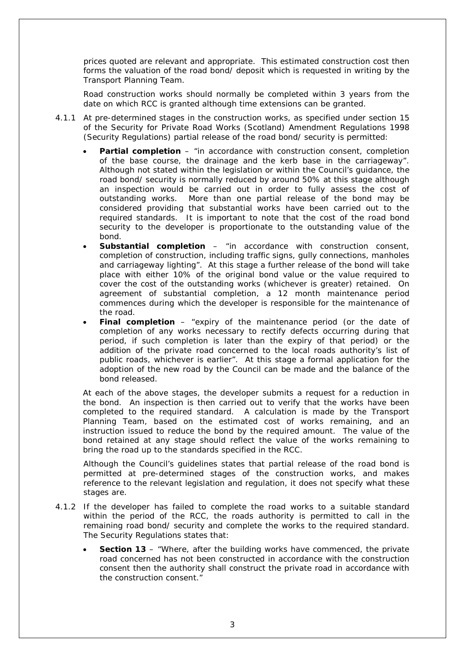prices quoted are relevant and appropriate. This estimated construction cost then forms the valuation of the road bond/ deposit which is requested in writing by the Transport Planning Team.

Road construction works should normally be completed within 3 years from the date on which RCC is granted although time extensions can be granted.

- 4.1.1 At pre-determined stages in the construction works, as specified under section 15 of the Security for Private Road Works (Scotland) Amendment Regulations 1998 (Security Regulations) partial release of the road bond/ security is permitted:
	- **Partial completion** *"in accordance with construction consent, completion of the base course, the drainage and the kerb base in the carriageway".* Although not stated within the legislation or within the Council's guidance, the road bond/ security is normally reduced by around 50% at this stage although an inspection would be carried out in order to fully assess the cost of outstanding works. More than one partial release of the bond may be considered providing that substantial works have been carried out to the required standards. It is important to note that the cost of the road bond security to the developer is proportionate to the outstanding value of the bond.
	- **Substantial completion** *"in accordance with construction consent, completion of construction, including traffic signs, gully connections, manholes and carriageway lighting".* At this stage a further release of the bond will take place with either 10% of the original bond value or the value required to cover the cost of the outstanding works (whichever is greater) retained. On agreement of substantial completion, a 12 month maintenance period commences during which the developer is responsible for the maintenance of the road.
	- **Final completion** *"expiry of the maintenance period (or the date of completion of any works necessary to rectify defects occurring during that period, if such completion is later than the expiry of that period) or the addition of the private road concerned to the local roads authority's list of public roads, whichever is earlier".* At this stage a formal application for the adoption of the new road by the Council can be made and the balance of the bond released.

At each of the above stages, the developer submits a request for a reduction in the bond. An inspection is then carried out to verify that the works have been completed to the required standard. A calculation is made by the Transport Planning Team, based on the estimated cost of works remaining, and an instruction issued to reduce the bond by the required amount. The value of the bond retained at any stage should reflect the value of the works remaining to bring the road up to the standards specified in the RCC.

Although the Council's guidelines states that partial release of the road bond is permitted at pre-determined stages of the construction works, and makes reference to the relevant legislation and regulation, it does not specify what these stages are.

- 4.1.2 If the developer has failed to complete the road works to a suitable standard within the period of the RCC, the roads authority is permitted to call in the remaining road bond/ security and complete the works to the required standard. The Security Regulations states that:
	- **Section 13** *"Where, after the building works have commenced, the private road concerned has not been constructed in accordance with the construction consent then the authority shall construct the private road in accordance with the construction consent."*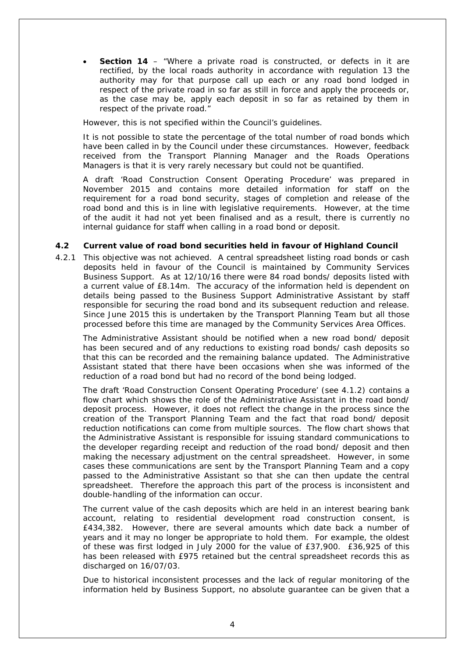• **Section 14** – *"Where a private road is constructed, or defects in it are rectified, by the local roads authority in accordance with regulation 13 the authority may for that purpose call up each or any road bond lodged in respect of the private road in so far as still in force and apply the proceeds or, as the case may be, apply each deposit in so far as retained by them in respect of the private road."*

However, this is not specified within the Council's guidelines.

It is not possible to state the percentage of the total number of road bonds which have been called in by the Council under these circumstances. However, feedback received from the Transport Planning Manager and the Roads Operations Managers is that it is very rarely necessary but could not be quantified.

A draft 'Road Construction Consent Operating Procedure' was prepared in November 2015 and contains more detailed information for staff on the requirement for a road bond security, stages of completion and release of the road bond and this is in line with legislative requirements. However, at the time of the audit it had not yet been finalised and as a result, there is currently no internal guidance for staff when calling in a road bond or deposit.

#### **4.2 Current value of road bond securities held in favour of Highland Council**

4.2.1 This objective was not achieved. A central spreadsheet listing road bonds or cash deposits held in favour of the Council is maintained by Community Services Business Support. As at 12/10/16 there were 84 road bonds/ deposits listed with a current value of £8.14m. The accuracy of the information held is dependent on details being passed to the Business Support Administrative Assistant by staff responsible for securing the road bond and its subsequent reduction and release. Since June 2015 this is undertaken by the Transport Planning Team but all those processed before this time are managed by the Community Services Area Offices.

The Administrative Assistant should be notified when a new road bond/ deposit has been secured and of any reductions to existing road bonds/ cash deposits so that this can be recorded and the remaining balance updated. The Administrative Assistant stated that there have been occasions when she was informed of the reduction of a road bond but had no record of the bond being lodged.

The draft 'Road Construction Consent Operating Procedure' (see 4.1.2) contains a flow chart which shows the role of the Administrative Assistant in the road bond/ deposit process. However, it does not reflect the change in the process since the creation of the Transport Planning Team and the fact that road bond/ deposit reduction notifications can come from multiple sources. The flow chart shows that the Administrative Assistant is responsible for issuing standard communications to the developer regarding receipt and reduction of the road bond/ deposit and then making the necessary adjustment on the central spreadsheet. However, in some cases these communications are sent by the Transport Planning Team and a copy passed to the Administrative Assistant so that she can then update the central spreadsheet. Therefore the approach this part of the process is inconsistent and double-handling of the information can occur.

The current value of the cash deposits which are held in an interest bearing bank account, relating to residential development road construction consent, is £434,382. However, there are several amounts which date back a number of years and it may no longer be appropriate to hold them. For example, the oldest of these was first lodged in July 2000 for the value of £37,900. £36,925 of this has been released with £975 retained but the central spreadsheet records this as discharged on 16/07/03.

Due to historical inconsistent processes and the lack of regular monitoring of the information held by Business Support, no absolute guarantee can be given that a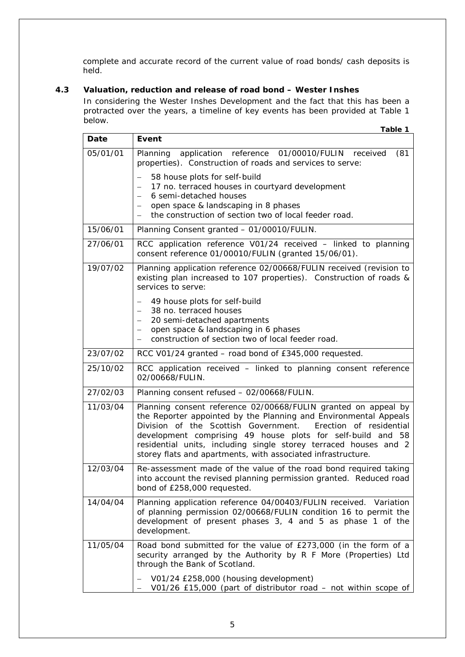complete and accurate record of the current value of road bonds/ cash deposits is held.

### **4.3 Valuation, reduction and release of road bond – Wester Inshes**

In considering the Wester Inshes Development and the fact that this has been a protracted over the years, a timeline of key events has been provided at Table 1 below.

|          | Table 1                                                                                                                                                                                                                                                                                                                                                                                                  |
|----------|----------------------------------------------------------------------------------------------------------------------------------------------------------------------------------------------------------------------------------------------------------------------------------------------------------------------------------------------------------------------------------------------------------|
| Date     | Event                                                                                                                                                                                                                                                                                                                                                                                                    |
| 05/01/01 | Planning application reference 01/00010/FULIN received<br>(81)<br>properties). Construction of roads and services to serve:                                                                                                                                                                                                                                                                              |
|          | 58 house plots for self-build<br>17 no. terraced houses in courtyard development<br>6 semi-detached houses<br>open space & landscaping in 8 phases<br>the construction of section two of local feeder road.                                                                                                                                                                                              |
| 15/06/01 | Planning Consent granted - 01/00010/FULIN.                                                                                                                                                                                                                                                                                                                                                               |
| 27/06/01 | RCC application reference V01/24 received - linked to planning<br>consent reference 01/00010/FULIN (granted 15/06/01).                                                                                                                                                                                                                                                                                   |
| 19/07/02 | Planning application reference 02/00668/FULIN received (revision to<br>existing plan increased to 107 properties). Construction of roads &<br>services to serve:                                                                                                                                                                                                                                         |
|          | 49 house plots for self-build<br>38 no. terraced houses<br>20 semi-detached apartments<br>open space & landscaping in 6 phases<br>construction of section two of local feeder road.                                                                                                                                                                                                                      |
| 23/07/02 | RCC V01/24 granted – road bond of £345,000 requested.                                                                                                                                                                                                                                                                                                                                                    |
| 25/10/02 | RCC application received - linked to planning consent reference<br>02/00668/FULIN.                                                                                                                                                                                                                                                                                                                       |
| 27/02/03 | Planning consent refused - 02/00668/FULIN.                                                                                                                                                                                                                                                                                                                                                               |
| 11/03/04 | Planning consent reference 02/00668/FULIN granted on appeal by<br>the Reporter appointed by the Planning and Environmental Appeals<br>Division of the Scottish Government.<br>Erection of residential<br>development comprising 49 house plots for self-build and 58<br>residential units, including single storey terraced houses and 2<br>storey flats and apartments, with associated infrastructure. |
| 12/03/04 | Re-assessment made of the value of the road bond required taking<br>into account the revised planning permission granted. Reduced road<br>bond of £258,000 requested.                                                                                                                                                                                                                                    |
| 14/04/04 | Planning application reference 04/00403/FULIN received. Variation<br>of planning permission 02/00668/FULIN condition 16 to permit the<br>development of present phases 3, 4 and 5 as phase 1 of the<br>development.                                                                                                                                                                                      |
| 11/05/04 | Road bond submitted for the value of £273,000 (in the form of a<br>security arranged by the Authority by R F More (Properties) Ltd<br>through the Bank of Scotland.                                                                                                                                                                                                                                      |
|          | V01/24 £258,000 (housing development)<br>V01/26 £15,000 (part of distributor road - not within scope of                                                                                                                                                                                                                                                                                                  |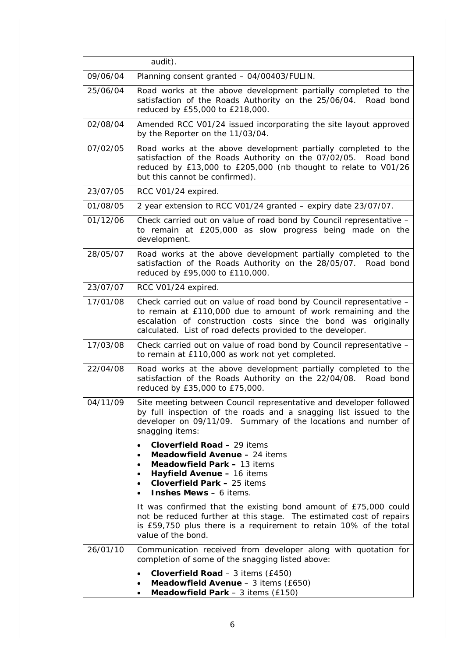|          | audit).                                                                                                                                                                                                                                                               |
|----------|-----------------------------------------------------------------------------------------------------------------------------------------------------------------------------------------------------------------------------------------------------------------------|
| 09/06/04 | Planning consent granted - 04/00403/FULIN.                                                                                                                                                                                                                            |
| 25/06/04 | Road works at the above development partially completed to the<br>satisfaction of the Roads Authority on the 25/06/04.<br>Road bond<br>reduced by £55,000 to £218,000.                                                                                                |
| 02/08/04 | Amended RCC V01/24 issued incorporating the site layout approved<br>by the Reporter on the 11/03/04.                                                                                                                                                                  |
| 07/02/05 | Road works at the above development partially completed to the<br>satisfaction of the Roads Authority on the 07/02/05. Road bond<br>reduced by £13,000 to £205,000 (nb thought to relate to V01/26<br>but this cannot be confirmed).                                  |
| 23/07/05 | RCC V01/24 expired.                                                                                                                                                                                                                                                   |
| 01/08/05 | 2 year extension to RCC V01/24 granted - expiry date 23/07/07.                                                                                                                                                                                                        |
| 01/12/06 | Check carried out on value of road bond by Council representative -<br>to remain at £205,000 as slow progress being made on the<br>development.                                                                                                                       |
| 28/05/07 | Road works at the above development partially completed to the<br>satisfaction of the Roads Authority on the 28/05/07. Road bond<br>reduced by £95,000 to £110,000.                                                                                                   |
| 23/07/07 | RCC V01/24 expired.                                                                                                                                                                                                                                                   |
| 17/01/08 | Check carried out on value of road bond by Council representative -<br>to remain at £110,000 due to amount of work remaining and the<br>escalation of construction costs since the bond was originally<br>calculated. List of road defects provided to the developer. |
| 17/03/08 | Check carried out on value of road bond by Council representative -<br>to remain at £110,000 as work not yet completed.                                                                                                                                               |
| 22/04/08 | Road works at the above development partially completed to the<br>satisfaction of the Roads Authority on the 22/04/08.<br>Road bond<br>reduced by £35,000 to £75,000.                                                                                                 |
| 04/11/09 | Site meeting between Council representative and developer followed<br>by full inspection of the roads and a snagging list issued to the<br>developer on 09/11/09. Summary of the locations and number of<br>snagging items:                                           |
|          | <b>Cloverfield Road - 29 items</b><br>$\bullet$<br>Meadowfield Avenue - 24 items<br>$\bullet$<br>Meadowfield Park - 13 items<br>٠<br>Hayfield Avenue - 16 items<br>$\bullet$<br>Cloverfield Park - 25 items<br>$\bullet$<br><b>Inshes Mews - 6 items.</b>             |
|          | It was confirmed that the existing bond amount of £75,000 could<br>not be reduced further at this stage. The estimated cost of repairs<br>is £59,750 plus there is a requirement to retain 10% of the total<br>value of the bond.                                     |
| 26/01/10 | Communication received from developer along with quotation for<br>completion of some of the snagging listed above:                                                                                                                                                    |
|          | Cloverfield Road $-3$ items (£450)<br>Meadowfield Avenue - 3 items (£650)<br>Meadowfield Park $-3$ items (£150)                                                                                                                                                       |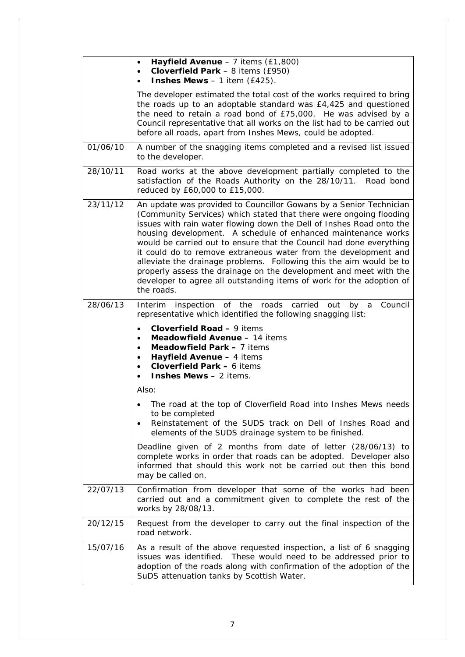|          | Hayfield Avenue $-7$ items (£1,800)<br>$\bullet$<br>Cloverfield Park $-8$ items (£950)<br><b>Inshes Mews</b> $-1$ item (£425).                                                                                                                                                                                                                                                                                                                                                                                                                                                                                                                                |  |  |
|----------|---------------------------------------------------------------------------------------------------------------------------------------------------------------------------------------------------------------------------------------------------------------------------------------------------------------------------------------------------------------------------------------------------------------------------------------------------------------------------------------------------------------------------------------------------------------------------------------------------------------------------------------------------------------|--|--|
|          | The developer estimated the total cost of the works required to bring<br>the roads up to an adoptable standard was £4,425 and questioned<br>the need to retain a road bond of £75,000. He was advised by a<br>Council representative that all works on the list had to be carried out<br>before all roads, apart from Inshes Mews, could be adopted.                                                                                                                                                                                                                                                                                                          |  |  |
| 01/06/10 | A number of the snagging items completed and a revised list issued<br>to the developer.                                                                                                                                                                                                                                                                                                                                                                                                                                                                                                                                                                       |  |  |
| 28/10/11 | Road works at the above development partially completed to the<br>satisfaction of the Roads Authority on the 28/10/11. Road bond<br>reduced by £60,000 to £15,000.                                                                                                                                                                                                                                                                                                                                                                                                                                                                                            |  |  |
| 23/11/12 | An update was provided to Councillor Gowans by a Senior Technician<br>(Community Services) which stated that there were ongoing flooding<br>issues with rain water flowing down the Dell of Inshes Road onto the<br>housing development. A schedule of enhanced maintenance works<br>would be carried out to ensure that the Council had done everything<br>it could do to remove extraneous water from the development and<br>alleviate the drainage problems. Following this the aim would be to<br>properly assess the drainage on the development and meet with the<br>developer to agree all outstanding items of work for the adoption of<br>the roads. |  |  |
| 28/06/13 | Interim inspection of the roads carried out by a<br>Council<br>representative which identified the following snagging list:<br>Cloverfield Road - 9 items<br>Meadowfield Avenue - 14 items<br>Meadowfield Park - 7 items<br>Hayfield Avenue - 4 items<br>Cloverfield Park - 6 items<br><b>Inshes Mews - 2 items.</b>                                                                                                                                                                                                                                                                                                                                          |  |  |
|          | Also:                                                                                                                                                                                                                                                                                                                                                                                                                                                                                                                                                                                                                                                         |  |  |
|          | The road at the top of Cloverfield Road into Inshes Mews needs<br>to be completed<br>Reinstatement of the SUDS track on Dell of Inshes Road and<br>$\bullet$<br>elements of the SUDS drainage system to be finished.                                                                                                                                                                                                                                                                                                                                                                                                                                          |  |  |
|          | Deadline given of 2 months from date of letter (28/06/13) to<br>complete works in order that roads can be adopted. Developer also<br>informed that should this work not be carried out then this bond<br>may be called on.                                                                                                                                                                                                                                                                                                                                                                                                                                    |  |  |
| 22/07/13 | Confirmation from developer that some of the works had been<br>carried out and a commitment given to complete the rest of the<br>works by 28/08/13.                                                                                                                                                                                                                                                                                                                                                                                                                                                                                                           |  |  |
| 20/12/15 | Request from the developer to carry out the final inspection of the<br>road network.                                                                                                                                                                                                                                                                                                                                                                                                                                                                                                                                                                          |  |  |
| 15/07/16 | As a result of the above requested inspection, a list of 6 snagging<br>issues was identified. These would need to be addressed prior to<br>adoption of the roads along with confirmation of the adoption of the<br>SuDS attenuation tanks by Scottish Water.                                                                                                                                                                                                                                                                                                                                                                                                  |  |  |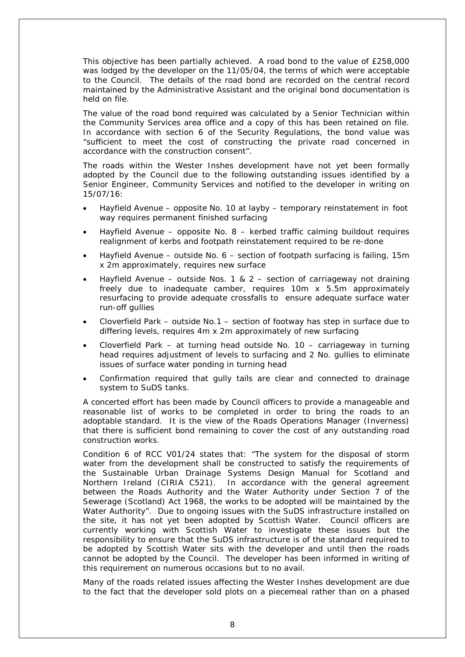This objective has been partially achieved. A road bond to the value of £258,000 was lodged by the developer on the 11/05/04, the terms of which were acceptable to the Council. The details of the road bond are recorded on the central record maintained by the Administrative Assistant and the original bond documentation is held on file.

The value of the road bond required was calculated by a Senior Technician within the Community Services area office and a copy of this has been retained on file. In accordance with section 6 of the Security Regulations, the bond value was *"sufficient to meet the cost of constructing the private road concerned in accordance with the construction consent".*

The roads within the Wester Inshes development have not yet been formally adopted by the Council due to the following outstanding issues identified by a Senior Engineer, Community Services and notified to the developer in writing on 15/07/16:

- Hayfield Avenue opposite No. 10 at layby temporary reinstatement in foot way requires permanent finished surfacing
- Hayfield Avenue opposite No.  $8$  kerbed traffic calming buildout requires realignment of kerbs and footpath reinstatement required to be re-done
- Hayfield Avenue outside No. 6 section of footpath surfacing is failing, 15m x 2m approximately, requires new surface
- Hayfield Avenue outside Nos. 1 & 2 section of carriageway not draining freely due to inadequate camber, requires 10m x 5.5m approximately resurfacing to provide adequate crossfalls to ensure adequate surface water run-off gullies
- Cloverfield Park outside No.1 section of footway has step in surface due to differing levels, requires 4m x 2m approximately of new surfacing
- Cloverfield Park at turning head outside No. 10 carriageway in turning head requires adjustment of levels to surfacing and 2 No. gullies to eliminate issues of surface water ponding in turning head
- Confirmation required that gully tails are clear and connected to drainage system to SuDS tanks.

A concerted effort has been made by Council officers to provide a manageable and reasonable list of works to be completed in order to bring the roads to an adoptable standard. It is the view of the Roads Operations Manager (Inverness) that there is sufficient bond remaining to cover the cost of any outstanding road construction works.

Condition 6 of RCC V01/24 states that: *"The system for the disposal of storm*  water from the development shall be constructed to satisfy the requirements of *the Sustainable Urban Drainage Systems Design Manual for Scotland and Northern Ireland (CIRIA C521). In accordance with the general agreement between the Roads Authority and the Water Authority under Section 7 of the Sewerage (Scotland) Act 1968, the works to be adopted will be maintained by the Water Authority".* Due to ongoing issues with the SuDS infrastructure installed on the site, it has not yet been adopted by Scottish Water. Council officers are currently working with Scottish Water to investigate these issues but the responsibility to ensure that the SuDS infrastructure is of the standard required to be adopted by Scottish Water sits with the developer and until then the roads cannot be adopted by the Council. The developer has been informed in writing of this requirement on numerous occasions but to no avail.

Many of the roads related issues affecting the Wester Inshes development are due to the fact that the developer sold plots on a piecemeal rather than on a phased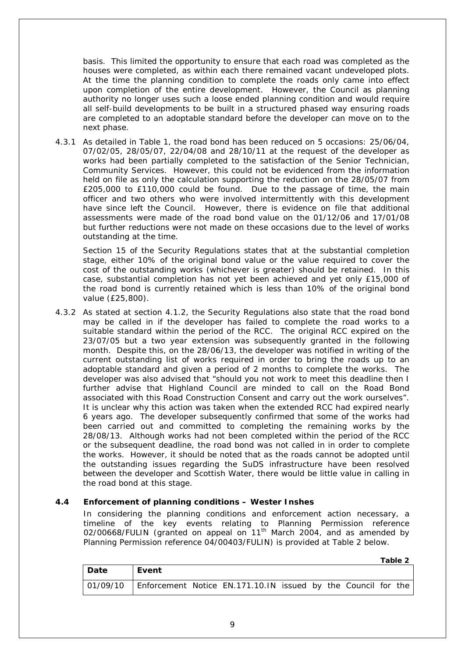basis. This limited the opportunity to ensure that each road was completed as the houses were completed, as within each there remained vacant undeveloped plots. At the time the planning condition to complete the roads only came into effect upon completion of the entire development. However, the Council as planning authority no longer uses such a loose ended planning condition and would require all self-build developments to be built in a structured phased way ensuring roads are completed to an adoptable standard before the developer can move on to the next phase.

4.3.1 As detailed in Table 1, the road bond has been reduced on 5 occasions: 25/06/04, 07/02/05, 28/05/07, 22/04/08 and 28/10/11 at the request of the developer as works had been partially completed to the satisfaction of the Senior Technician, Community Services. However, this could not be evidenced from the information held on file as only the calculation supporting the reduction on the 28/05/07 from £205,000 to £110,000 could be found. Due to the passage of time, the main officer and two others who were involved intermittently with this development have since left the Council. However, there is evidence on file that additional assessments were made of the road bond value on the 01/12/06 and 17/01/08 but further reductions were not made on these occasions due to the level of works outstanding at the time.

Section 15 of the Security Regulations states that at the substantial completion stage, either 10% of the original bond value or the value required to cover the cost of the outstanding works (whichever is greater) should be retained. In this case, substantial completion has not yet been achieved and yet only £15,000 of the road bond is currently retained which is less than 10% of the original bond value (£25,800).

4.3.2 As stated at section 4.1.2, the Security Regulations also state that the road bond may be called in if the developer has failed to complete the road works to a suitable standard within the period of the RCC. The original RCC expired on the 23/07/05 but a two year extension was subsequently granted in the following month. Despite this, on the 28/06/13, the developer was notified in writing of the current outstanding list of works required in order to bring the roads up to an adoptable standard and given a period of 2 months to complete the works. The developer was also advised that *"should you not work to meet this deadline then I further advise that Highland Council are minded to call on the Road Bond associated with this Road Construction Consent and carry out the work ourselves".* It is unclear why this action was taken when the extended RCC had expired nearly 6 years ago. The developer subsequently confirmed that some of the works had been carried out and committed to completing the remaining works by the 28/08/13. Although works had not been completed within the period of the RCC or the subsequent deadline, the road bond was not called in in order to complete the works. However, it should be noted that as the roads cannot be adopted until the outstanding issues regarding the SuDS infrastructure have been resolved between the developer and Scottish Water, there would be little value in calling in the road bond at this stage.

### **4.4 Enforcement of planning conditions – Wester Inshes**

In considering the planning conditions and enforcement action necessary, a timeline of the key events relating to Planning Permission reference 02/00668/FULIN (granted on appeal on 11<sup>th</sup> March 2004, and as amended by Planning Permission reference 04/00403/FULIN) is provided at Table 2 below.

|      |                                                                          |  |  |  | Tapic 4 |
|------|--------------------------------------------------------------------------|--|--|--|---------|
| Date | Event                                                                    |  |  |  |         |
|      | 01/09/10   Enforcement Notice EN.171.10.IN issued by the Council for the |  |  |  |         |

**Table 2**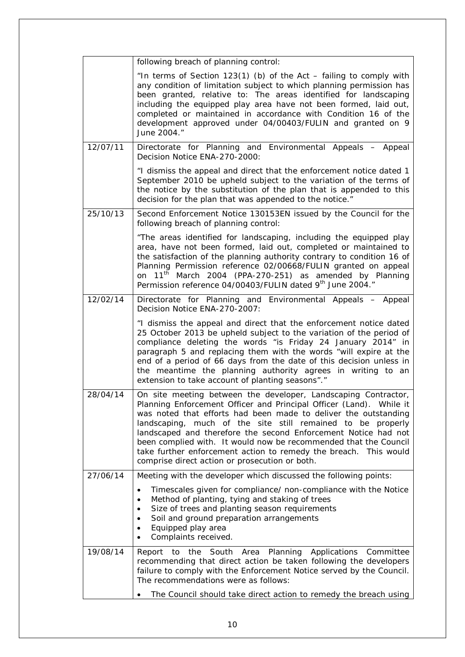|          | following breach of planning control:                                                                                                                                                                                                                                                                                                                                                                                                                                                                                               |
|----------|-------------------------------------------------------------------------------------------------------------------------------------------------------------------------------------------------------------------------------------------------------------------------------------------------------------------------------------------------------------------------------------------------------------------------------------------------------------------------------------------------------------------------------------|
|          | "In terms of Section $123(1)$ (b) of the Act - failing to comply with<br>any condition of limitation subject to which planning permission has<br>been granted, relative to: The areas identified for landscaping<br>including the equipped play area have not been formed, laid out,<br>completed or maintained in accordance with Condition 16 of the<br>development approved under 04/00403/FULIN and granted on 9<br>June 2004."                                                                                                 |
| 12/07/11 | Directorate for Planning and Environmental Appeals - Appeal<br>Decision Notice ENA-270-2000:                                                                                                                                                                                                                                                                                                                                                                                                                                        |
|          | "I dismiss the appeal and direct that the enforcement notice dated 1<br>September 2010 be upheld subject to the variation of the terms of<br>the notice by the substitution of the plan that is appended to this<br>decision for the plan that was appended to the notice."                                                                                                                                                                                                                                                         |
| 25/10/13 | Second Enforcement Notice 130153EN issued by the Council for the<br>following breach of planning control:                                                                                                                                                                                                                                                                                                                                                                                                                           |
|          | "The areas identified for landscaping, including the equipped play<br>area, have not been formed, laid out, completed or maintained to<br>the satisfaction of the planning authority contrary to condition 16 of<br>Planning Permission reference 02/00668/FULIN granted on appeal<br>on 11 <sup>th</sup> March 2004 (PPA-270-251) as amended by Planning<br>Permission reference 04/00403/FULIN dated 9th June 2004."                                                                                                              |
| 12/02/14 | Directorate for Planning and Environmental Appeals - Appeal<br>Decision Notice ENA-270-2007:                                                                                                                                                                                                                                                                                                                                                                                                                                        |
|          | "I dismiss the appeal and direct that the enforcement notice dated<br>25 October 2013 be upheld subject to the variation of the period of<br>compliance deleting the words "is Friday 24 January 2014" in<br>paragraph 5 and replacing them with the words "will expire at the<br>end of a period of 66 days from the date of this decision unless in<br>the meantime the planning authority agrees in writing to an<br>extension to take account of planting seasons"."                                                            |
| 28/04/14 | On site meeting between the developer, Landscaping Contractor,<br>Planning Enforcement Officer and Principal Officer (Land). While it<br>was noted that efforts had been made to deliver the outstanding<br>landscaping, much of the site still remained to be properly<br>landscaped and therefore the second Enforcement Notice had not<br>been complied with. It would now be recommended that the Council<br>take further enforcement action to remedy the breach. This would<br>comprise direct action or prosecution or both. |
| 27/06/14 | Meeting with the developer which discussed the following points:                                                                                                                                                                                                                                                                                                                                                                                                                                                                    |
|          | Timescales given for compliance/ non-compliance with the Notice<br>$\bullet$<br>Method of planting, tying and staking of trees<br>$\bullet$<br>Size of trees and planting season requirements<br>$\bullet$<br>Soil and ground preparation arrangements<br>$\bullet$<br>Equipped play area<br>$\bullet$<br>Complaints received.                                                                                                                                                                                                      |
| 19/08/14 | Report to the South Area Planning Applications Committee<br>recommending that direct action be taken following the developers<br>failure to comply with the Enforcement Notice served by the Council.<br>The recommendations were as follows:<br>The Council should take direct action to remedy the breach using                                                                                                                                                                                                                   |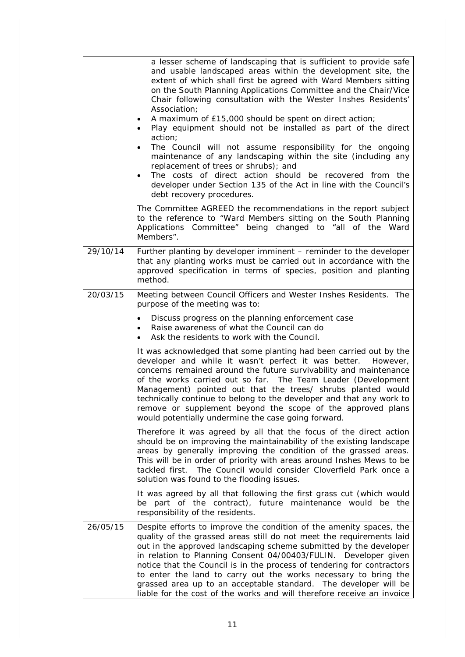|          | a lesser scheme of landscaping that is sufficient to provide safe<br>and usable landscaped areas within the development site, the<br>extent of which shall first be agreed with Ward Members sitting<br>on the South Planning Applications Committee and the Chair/Vice<br>Chair following consultation with the Wester Inshes Residents'<br>Association;<br>A maximum of £15,000 should be spent on direct action;<br>Play equipment should not be installed as part of the direct<br>action;<br>The Council will not assume responsibility for the ongoing<br>maintenance of any landscaping within the site (including any<br>replacement of trees or shrubs); and<br>The costs of direct action should be recovered from the<br>$\bullet$<br>developer under Section 135 of the Act in line with the Council's<br>debt recovery procedures. |
|----------|-------------------------------------------------------------------------------------------------------------------------------------------------------------------------------------------------------------------------------------------------------------------------------------------------------------------------------------------------------------------------------------------------------------------------------------------------------------------------------------------------------------------------------------------------------------------------------------------------------------------------------------------------------------------------------------------------------------------------------------------------------------------------------------------------------------------------------------------------|
|          | The Committee AGREED the recommendations in the report subject<br>to the reference to "Ward Members sitting on the South Planning<br>Applications Committee" being changed to "all of the Ward<br>Members".                                                                                                                                                                                                                                                                                                                                                                                                                                                                                                                                                                                                                                     |
| 29/10/14 | Further planting by developer imminent - reminder to the developer<br>that any planting works must be carried out in accordance with the<br>approved specification in terms of species, position and planting<br>method.                                                                                                                                                                                                                                                                                                                                                                                                                                                                                                                                                                                                                        |
| 20/03/15 | Meeting between Council Officers and Wester Inshes Residents. The<br>purpose of the meeting was to:                                                                                                                                                                                                                                                                                                                                                                                                                                                                                                                                                                                                                                                                                                                                             |
|          | Discuss progress on the planning enforcement case<br>$\bullet$<br>Raise awareness of what the Council can do<br>$\bullet$<br>Ask the residents to work with the Council.<br>$\bullet$                                                                                                                                                                                                                                                                                                                                                                                                                                                                                                                                                                                                                                                           |
|          | It was acknowledged that some planting had been carried out by the<br>developer and while it wasn't perfect it was better.<br>However,<br>concerns remained around the future survivability and maintenance<br>of the works carried out so far. The Team Leader (Development<br>Management) pointed out that the trees/ shrubs planted would<br>technically continue to belong to the developer and that any work to<br>remove or supplement beyond the scope of the approved plans<br>would potentially undermine the case going forward.                                                                                                                                                                                                                                                                                                      |
|          | Therefore it was agreed by all that the focus of the direct action<br>should be on improving the maintainability of the existing landscape<br>areas by generally improving the condition of the grassed areas.<br>This will be in order of priority with areas around Inshes Mews to be<br>The Council would consider Cloverfield Park once a<br>tackled first.<br>solution was found to the flooding issues.                                                                                                                                                                                                                                                                                                                                                                                                                                   |
|          | It was agreed by all that following the first grass cut (which would<br>be part of the contract), future maintenance would be the<br>responsibility of the residents.                                                                                                                                                                                                                                                                                                                                                                                                                                                                                                                                                                                                                                                                           |
| 26/05/15 | Despite efforts to improve the condition of the amenity spaces, the<br>quality of the grassed areas still do not meet the requirements laid<br>out in the approved landscaping scheme submitted by the developer<br>in relation to Planning Consent 04/00403/FULIN.<br>Developer given<br>notice that the Council is in the process of tendering for contractors<br>to enter the land to carry out the works necessary to bring the<br>grassed area up to an acceptable standard. The developer will be<br>liable for the cost of the works and will therefore receive an invoice                                                                                                                                                                                                                                                               |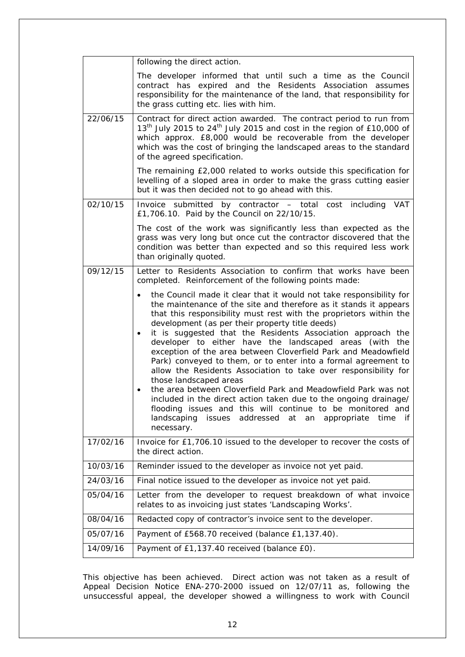|          | following the direct action.                                                                                                                                                                                                                                                                                                                                                                                                                                                                                                                                                                                                                                                                                                                                                                                                                                                                                                                |
|----------|---------------------------------------------------------------------------------------------------------------------------------------------------------------------------------------------------------------------------------------------------------------------------------------------------------------------------------------------------------------------------------------------------------------------------------------------------------------------------------------------------------------------------------------------------------------------------------------------------------------------------------------------------------------------------------------------------------------------------------------------------------------------------------------------------------------------------------------------------------------------------------------------------------------------------------------------|
|          | The developer informed that until such a time as the Council<br>contract has expired and the Residents Association assumes<br>responsibility for the maintenance of the land, that responsibility for<br>the grass cutting etc. lies with him.                                                                                                                                                                                                                                                                                                                                                                                                                                                                                                                                                                                                                                                                                              |
| 22/06/15 | Contract for direct action awarded. The contract period to run from<br>13 <sup>th</sup> July 2015 to 24 <sup>th</sup> July 2015 and cost in the region of £10,000 of<br>which approx. £8,000 would be recoverable from the developer<br>which was the cost of bringing the landscaped areas to the standard<br>of the agreed specification.                                                                                                                                                                                                                                                                                                                                                                                                                                                                                                                                                                                                 |
|          | The remaining £2,000 related to works outside this specification for<br>levelling of a sloped area in order to make the grass cutting easier<br>but it was then decided not to go ahead with this.                                                                                                                                                                                                                                                                                                                                                                                                                                                                                                                                                                                                                                                                                                                                          |
| 02/10/15 | Invoice submitted by contractor - total cost including VAT<br>£1,706.10. Paid by the Council on 22/10/15.                                                                                                                                                                                                                                                                                                                                                                                                                                                                                                                                                                                                                                                                                                                                                                                                                                   |
|          | The cost of the work was significantly less than expected as the<br>grass was very long but once cut the contractor discovered that the<br>condition was better than expected and so this required less work<br>than originally quoted.                                                                                                                                                                                                                                                                                                                                                                                                                                                                                                                                                                                                                                                                                                     |
| 09/12/15 | Letter to Residents Association to confirm that works have been<br>completed. Reinforcement of the following points made:                                                                                                                                                                                                                                                                                                                                                                                                                                                                                                                                                                                                                                                                                                                                                                                                                   |
|          | the Council made it clear that it would not take responsibility for<br>the maintenance of the site and therefore as it stands it appears<br>that this responsibility must rest with the proprietors within the<br>development (as per their property title deeds)<br>it is suggested that the Residents Association approach the<br>developer to either have the landscaped areas (with the<br>exception of the area between Cloverfield Park and Meadowfield<br>Park) conveyed to them, or to enter into a formal agreement to<br>allow the Residents Association to take over responsibility for<br>those landscaped areas<br>the area between Cloverfield Park and Meadowfield Park was not<br>$\bullet$<br>included in the direct action taken due to the ongoing drainage/<br>flooding issues and this will continue to be monitored and<br>landscaping<br>addressed<br>issues<br>at<br>an<br>appropriate<br>time<br>if.<br>necessary. |
| 17/02/16 | Invoice for £1,706.10 issued to the developer to recover the costs of<br>the direct action.                                                                                                                                                                                                                                                                                                                                                                                                                                                                                                                                                                                                                                                                                                                                                                                                                                                 |
| 10/03/16 | Reminder issued to the developer as invoice not yet paid.                                                                                                                                                                                                                                                                                                                                                                                                                                                                                                                                                                                                                                                                                                                                                                                                                                                                                   |
| 24/03/16 | Final notice issued to the developer as invoice not yet paid.                                                                                                                                                                                                                                                                                                                                                                                                                                                                                                                                                                                                                                                                                                                                                                                                                                                                               |
| 05/04/16 | Letter from the developer to request breakdown of what invoice<br>relates to as invoicing just states 'Landscaping Works'.                                                                                                                                                                                                                                                                                                                                                                                                                                                                                                                                                                                                                                                                                                                                                                                                                  |
| 08/04/16 | Redacted copy of contractor's invoice sent to the developer.                                                                                                                                                                                                                                                                                                                                                                                                                                                                                                                                                                                                                                                                                                                                                                                                                                                                                |
| 05/07/16 | Payment of £568.70 received (balance £1,137.40).                                                                                                                                                                                                                                                                                                                                                                                                                                                                                                                                                                                                                                                                                                                                                                                                                                                                                            |
| 14/09/16 | Payment of £1,137.40 received (balance £0).                                                                                                                                                                                                                                                                                                                                                                                                                                                                                                                                                                                                                                                                                                                                                                                                                                                                                                 |

This objective has been achieved. Direct action was not taken as a result of Appeal Decision Notice ENA-270-2000 issued on 12/07/11 as, following the unsuccessful appeal, the developer showed a willingness to work with Council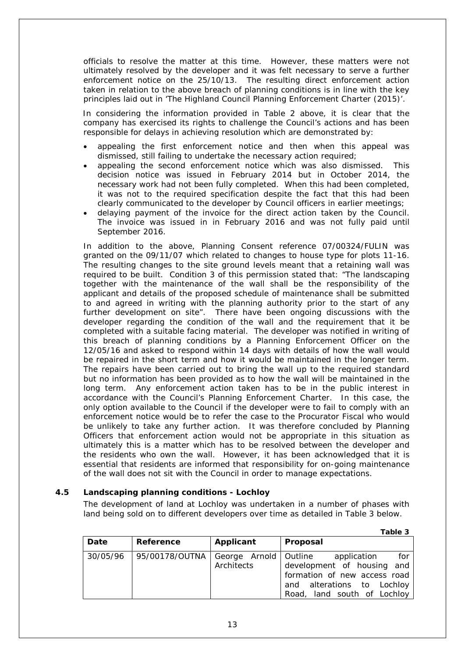officials to resolve the matter at this time. However, these matters were not ultimately resolved by the developer and it was felt necessary to serve a further enforcement notice on the 25/10/13. The resulting direct enforcement action taken in relation to the above breach of planning conditions is in line with the key principles laid out in 'The Highland Council Planning Enforcement Charter (2015)'.

In considering the information provided in Table 2 above, it is clear that the company has exercised its rights to challenge the Council's actions and has been responsible for delays in achieving resolution which are demonstrated by:

- appealing the first enforcement notice and then when this appeal was dismissed, still failing to undertake the necessary action required;
- appealing the second enforcement notice which was also dismissed. This decision notice was issued in February 2014 but in October 2014, the necessary work had not been fully completed. When this had been completed, it was not to the required specification despite the fact that this had been clearly communicated to the developer by Council officers in earlier meetings;
- delaying payment of the invoice for the direct action taken by the Council. The invoice was issued in in February 2016 and was not fully paid until September 2016.

In addition to the above, Planning Consent reference 07/00324/FULIN was granted on the 09/11/07 which related to changes to house type for plots 11-16. The resulting changes to the site ground levels meant that a retaining wall was required to be built. Condition 3 of this permission stated that: *"The landscaping together with the maintenance of the wall shall be the responsibility of the applicant and details of the proposed schedule of maintenance shall be submitted to and agreed in writing with the planning authority prior to the start of any further development on site*". There have been ongoing discussions with the developer regarding the condition of the wall and the requirement that it be completed with a suitable facing material. The developer was notified in writing of this breach of planning conditions by a Planning Enforcement Officer on the 12/05/16 and asked to respond within 14 days with details of how the wall would be repaired in the short term and how it would be maintained in the longer term. The repairs have been carried out to bring the wall up to the required standard but no information has been provided as to how the wall will be maintained in the long term. Any enforcement action taken has to be in the public interest in accordance with the Council's Planning Enforcement Charter. In this case, the only option available to the Council if the developer were to fail to comply with an enforcement notice would be to refer the case to the Procurator Fiscal who would be unlikely to take any further action. It was therefore concluded by Planning Officers that enforcement action would not be appropriate in this situation as ultimately this is a matter which has to be resolved between the developer and the residents who own the wall. However, it has been acknowledged that it is essential that residents are informed that responsibility for on-going maintenance of the wall does not sit with the Council in order to manage expectations.

#### **4.5 Landscaping planning conditions - Lochloy**

The development of land at Lochloy was undertaken in a number of phases with land being sold on to different developers over time as detailed in Table 3 below.

|          |                |                                       | Table 3                                                                                                                                       |
|----------|----------------|---------------------------------------|-----------------------------------------------------------------------------------------------------------------------------------------------|
| Date     | Reference      | Applicant                             | Proposal                                                                                                                                      |
| 30/05/96 | 95/00178/OUTNA | George Arnold   Outline<br>Architects | for<br>application<br>development of housing and<br>formation of new access road<br>and alterations to Lochloy<br>Road, land south of Lochloy |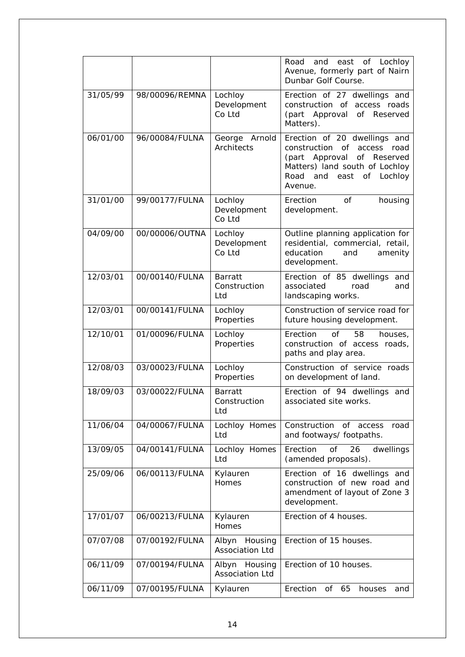|          |                |                                            | east<br>Lochloy<br>Road<br>and<br>of<br>Avenue, formerly part of Nairn<br>Dunbar Golf Course.                                                                                           |
|----------|----------------|--------------------------------------------|-----------------------------------------------------------------------------------------------------------------------------------------------------------------------------------------|
| 31/05/99 | 98/00096/REMNA | Lochloy<br>Development<br>Co Ltd           | Erection of 27 dwellings and<br>construction of access roads<br>(part Approval<br>of Reserved<br>Matters).                                                                              |
| 06/01/00 | 96/00084/FULNA | George<br>Arnold<br>Architects             | Erection of 20 dwellings and<br>construction<br>of<br>access<br>road<br>of Reserved<br>(part Approval<br>Matters) land south of Lochloy<br>Road and<br>east<br>of<br>Lochloy<br>Avenue. |
| 31/01/00 | 99/00177/FULNA | Lochloy<br>Development<br>Co Ltd           | Erection<br>of<br>housing<br>development.                                                                                                                                               |
| 04/09/00 | 00/00006/OUTNA | Lochloy<br>Development<br>Co Ltd           | Outline planning application for<br>residential, commercial, retail,<br>education<br>and<br>amenity<br>development.                                                                     |
| 12/03/01 | 00/00140/FULNA | <b>Barratt</b><br>Construction<br>Ltd      | Erection of 85 dwellings<br>and<br>associated<br>road<br>and<br>landscaping works.                                                                                                      |
| 12/03/01 | 00/00141/FULNA | Lochloy<br>Properties                      | Construction of service road for<br>future housing development.                                                                                                                         |
| 12/10/01 | 01/00096/FULNA | Lochloy<br>Properties                      | Erection<br>of<br>58<br>houses,<br>construction of access roads,<br>paths and play area.                                                                                                |
| 12/08/03 | 03/00023/FULNA | Lochloy<br>Properties                      | Construction of service roads<br>on development of land.                                                                                                                                |
| 18/09/03 | 03/00022/FULNA | <b>Barratt</b><br>Construction<br>Ltd      | Erection of 94 dwellings<br>and<br>associated site works.                                                                                                                               |
| 11/06/04 | 04/00067/FULNA | Lochloy Homes<br>Ltd                       | Construction<br>of access<br>road<br>and footways/ footpaths.                                                                                                                           |
| 13/09/05 | 04/00141/FULNA | Lochloy Homes<br>Ltd                       | Erection<br>dwellings<br>οf<br>26<br>(amended proposals).                                                                                                                               |
| 25/09/06 | 06/00113/FULNA | Kylauren<br>Homes                          | Erection of 16 dwellings and<br>construction of new road and<br>amendment of layout of Zone 3<br>development.                                                                           |
| 17/01/07 | 06/00213/FULNA | Kylauren<br>Homes                          | Erection of 4 houses.                                                                                                                                                                   |
| 07/07/08 | 07/00192/FULNA | Albyn<br>Housing<br><b>Association Ltd</b> | Erection of 15 houses.                                                                                                                                                                  |
| 06/11/09 | 07/00194/FULNA | Albyn Housing<br><b>Association Ltd</b>    | Erection of 10 houses.                                                                                                                                                                  |
| 06/11/09 | 07/00195/FULNA | Kylauren                                   | Erection<br>65<br>of<br>houses<br>and                                                                                                                                                   |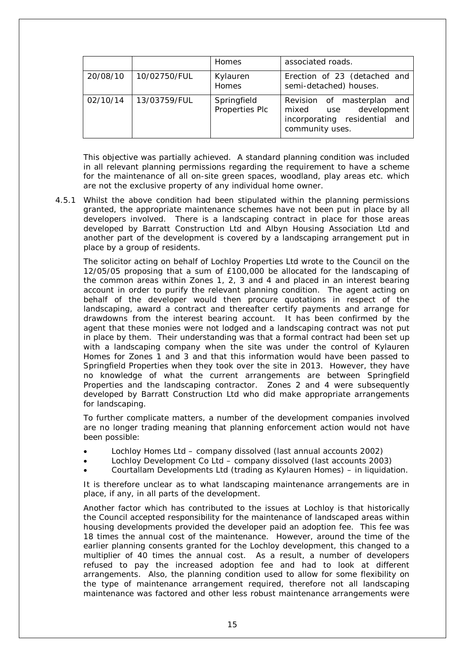|          |              | Homes                         | associated roads.                                                                                                |
|----------|--------------|-------------------------------|------------------------------------------------------------------------------------------------------------------|
| 20/08/10 | 10/02750/FUL | Kylauren<br>Homes             | Erection of 23 (detached and<br>semi-detached) houses.                                                           |
| 02/10/14 | 13/03759/FUL | Springfield<br>Properties Plc | Revision of masterplan<br>and<br>development<br>mixed<br>use<br>incorporating residential and<br>community uses. |

This objective was partially achieved. A standard planning condition was included in all relevant planning permissions regarding the requirement to have a scheme for the maintenance of all on-site green spaces, woodland, play areas etc. which are not the exclusive property of any individual home owner.

4.5.1 Whilst the above condition had been stipulated within the planning permissions granted, the appropriate maintenance schemes have not been put in place by all developers involved. There is a landscaping contract in place for those areas developed by Barratt Construction Ltd and Albyn Housing Association Ltd and another part of the development is covered by a landscaping arrangement put in place by a group of residents.

The solicitor acting on behalf of Lochloy Properties Ltd wrote to the Council on the 12/05/05 proposing that a sum of £100,000 be allocated for the landscaping of the common areas within Zones 1, 2, 3 and 4 and placed in an interest bearing account in order to purify the relevant planning condition. The agent acting on behalf of the developer would then procure quotations in respect of the landscaping, award a contract and thereafter certify payments and arrange for drawdowns from the interest bearing account. It has been confirmed by the agent that these monies were not lodged and a landscaping contract was not put in place by them. Their understanding was that a formal contract had been set up with a landscaping company when the site was under the control of Kylauren Homes for Zones 1 and 3 and that this information would have been passed to Springfield Properties when they took over the site in 2013. However, they have no knowledge of what the current arrangements are between Springfield Properties and the landscaping contractor. Zones 2 and 4 were subsequently developed by Barratt Construction Ltd who did make appropriate arrangements for landscaping.

To further complicate matters, a number of the development companies involved are no longer trading meaning that planning enforcement action would not have been possible:

- Lochloy Homes Ltd company dissolved (last annual accounts 2002)
- Lochloy Development Co Ltd company dissolved (last accounts 2003)
- Courtallam Developments Ltd (trading as Kylauren Homes) in liquidation.

It is therefore unclear as to what landscaping maintenance arrangements are in place, if any, in all parts of the development.

Another factor which has contributed to the issues at Lochloy is that historically the Council accepted responsibility for the maintenance of landscaped areas within housing developments provided the developer paid an adoption fee. This fee was 18 times the annual cost of the maintenance. However, around the time of the earlier planning consents granted for the Lochloy development, this changed to a multiplier of 40 times the annual cost. As a result, a number of developers refused to pay the increased adoption fee and had to look at different arrangements. Also, the planning condition used to allow for some flexibility on the type of maintenance arrangement required, therefore not all landscaping maintenance was factored and other less robust maintenance arrangements were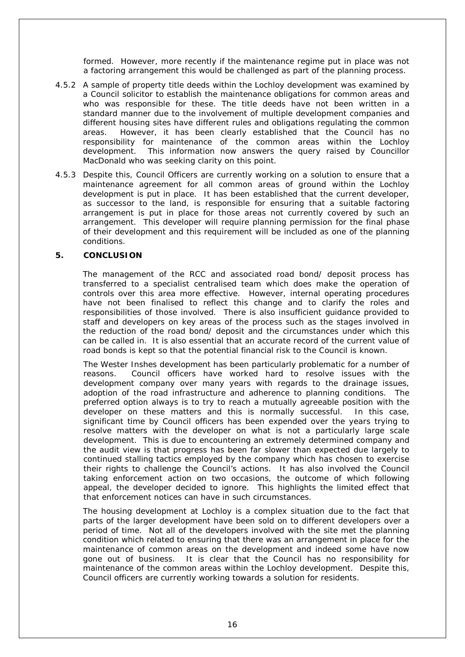formed. However, more recently if the maintenance regime put in place was not a factoring arrangement this would be challenged as part of the planning process.

- 4.5.2 A sample of property title deeds within the Lochloy development was examined by a Council solicitor to establish the maintenance obligations for common areas and who was responsible for these. The title deeds have not been written in a standard manner due to the involvement of multiple development companies and different housing sites have different rules and obligations regulating the common areas. However, it has been clearly established that the Council has no responsibility for maintenance of the common areas within the Lochloy development. This information now answers the query raised by Councillor MacDonald who was seeking clarity on this point.
- 4.5.3 Despite this, Council Officers are currently working on a solution to ensure that a maintenance agreement for all common areas of ground within the Lochloy development is put in place. It has been established that the current developer, as successor to the land, is responsible for ensuring that a suitable factoring arrangement is put in place for those areas not currently covered by such an arrangement. This developer will require planning permission for the final phase of their development and this requirement will be included as one of the planning conditions.

#### **5. CONCLUSION**

The management of the RCC and associated road bond/ deposit process has transferred to a specialist centralised team which does make the operation of controls over this area more effective. However, internal operating procedures have not been finalised to reflect this change and to clarify the roles and responsibilities of those involved. There is also insufficient guidance provided to staff and developers on key areas of the process such as the stages involved in the reduction of the road bond/ deposit and the circumstances under which this can be called in. It is also essential that an accurate record of the current value of road bonds is kept so that the potential financial risk to the Council is known.

The Wester Inshes development has been particularly problematic for a number of reasons. Council officers have worked hard to resolve issues with the development company over many years with regards to the drainage issues, adoption of the road infrastructure and adherence to planning conditions. The preferred option always is to try to reach a mutually agreeable position with the developer on these matters and this is normally successful. In this case, significant time by Council officers has been expended over the years trying to resolve matters with the developer on what is not a particularly large scale development. This is due to encountering an extremely determined company and the audit view is that progress has been far slower than expected due largely to continued stalling tactics employed by the company which has chosen to exercise their rights to challenge the Council's actions. It has also involved the Council taking enforcement action on two occasions, the outcome of which following appeal, the developer decided to ignore. This highlights the limited effect that that enforcement notices can have in such circumstances.

The housing development at Lochloy is a complex situation due to the fact that parts of the larger development have been sold on to different developers over a period of time. Not all of the developers involved with the site met the planning condition which related to ensuring that there was an arrangement in place for the maintenance of common areas on the development and indeed some have now gone out of business. It is clear that the Council has no responsibility for maintenance of the common areas within the Lochloy development. Despite this, Council officers are currently working towards a solution for residents.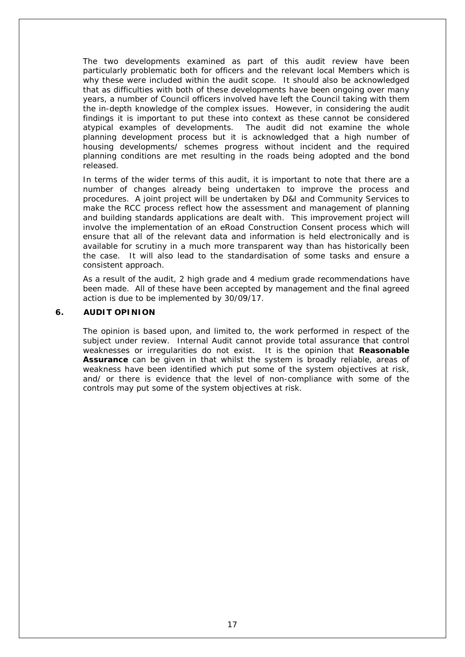The two developments examined as part of this audit review have been particularly problematic both for officers and the relevant local Members which is why these were included within the audit scope. It should also be acknowledged that as difficulties with both of these developments have been ongoing over many years, a number of Council officers involved have left the Council taking with them the in-depth knowledge of the complex issues. However, in considering the audit findings it is important to put these into context as these cannot be considered atypical examples of developments. The audit did not examine the whole planning development process but it is acknowledged that a high number of housing developments/ schemes progress without incident and the required planning conditions are met resulting in the roads being adopted and the bond released.

In terms of the wider terms of this audit, it is important to note that there are a number of changes already being undertaken to improve the process and procedures. A joint project will be undertaken by D&I and Community Services to make the RCC process reflect how the assessment and management of planning and building standards applications are dealt with. This improvement project will involve the implementation of an eRoad Construction Consent process which will ensure that all of the relevant data and information is held electronically and is available for scrutiny in a much more transparent way than has historically been the case. It will also lead to the standardisation of some tasks and ensure a consistent approach.

As a result of the audit, 2 high grade and 4 medium grade recommendations have been made. All of these have been accepted by management and the final agreed action is due to be implemented by 30/09/17.

#### **6. AUDIT OPINION**

The opinion is based upon, and limited to, the work performed in respect of the subject under review. Internal Audit cannot provide total assurance that control weaknesses or irregularities do not exist. It is the opinion that **Reasonable Assurance** can be given in that whilst the system is broadly reliable, areas of weakness have been identified which put some of the system objectives at risk, and/ or there is evidence that the level of non-compliance with some of the controls may put some of the system objectives at risk.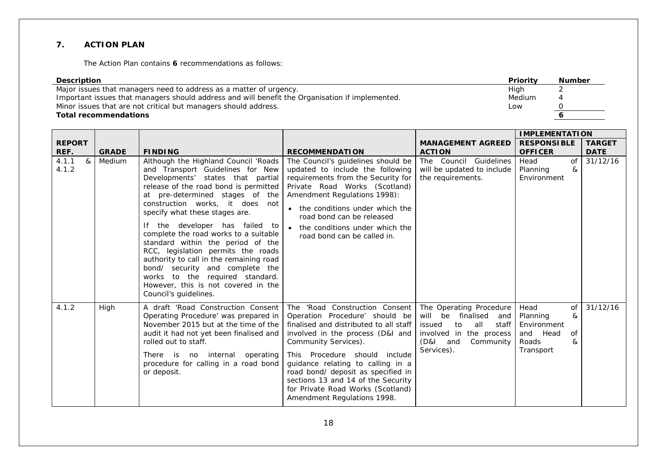### **7. ACTION PLAN**

The Action Plan contains **6** recommendations as follows:

| <b>Description</b>                                                                              | <b>Priority</b> | <b>Number</b> |
|-------------------------------------------------------------------------------------------------|-----------------|---------------|
| Major issues that managers need to address as a matter of urgency.                              | High            |               |
| Important issues that managers should address and will benefit the Organisation if implemented. | Medium          |               |
| Minor issues that are not critical but managers should address.                                 | Low             |               |
| <b>Total recommendations</b>                                                                    |                 |               |

|                       | <b>GRADE</b><br><b>FINDING</b> |                                                                                                                                                                                                                                                                                                                                                                                                                                                                                                                                                                                                       |                                                                                                                                                                                                                                                                                                                                                                                              | <b>IMPLEMENTATION</b>                                                                                                                                       |                                                                                         |                              |
|-----------------------|--------------------------------|-------------------------------------------------------------------------------------------------------------------------------------------------------------------------------------------------------------------------------------------------------------------------------------------------------------------------------------------------------------------------------------------------------------------------------------------------------------------------------------------------------------------------------------------------------------------------------------------------------|----------------------------------------------------------------------------------------------------------------------------------------------------------------------------------------------------------------------------------------------------------------------------------------------------------------------------------------------------------------------------------------------|-------------------------------------------------------------------------------------------------------------------------------------------------------------|-----------------------------------------------------------------------------------------|------------------------------|
| <b>REPORT</b><br>REF. |                                |                                                                                                                                                                                                                                                                                                                                                                                                                                                                                                                                                                                                       | <b>RECOMMENDATION</b>                                                                                                                                                                                                                                                                                                                                                                        | <b>MANAGEMENT AGREED</b><br><b>ACTION</b>                                                                                                                   | <b>RESPONSIBLE</b><br><b>OFFICER</b>                                                    | <b>TARGET</b><br><b>DATE</b> |
| 4.1.1<br>&<br>4.1.2   | <b>Medium</b>                  | Although the Highland Council 'Roads<br>and Transport Guidelines for New<br>Developments' states that partial<br>release of the road bond is permitted<br>at pre-determined stages of the<br>construction works, it does not<br>specify what these stages are.<br>If the developer has failed to<br>complete the road works to a suitable<br>standard within the period of the<br>RCC, legislation permits the roads<br>authority to call in the remaining road<br>bond/ security and complete the<br>works to the required standard.<br>However, this is not covered in the<br>Council's guidelines. | The Council's guidelines should be<br>updated to include the following<br>requirements from the Security for<br>Private Road Works (Scotland)<br>Amendment Regulations 1998):<br>• the conditions under which the<br>road bond can be released<br>the conditions under which the<br>road bond can be called in.                                                                              | The Council Guidelines<br>will be updated to include<br>the requirements.                                                                                   | $\overline{of}$<br>Head<br>Planning<br>&<br>Environment                                 | 31/12/16                     |
| 4.1.2                 | High                           | A draft 'Road Construction Consent<br>Operating Procedure' was prepared in<br>November 2015 but at the time of the<br>audit it had not yet been finalised and<br>rolled out to staff.<br>There is no internal operating<br>procedure for calling in a road bond<br>or deposit.                                                                                                                                                                                                                                                                                                                        | The 'Road Construction Consent<br>Operation Procedure' should be<br>finalised and distributed to all staff<br>involved in the process (D&I and<br>Community Services).<br>This Procedure should include<br>guidance relating to calling in a<br>road bond/ deposit as specified in<br>sections 13 and 14 of the Security<br>for Private Road Works (Scotland)<br>Amendment Regulations 1998. | The Operating Procedure<br>will<br>be<br>finalised<br>and<br>issued<br>to<br>all<br>staff<br>involved in the process<br>(D&I and<br>Community<br>Services). | Head<br>of<br>Planning<br>&<br>Environment<br>and Head<br>of<br>Roads<br>&<br>Transport | 31/12/16                     |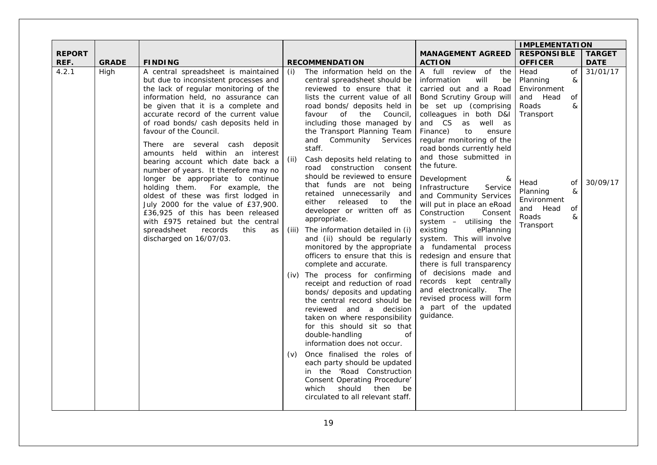|                       |              |                                                                                                                                                                                                                                                                                                                                                                                                                                                                                                                                                                                                                                                                                                                                                                     |                             |                                                                                                                                                                                                                                                                                                                                                                                                                                                                                                                                                                                                                                                                                                                                                                                                                                                                                                                                                                                                                                                                                                                                                                                              | <b>IMPLEMENTATION</b>                                                                                                                                                                                                                                                                                                                                                                                                                                                                                                                                                                                                                                                                                                                                                     |                                                                                                                                                                                    |                              |
|-----------------------|--------------|---------------------------------------------------------------------------------------------------------------------------------------------------------------------------------------------------------------------------------------------------------------------------------------------------------------------------------------------------------------------------------------------------------------------------------------------------------------------------------------------------------------------------------------------------------------------------------------------------------------------------------------------------------------------------------------------------------------------------------------------------------------------|-----------------------------|----------------------------------------------------------------------------------------------------------------------------------------------------------------------------------------------------------------------------------------------------------------------------------------------------------------------------------------------------------------------------------------------------------------------------------------------------------------------------------------------------------------------------------------------------------------------------------------------------------------------------------------------------------------------------------------------------------------------------------------------------------------------------------------------------------------------------------------------------------------------------------------------------------------------------------------------------------------------------------------------------------------------------------------------------------------------------------------------------------------------------------------------------------------------------------------------|---------------------------------------------------------------------------------------------------------------------------------------------------------------------------------------------------------------------------------------------------------------------------------------------------------------------------------------------------------------------------------------------------------------------------------------------------------------------------------------------------------------------------------------------------------------------------------------------------------------------------------------------------------------------------------------------------------------------------------------------------------------------------|------------------------------------------------------------------------------------------------------------------------------------------------------------------------------------|------------------------------|
| <b>REPORT</b><br>REF. | <b>GRADE</b> | <b>FINDING</b>                                                                                                                                                                                                                                                                                                                                                                                                                                                                                                                                                                                                                                                                                                                                                      |                             | <b>RECOMMENDATION</b>                                                                                                                                                                                                                                                                                                                                                                                                                                                                                                                                                                                                                                                                                                                                                                                                                                                                                                                                                                                                                                                                                                                                                                        | <b>MANAGEMENT AGREED</b><br><b>ACTION</b>                                                                                                                                                                                                                                                                                                                                                                                                                                                                                                                                                                                                                                                                                                                                 | <b>RESPONSIBLE</b><br><b>OFFICER</b>                                                                                                                                               | <b>TARGET</b><br><b>DATE</b> |
| 4.2.1                 | High         | A central spreadsheet is maintained<br>but due to inconsistent processes and<br>the lack of regular monitoring of the<br>information held, no assurance can<br>be given that it is a complete and<br>accurate record of the current value<br>of road bonds/ cash deposits held in<br>favour of the Council.<br>There are several cash deposit<br>amounts held within an interest<br>bearing account which date back a<br>number of years. It therefore may no<br>longer be appropriate to continue<br>For example, the<br>holding them.<br>oldest of these was first lodged in<br>July 2000 for the value of £37,900.<br>£36,925 of this has been released<br>with £975 retained but the central<br>spreadsheet<br>records<br>this<br>as<br>discharged on 16/07/03. | (i)<br>(ii)<br>(iii)<br>(v) | The information held on the<br>central spreadsheet should be<br>reviewed to ensure that it<br>lists the current value of all<br>road bonds/ deposits held in<br>of the Council,<br>favour<br>including those managed by<br>the Transport Planning Team<br>and Community Services<br>staff.<br>Cash deposits held relating to<br>road construction consent<br>should be reviewed to ensure<br>that funds are not being<br>retained unnecessarily and<br>either released to the<br>developer or written off as<br>appropriate.<br>The information detailed in (i)<br>and (ii) should be regularly<br>monitored by the appropriate<br>officers to ensure that this is<br>complete and accurate.<br>(iv) The process for confirming<br>receipt and reduction of road<br>bonds/ deposits and updating<br>the central record should be<br>reviewed and a decision<br>taken on where responsibility<br>for this should sit so that<br>double-handling<br>οf<br>information does not occur.<br>Once finalised the roles of<br>each party should be updated<br>in the 'Road Construction<br><b>Consent Operating Procedure'</b><br>should<br>which<br>then<br>be<br>circulated to all relevant staff. | A full review of the<br>will<br>information<br>be<br>carried out and a Road<br>Bond Scrutiny Group will<br>be set up (comprising<br>colleagues in both D&I<br>and CS<br>as well as<br>Finance)<br>to<br>ensure<br>regular monitoring of the<br>road bonds currently held<br>and those submitted in<br>the future.<br>Development<br>&<br>Infrastructure<br>Service<br>and Community Services<br>will put in place an eRoad<br>Construction<br>Consent<br>system - utilising the<br>existing<br>ePlanning<br>system. This will involve<br>a fundamental process<br>redesign and ensure that<br>there is full transparency<br>of decisions made and<br>records kept centrally<br>and electronically. The<br>revised process will form<br>a part of the updated<br>guidance. | Head<br>of<br>Planning<br>&<br>Environment<br>and Head<br>οf<br>&<br>Roads<br>Transport<br>Head<br>of<br>Planning<br>&<br>Environment<br>and Head<br>of<br>&<br>Roads<br>Transport | 31/01/17<br>30/09/17         |